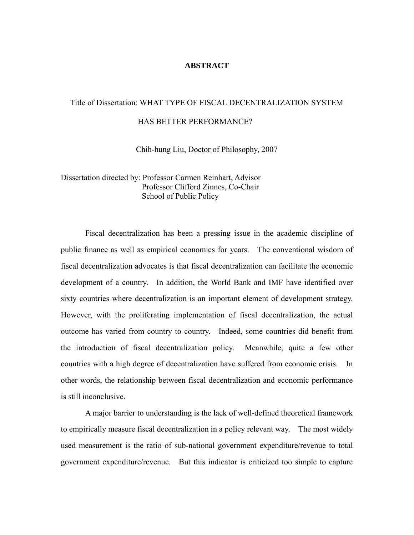#### **ABSTRACT**

# Title of Dissertation: WHAT TYPE OF FISCAL DECENTRALIZATION SYSTEM HAS BETTER PERFORMANCE?

Chih-hung Liu, Doctor of Philosophy, 2007

Dissertation directed by: Professor Carmen Reinhart, Advisor Professor Clifford Zinnes, Co-Chair School of Public Policy

 Fiscal decentralization has been a pressing issue in the academic discipline of public finance as well as empirical economics for years. The conventional wisdom of fiscal decentralization advocates is that fiscal decentralization can facilitate the economic development of a country. In addition, the World Bank and IMF have identified over sixty countries where decentralization is an important element of development strategy. However, with the proliferating implementation of fiscal decentralization, the actual outcome has varied from country to country. Indeed, some countries did benefit from the introduction of fiscal decentralization policy. Meanwhile, quite a few other countries with a high degree of decentralization have suffered from economic crisis. In other words, the relationship between fiscal decentralization and economic performance is still inconclusive.

 A major barrier to understanding is the lack of well-defined theoretical framework to empirically measure fiscal decentralization in a policy relevant way. The most widely used measurement is the ratio of sub-national government expenditure/revenue to total government expenditure/revenue. But this indicator is criticized too simple to capture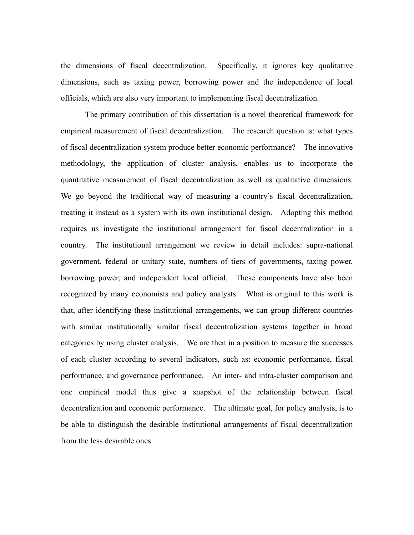the dimensions of fiscal decentralization. Specifically, it ignores key qualitative dimensions, such as taxing power, borrowing power and the independence of local officials, which are also very important to implementing fiscal decentralization.

 The primary contribution of this dissertation is a novel theoretical framework for empirical measurement of fiscal decentralization. The research question is: what types of fiscal decentralization system produce better economic performance? The innovative methodology, the application of cluster analysis, enables us to incorporate the quantitative measurement of fiscal decentralization as well as qualitative dimensions. We go beyond the traditional way of measuring a country's fiscal decentralization, treating it instead as a system with its own institutional design. Adopting this method requires us investigate the institutional arrangement for fiscal decentralization in a country. The institutional arrangement we review in detail includes: supra-national government, federal or unitary state, numbers of tiers of governments, taxing power, borrowing power, and independent local official. These components have also been recognized by many economists and policy analysts. What is original to this work is that, after identifying these institutional arrangements, we can group different countries with similar institutionally similar fiscal decentralization systems together in broad categories by using cluster analysis. We are then in a position to measure the successes of each cluster according to several indicators, such as: economic performance, fiscal performance, and governance performance. An inter- and intra-cluster comparison and one empirical model thus give a snapshot of the relationship between fiscal decentralization and economic performance. The ultimate goal, for policy analysis, is to be able to distinguish the desirable institutional arrangements of fiscal decentralization from the less desirable ones.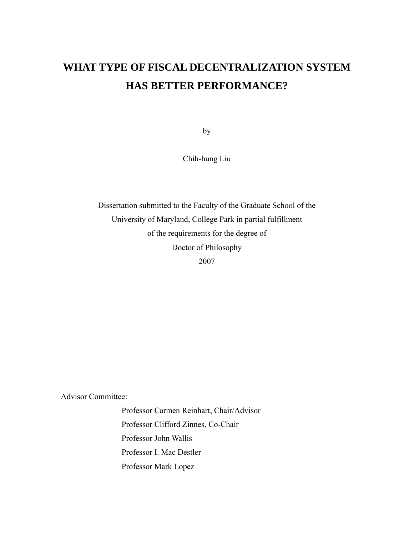# **WHAT TYPE OF FISCAL DECENTRALIZATION SYSTEM HAS BETTER PERFORMANCE?**

by

Chih-hung Liu

Dissertation submitted to the Faculty of the Graduate School of the University of Maryland, College Park in partial fulfillment of the requirements for the degree of Doctor of Philosophy 2007

Advisor Committee:

 Professor Carmen Reinhart, Chair/Advisor Professor Clifford Zinnes, Co-Chair Professor John Wallis Professor I. Mac Destler Professor Mark Lopez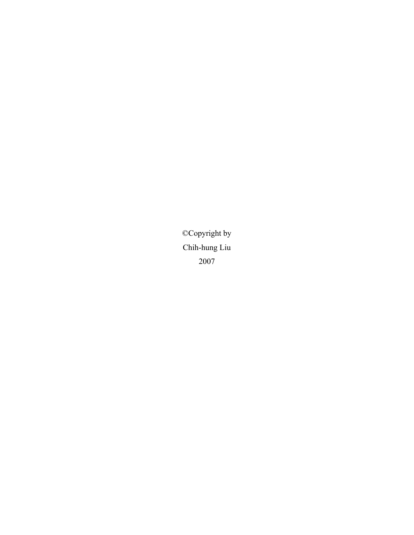©Copyright by Chih-hung Liu 2007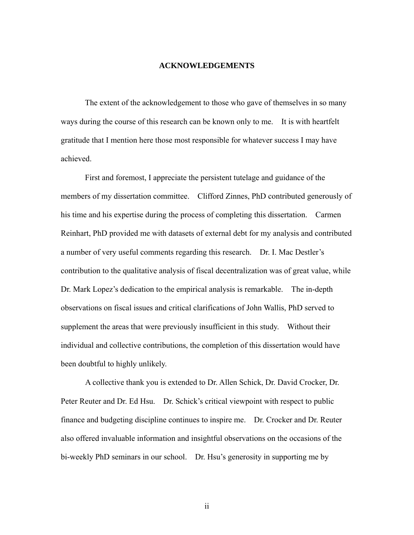#### **ACKNOWLEDGEMENTS**

 The extent of the acknowledgement to those who gave of themselves in so many ways during the course of this research can be known only to me. It is with heartfelt gratitude that I mention here those most responsible for whatever success I may have achieved.

 First and foremost, I appreciate the persistent tutelage and guidance of the members of my dissertation committee. Clifford Zinnes, PhD contributed generously of his time and his expertise during the process of completing this dissertation. Carmen Reinhart, PhD provided me with datasets of external debt for my analysis and contributed a number of very useful comments regarding this research. Dr. I. Mac Destler's contribution to the qualitative analysis of fiscal decentralization was of great value, while Dr. Mark Lopez's dedication to the empirical analysis is remarkable. The in-depth observations on fiscal issues and critical clarifications of John Wallis, PhD served to supplement the areas that were previously insufficient in this study. Without their individual and collective contributions, the completion of this dissertation would have been doubtful to highly unlikely.

 A collective thank you is extended to Dr. Allen Schick, Dr. David Crocker, Dr. Peter Reuter and Dr. Ed Hsu. Dr. Schick's critical viewpoint with respect to public finance and budgeting discipline continues to inspire me. Dr. Crocker and Dr. Reuter also offered invaluable information and insightful observations on the occasions of the bi-weekly PhD seminars in our school. Dr. Hsu's generosity in supporting me by

ii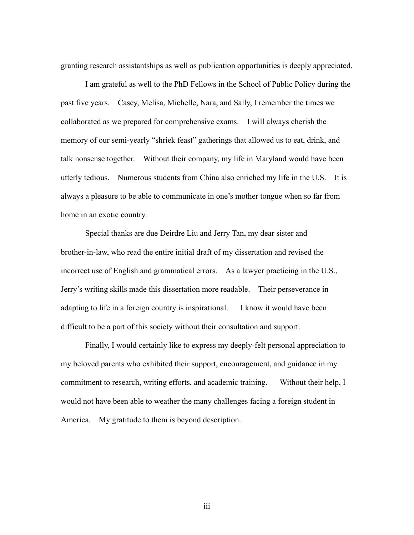granting research assistantships as well as publication opportunities is deeply appreciated.

 I am grateful as well to the PhD Fellows in the School of Public Policy during the past five years. Casey, Melisa, Michelle, Nara, and Sally, I remember the times we collaborated as we prepared for comprehensive exams. I will always cherish the memory of our semi-yearly "shriek feast" gatherings that allowed us to eat, drink, and talk nonsense together. Without their company, my life in Maryland would have been utterly tedious. Numerous students from China also enriched my life in the U.S. It is always a pleasure to be able to communicate in one's mother tongue when so far from home in an exotic country.

 Special thanks are due Deirdre Liu and Jerry Tan, my dear sister and brother-in-law, who read the entire initial draft of my dissertation and revised the incorrect use of English and grammatical errors. As a lawyer practicing in the U.S., Jerry's writing skills made this dissertation more readable. Their perseverance in adapting to life in a foreign country is inspirational. I know it would have been difficult to be a part of this society without their consultation and support.

 Finally, I would certainly like to express my deeply-felt personal appreciation to my beloved parents who exhibited their support, encouragement, and guidance in my commitment to research, writing efforts, and academic training. Without their help, I would not have been able to weather the many challenges facing a foreign student in America. My gratitude to them is beyond description.

iii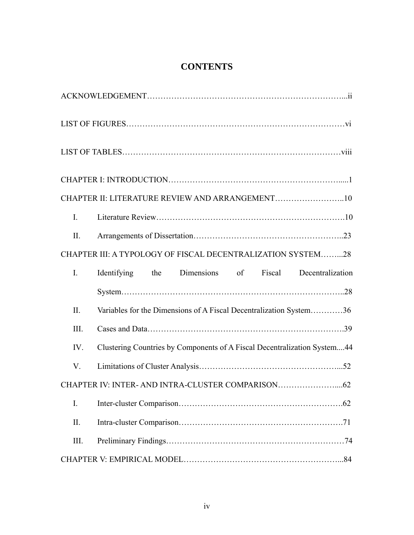| CHAPTER II: LITERATURE REVIEW AND ARRANGEMENT10                                 |  |  |  |  |
|---------------------------------------------------------------------------------|--|--|--|--|
| $\mathbf{I}$ .                                                                  |  |  |  |  |
| II.                                                                             |  |  |  |  |
| CHAPTER III: A TYPOLOGY OF FISCAL DECENTRALIZATION SYSTEM28                     |  |  |  |  |
| Identifying the Dimensions of Fiscal Decentralization<br>$\mathbf{I}$ .         |  |  |  |  |
|                                                                                 |  |  |  |  |
| Variables for the Dimensions of A Fiscal Decentralization System36<br>II.       |  |  |  |  |
| III.                                                                            |  |  |  |  |
| Clustering Countries by Components of A Fiscal Decentralization System44<br>IV. |  |  |  |  |
| V.                                                                              |  |  |  |  |
|                                                                                 |  |  |  |  |
| I.                                                                              |  |  |  |  |
| II.                                                                             |  |  |  |  |
| III.                                                                            |  |  |  |  |
|                                                                                 |  |  |  |  |

# **CONTENTS**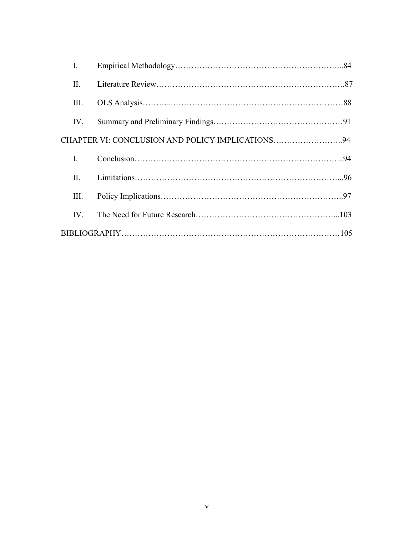| I.   |                                                  |  |
|------|--------------------------------------------------|--|
| П.   |                                                  |  |
| Ш.   |                                                  |  |
| IV.  |                                                  |  |
|      | CHAPTER VI: CONCLUSION AND POLICY IMPLICATIONS94 |  |
| L    |                                                  |  |
| П.   |                                                  |  |
| III. |                                                  |  |
| IV.  |                                                  |  |
|      |                                                  |  |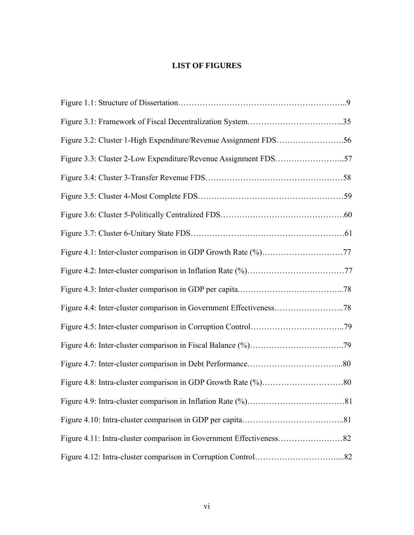## **LIST OF FIGURES**

| Figure 3.3: Cluster 2-Low Expenditure/Revenue Assignment FDS57 |  |
|----------------------------------------------------------------|--|
|                                                                |  |
|                                                                |  |
|                                                                |  |
|                                                                |  |
|                                                                |  |
|                                                                |  |
|                                                                |  |
|                                                                |  |
|                                                                |  |
|                                                                |  |
|                                                                |  |
|                                                                |  |
|                                                                |  |
|                                                                |  |
|                                                                |  |
|                                                                |  |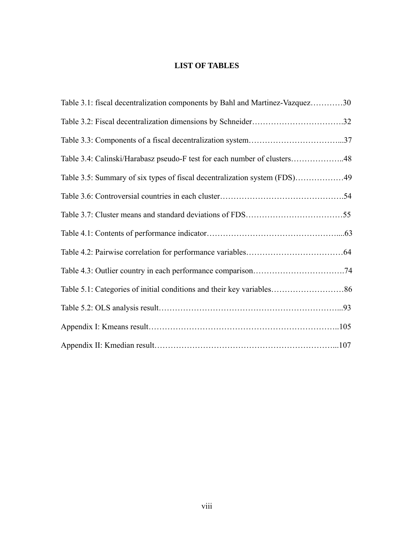## **LIST OF TABLES**

| Table 3.1: fiscal decentralization components by Bahl and Martinez-Vazquez30 |  |
|------------------------------------------------------------------------------|--|
|                                                                              |  |
|                                                                              |  |
| Table 3.4: Calinski/Harabasz pseudo-F test for each number of clusters48     |  |
| Table 3.5: Summary of six types of fiscal decentralization system (FDS)49    |  |
|                                                                              |  |
|                                                                              |  |
|                                                                              |  |
|                                                                              |  |
|                                                                              |  |
|                                                                              |  |
|                                                                              |  |
|                                                                              |  |
|                                                                              |  |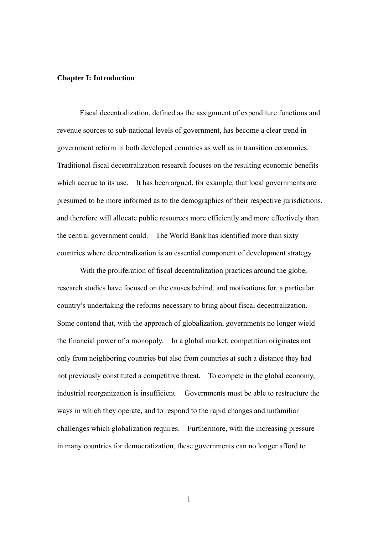#### **Chapter I: Introduction**

 Fiscal decentralization, defined as the assignment of expenditure functions and revenue sources to sub-national levels of government, has become a clear trend in government reform in both developed countries as well as in transition economies. Traditional fiscal decentralization research focuses on the resulting economic benefits which accrue to its use. It has been argued, for example, that local governments are presumed to be more informed as to the demographics of their respective jurisdictions, and therefore will allocate public resources more efficiently and more effectively than the central government could. The World Bank has identified more than sixty countries where decentralization is an essential component of development strategy.

 With the proliferation of fiscal decentralization practices around the globe, research studies have focused on the causes behind, and motivations for, a particular country's undertaking the reforms necessary to bring about fiscal decentralization. Some contend that, with the approach of globalization, governments no longer wield the financial power of a monopoly. In a global market, competition originates not only from neighboring countries but also from countries at such a distance they had not previously constituted a competitive threat. To compete in the global economy, industrial reorganization is insufficient. Governments must be able to restructure the ways in which they operate, and to respond to the rapid changes and unfamiliar challenges which globalization requires. Furthermore, with the increasing pressure in many countries for democratization, these governments can no longer afford to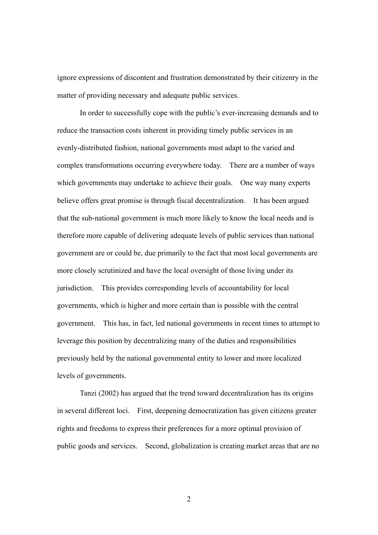ignore expressions of discontent and frustration demonstrated by their citizenry in the matter of providing necessary and adequate public services.

 In order to successfully cope with the public's ever-increasing demands and to reduce the transaction costs inherent in providing timely public services in an evenly-distributed fashion, national governments must adapt to the varied and complex transformations occurring everywhere today. There are a number of ways which governments may undertake to achieve their goals. One way many experts believe offers great promise is through fiscal decentralization. It has been argued that the sub-national government is much more likely to know the local needs and is therefore more capable of delivering adequate levels of public services than national government are or could be, due primarily to the fact that most local governments are more closely scrutinized and have the local oversight of those living under its jurisdiction. This provides corresponding levels of accountability for local governments, which is higher and more certain than is possible with the central government. This has, in fact, led national governments in recent times to attempt to leverage this position by decentralizing many of the duties and responsibilities previously held by the national governmental entity to lower and more localized levels of governments.

 Tanzi (2002) has argued that the trend toward decentralization has its origins in several different loci. First, deepening democratization has given citizens greater rights and freedoms to express their preferences for a more optimal provision of public goods and services. Second, globalization is creating market areas that are no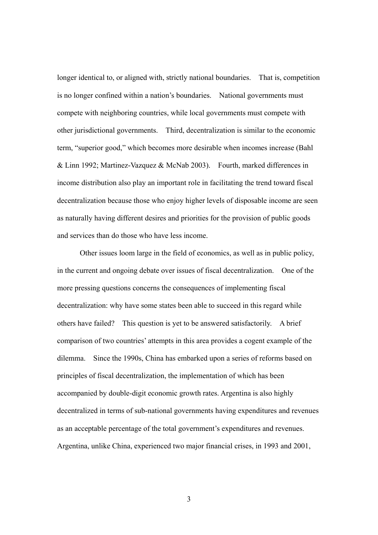longer identical to, or aligned with, strictly national boundaries. That is, competition is no longer confined within a nation's boundaries. National governments must compete with neighboring countries, while local governments must compete with other jurisdictional governments. Third, decentralization is similar to the economic term, "superior good," which becomes more desirable when incomes increase (Bahl & Linn 1992; Martinez-Vazquez & McNab 2003). Fourth, marked differences in income distribution also play an important role in facilitating the trend toward fiscal decentralization because those who enjoy higher levels of disposable income are seen as naturally having different desires and priorities for the provision of public goods and services than do those who have less income.

 Other issues loom large in the field of economics, as well as in public policy, in the current and ongoing debate over issues of fiscal decentralization. One of the more pressing questions concerns the consequences of implementing fiscal decentralization: why have some states been able to succeed in this regard while others have failed? This question is yet to be answered satisfactorily. A brief comparison of two countries' attempts in this area provides a cogent example of the dilemma. Since the 1990s, China has embarked upon a series of reforms based on principles of fiscal decentralization, the implementation of which has been accompanied by double-digit economic growth rates. Argentina is also highly decentralized in terms of sub-national governments having expenditures and revenues as an acceptable percentage of the total government's expenditures and revenues. Argentina, unlike China, experienced two major financial crises, in 1993 and 2001,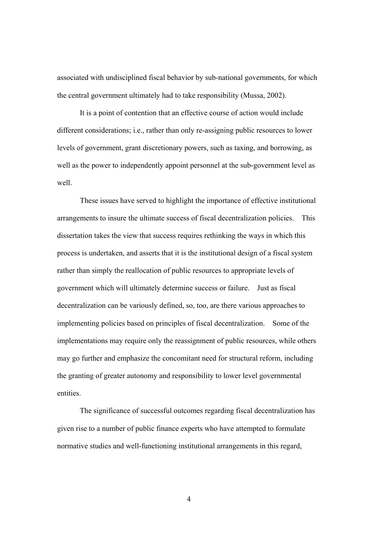associated with undisciplined fiscal behavior by sub-national governments, for which the central government ultimately had to take responsibility (Mussa, 2002).

 It is a point of contention that an effective course of action would include different considerations; i.e., rather than only re-assigning public resources to lower levels of government, grant discretionary powers, such as taxing, and borrowing, as well as the power to independently appoint personnel at the sub-government level as well.

 These issues have served to highlight the importance of effective institutional arrangements to insure the ultimate success of fiscal decentralization policies. This dissertation takes the view that success requires rethinking the ways in which this process is undertaken, and asserts that it is the institutional design of a fiscal system rather than simply the reallocation of public resources to appropriate levels of government which will ultimately determine success or failure. Just as fiscal decentralization can be variously defined, so, too, are there various approaches to implementing policies based on principles of fiscal decentralization. Some of the implementations may require only the reassignment of public resources, while others may go further and emphasize the concomitant need for structural reform, including the granting of greater autonomy and responsibility to lower level governmental entities.

 The significance of successful outcomes regarding fiscal decentralization has given rise to a number of public finance experts who have attempted to formulate normative studies and well-functioning institutional arrangements in this regard,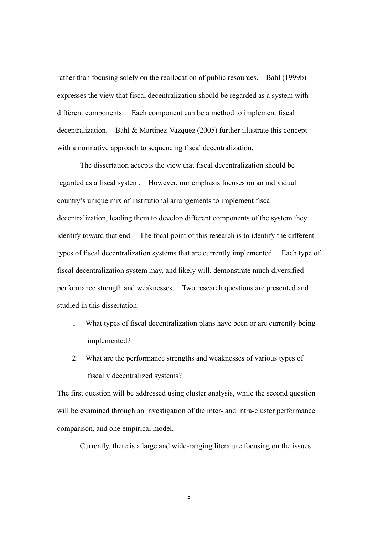rather than focusing solely on the reallocation of public resources. Bahl (1999b) expresses the view that fiscal decentralization should be regarded as a system with different components. Each component can be a method to implement fiscal decentralization. Bahl & Martinez-Vazquez (2005) further illustrate this concept with a normative approach to sequencing fiscal decentralization.

 The dissertation accepts the view that fiscal decentralization should be regarded as a fiscal system. However, our emphasis focuses on an individual country's unique mix of institutional arrangements to implement fiscal decentralization, leading them to develop different components of the system they identify toward that end. The focal point of this research is to identify the different types of fiscal decentralization systems that are currently implemented. Each type of fiscal decentralization system may, and likely will, demonstrate much diversified performance strength and weaknesses. Two research questions are presented and studied in this dissertation:

- 1. What types of fiscal decentralization plans have been or are currently being implemented?
- 2. What are the performance strengths and weaknesses of various types of fiscally decentralized systems?

The first question will be addressed using cluster analysis, while the second question will be examined through an investigation of the inter- and intra-cluster performance comparison, and one empirical model.

Currently, there is a large and wide-ranging literature focusing on the issues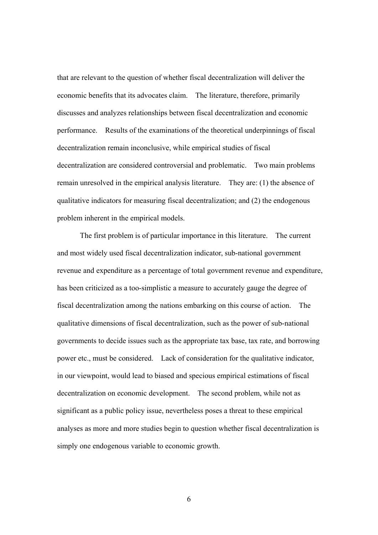that are relevant to the question of whether fiscal decentralization will deliver the economic benefits that its advocates claim. The literature, therefore, primarily discusses and analyzes relationships between fiscal decentralization and economic performance. Results of the examinations of the theoretical underpinnings of fiscal decentralization remain inconclusive, while empirical studies of fiscal decentralization are considered controversial and problematic. Two main problems remain unresolved in the empirical analysis literature. They are: (1) the absence of qualitative indicators for measuring fiscal decentralization; and (2) the endogenous problem inherent in the empirical models.

 The first problem is of particular importance in this literature. The current and most widely used fiscal decentralization indicator, sub-national government revenue and expenditure as a percentage of total government revenue and expenditure, has been criticized as a too-simplistic a measure to accurately gauge the degree of fiscal decentralization among the nations embarking on this course of action. The qualitative dimensions of fiscal decentralization, such as the power of sub-national governments to decide issues such as the appropriate tax base, tax rate, and borrowing power etc., must be considered. Lack of consideration for the qualitative indicator, in our viewpoint, would lead to biased and specious empirical estimations of fiscal decentralization on economic development. The second problem, while not as significant as a public policy issue, nevertheless poses a threat to these empirical analyses as more and more studies begin to question whether fiscal decentralization is simply one endogenous variable to economic growth.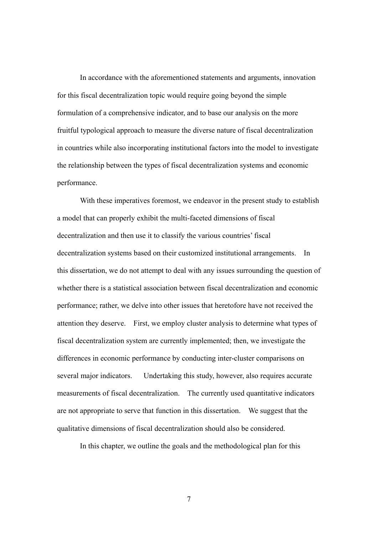In accordance with the aforementioned statements and arguments, innovation for this fiscal decentralization topic would require going beyond the simple formulation of a comprehensive indicator, and to base our analysis on the more fruitful typological approach to measure the diverse nature of fiscal decentralization in countries while also incorporating institutional factors into the model to investigate the relationship between the types of fiscal decentralization systems and economic performance.

 With these imperatives foremost, we endeavor in the present study to establish a model that can properly exhibit the multi-faceted dimensions of fiscal decentralization and then use it to classify the various countries' fiscal decentralization systems based on their customized institutional arrangements. In this dissertation, we do not attempt to deal with any issues surrounding the question of whether there is a statistical association between fiscal decentralization and economic performance; rather, we delve into other issues that heretofore have not received the attention they deserve. First, we employ cluster analysis to determine what types of fiscal decentralization system are currently implemented; then, we investigate the differences in economic performance by conducting inter-cluster comparisons on several major indicators. Undertaking this study, however, also requires accurate measurements of fiscal decentralization. The currently used quantitative indicators are not appropriate to serve that function in this dissertation. We suggest that the qualitative dimensions of fiscal decentralization should also be considered.

In this chapter, we outline the goals and the methodological plan for this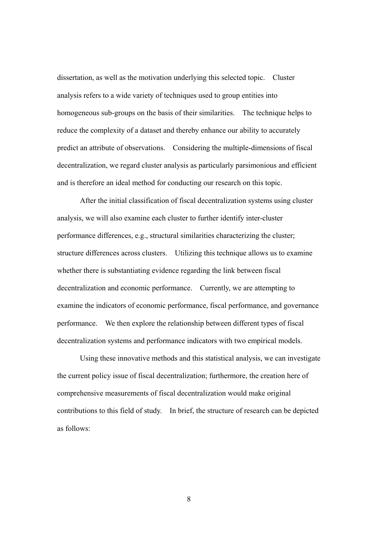dissertation, as well as the motivation underlying this selected topic. Cluster analysis refers to a wide variety of techniques used to group entities into homogeneous sub-groups on the basis of their similarities. The technique helps to reduce the complexity of a dataset and thereby enhance our ability to accurately predict an attribute of observations. Considering the multiple-dimensions of fiscal decentralization, we regard cluster analysis as particularly parsimonious and efficient and is therefore an ideal method for conducting our research on this topic.

 After the initial classification of fiscal decentralization systems using cluster analysis, we will also examine each cluster to further identify inter-cluster performance differences, e.g., structural similarities characterizing the cluster; structure differences across clusters. Utilizing this technique allows us to examine whether there is substantiating evidence regarding the link between fiscal decentralization and economic performance. Currently, we are attempting to examine the indicators of economic performance, fiscal performance, and governance performance. We then explore the relationship between different types of fiscal decentralization systems and performance indicators with two empirical models.

 Using these innovative methods and this statistical analysis, we can investigate the current policy issue of fiscal decentralization; furthermore, the creation here of comprehensive measurements of fiscal decentralization would make original contributions to this field of study. In brief, the structure of research can be depicted as follows: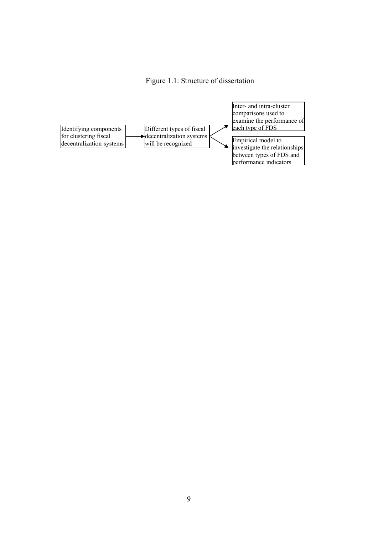### Figure 1.1: Structure of dissertation

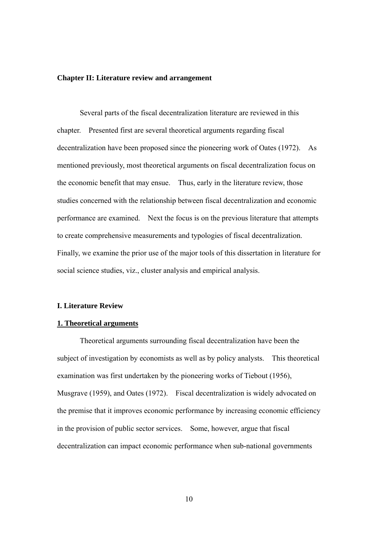#### **Chapter II: Literature review and arrangement**

 Several parts of the fiscal decentralization literature are reviewed in this chapter. Presented first are several theoretical arguments regarding fiscal decentralization have been proposed since the pioneering work of Oates (1972). As mentioned previously, most theoretical arguments on fiscal decentralization focus on the economic benefit that may ensue. Thus, early in the literature review, those studies concerned with the relationship between fiscal decentralization and economic performance are examined. Next the focus is on the previous literature that attempts to create comprehensive measurements and typologies of fiscal decentralization. Finally, we examine the prior use of the major tools of this dissertation in literature for social science studies, viz., cluster analysis and empirical analysis.

#### **I. Literature Review**

#### **1. Theoretical arguments**

 Theoretical arguments surrounding fiscal decentralization have been the subject of investigation by economists as well as by policy analysts. This theoretical examination was first undertaken by the pioneering works of Tiebout (1956), Musgrave (1959), and Oates (1972). Fiscal decentralization is widely advocated on the premise that it improves economic performance by increasing economic efficiency in the provision of public sector services. Some, however, argue that fiscal decentralization can impact economic performance when sub-national governments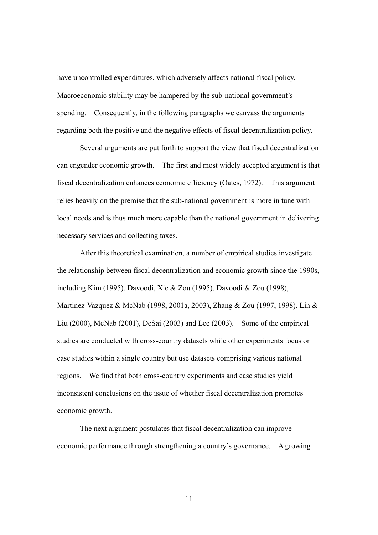have uncontrolled expenditures, which adversely affects national fiscal policy. Macroeconomic stability may be hampered by the sub-national government's spending. Consequently, in the following paragraphs we canvass the arguments regarding both the positive and the negative effects of fiscal decentralization policy.

 Several arguments are put forth to support the view that fiscal decentralization can engender economic growth. The first and most widely accepted argument is that fiscal decentralization enhances economic efficiency (Oates, 1972). This argument relies heavily on the premise that the sub-national government is more in tune with local needs and is thus much more capable than the national government in delivering necessary services and collecting taxes.

 After this theoretical examination, a number of empirical studies investigate the relationship between fiscal decentralization and economic growth since the 1990s, including Kim (1995), Davoodi, Xie & Zou (1995), Davoodi & Zou (1998), Martinez-Vazquez & McNab (1998, 2001a, 2003), Zhang & Zou (1997, 1998), Lin & Liu (2000), McNab (2001), DeSai (2003) and Lee (2003). Some of the empirical studies are conducted with cross-country datasets while other experiments focus on case studies within a single country but use datasets comprising various national regions. We find that both cross-country experiments and case studies yield inconsistent conclusions on the issue of whether fiscal decentralization promotes economic growth.

 The next argument postulates that fiscal decentralization can improve economic performance through strengthening a country's governance. A growing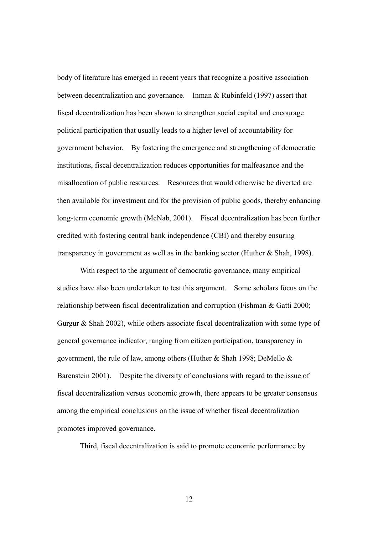body of literature has emerged in recent years that recognize a positive association between decentralization and governance. Inman & Rubinfeld (1997) assert that fiscal decentralization has been shown to strengthen social capital and encourage political participation that usually leads to a higher level of accountability for government behavior. By fostering the emergence and strengthening of democratic institutions, fiscal decentralization reduces opportunities for malfeasance and the misallocation of public resources. Resources that would otherwise be diverted are then available for investment and for the provision of public goods, thereby enhancing long-term economic growth (McNab, 2001). Fiscal decentralization has been further credited with fostering central bank independence (CBI) and thereby ensuring transparency in government as well as in the banking sector (Huther & Shah, 1998).

 With respect to the argument of democratic governance, many empirical studies have also been undertaken to test this argument. Some scholars focus on the relationship between fiscal decentralization and corruption (Fishman & Gatti 2000; Gurgur & Shah 2002), while others associate fiscal decentralization with some type of general governance indicator, ranging from citizen participation, transparency in government, the rule of law, among others (Huther & Shah 1998; DeMello & Barenstein 2001). Despite the diversity of conclusions with regard to the issue of fiscal decentralization versus economic growth, there appears to be greater consensus among the empirical conclusions on the issue of whether fiscal decentralization promotes improved governance.

Third, fiscal decentralization is said to promote economic performance by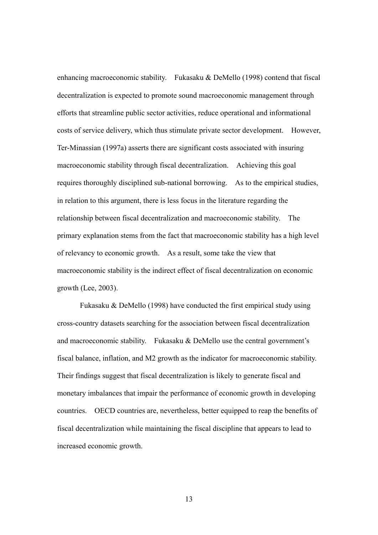enhancing macroeconomic stability. Fukasaku & DeMello (1998) contend that fiscal decentralization is expected to promote sound macroeconomic management through efforts that streamline public sector activities, reduce operational and informational costs of service delivery, which thus stimulate private sector development. However, Ter-Minassian (1997a) asserts there are significant costs associated with insuring macroeconomic stability through fiscal decentralization. Achieving this goal requires thoroughly disciplined sub-national borrowing. As to the empirical studies, in relation to this argument, there is less focus in the literature regarding the relationship between fiscal decentralization and macroeconomic stability. The primary explanation stems from the fact that macroeconomic stability has a high level of relevancy to economic growth. As a result, some take the view that macroeconomic stability is the indirect effect of fiscal decentralization on economic growth (Lee, 2003).

 Fukasaku & DeMello (1998) have conducted the first empirical study using cross-country datasets searching for the association between fiscal decentralization and macroeconomic stability. Fukasaku & DeMello use the central government's fiscal balance, inflation, and M2 growth as the indicator for macroeconomic stability. Their findings suggest that fiscal decentralization is likely to generate fiscal and monetary imbalances that impair the performance of economic growth in developing countries. OECD countries are, nevertheless, better equipped to reap the benefits of fiscal decentralization while maintaining the fiscal discipline that appears to lead to increased economic growth.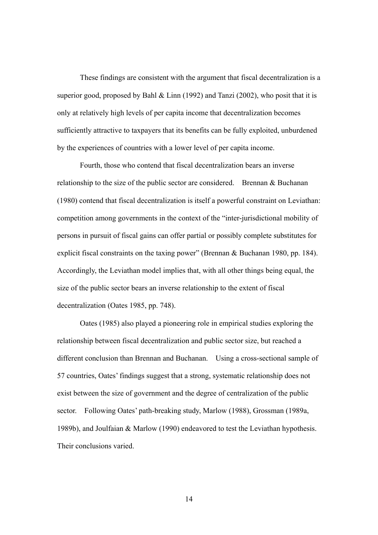These findings are consistent with the argument that fiscal decentralization is a superior good, proposed by Bahl  $& Linn (1992)$  and Tanzi (2002), who posit that it is only at relatively high levels of per capita income that decentralization becomes sufficiently attractive to taxpayers that its benefits can be fully exploited, unburdened by the experiences of countries with a lower level of per capita income.

 Fourth, those who contend that fiscal decentralization bears an inverse relationship to the size of the public sector are considered. Brennan & Buchanan (1980) contend that fiscal decentralization is itself a powerful constraint on Leviathan: competition among governments in the context of the "inter-jurisdictional mobility of persons in pursuit of fiscal gains can offer partial or possibly complete substitutes for explicit fiscal constraints on the taxing power" (Brennan & Buchanan 1980, pp. 184). Accordingly, the Leviathan model implies that, with all other things being equal, the size of the public sector bears an inverse relationship to the extent of fiscal decentralization (Oates 1985, pp. 748).

 Oates (1985) also played a pioneering role in empirical studies exploring the relationship between fiscal decentralization and public sector size, but reached a different conclusion than Brennan and Buchanan. Using a cross-sectional sample of 57 countries, Oates' findings suggest that a strong, systematic relationship does not exist between the size of government and the degree of centralization of the public sector. Following Oates' path-breaking study, Marlow (1988), Grossman (1989a, 1989b), and Joulfaian & Marlow (1990) endeavored to test the Leviathan hypothesis. Their conclusions varied.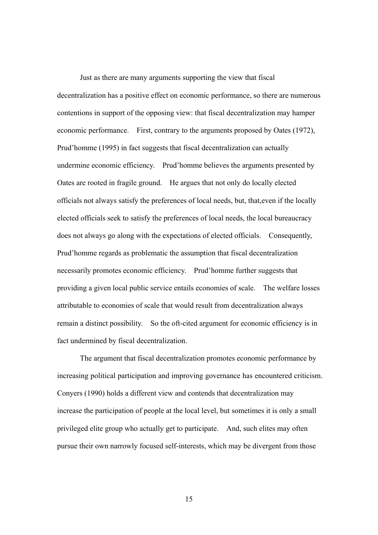Just as there are many arguments supporting the view that fiscal decentralization has a positive effect on economic performance, so there are numerous contentions in support of the opposing view: that fiscal decentralization may hamper economic performance. First, contrary to the arguments proposed by Oates (1972), Prud'homme (1995) in fact suggests that fiscal decentralization can actually undermine economic efficiency. Prud'homme believes the arguments presented by Oates are rooted in fragile ground. He argues that not only do locally elected officials not always satisfy the preferences of local needs, but, that,even if the locally elected officials seek to satisfy the preferences of local needs, the local bureaucracy does not always go along with the expectations of elected officials. Consequently, Prud'homme regards as problematic the assumption that fiscal decentralization necessarily promotes economic efficiency. Prud'homme further suggests that providing a given local public service entails economies of scale. The welfare losses attributable to economies of scale that would result from decentralization always remain a distinct possibility. So the oft-cited argument for economic efficiency is in fact undermined by fiscal decentralization.

 The argument that fiscal decentralization promotes economic performance by increasing political participation and improving governance has encountered criticism. Conyers (1990) holds a different view and contends that decentralization may increase the participation of people at the local level, but sometimes it is only a small privileged elite group who actually get to participate. And, such elites may often pursue their own narrowly focused self-interests, which may be divergent from those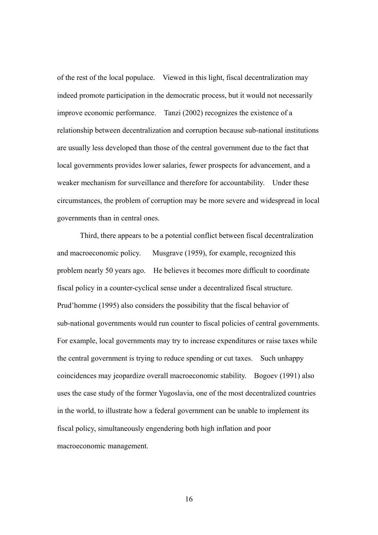of the rest of the local populace. Viewed in this light, fiscal decentralization may indeed promote participation in the democratic process, but it would not necessarily improve economic performance. Tanzi (2002) recognizes the existence of a relationship between decentralization and corruption because sub-national institutions are usually less developed than those of the central government due to the fact that local governments provides lower salaries, fewer prospects for advancement, and a weaker mechanism for surveillance and therefore for accountability. Under these circumstances, the problem of corruption may be more severe and widespread in local governments than in central ones.

 Third, there appears to be a potential conflict between fiscal decentralization and macroeconomic policy. Musgrave (1959), for example, recognized this problem nearly 50 years ago. He believes it becomes more difficult to coordinate fiscal policy in a counter-cyclical sense under a decentralized fiscal structure. Prud'homme (1995) also considers the possibility that the fiscal behavior of sub-national governments would run counter to fiscal policies of central governments. For example, local governments may try to increase expenditures or raise taxes while the central government is trying to reduce spending or cut taxes. Such unhappy coincidences may jeopardize overall macroeconomic stability. Bogoev (1991) also uses the case study of the former Yugoslavia, one of the most decentralized countries in the world, to illustrate how a federal government can be unable to implement its fiscal policy, simultaneously engendering both high inflation and poor macroeconomic management.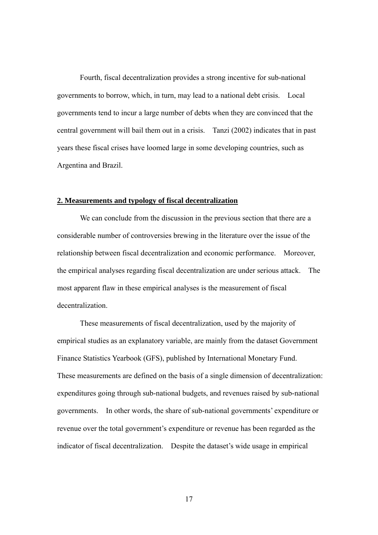Fourth, fiscal decentralization provides a strong incentive for sub-national governments to borrow, which, in turn, may lead to a national debt crisis. Local governments tend to incur a large number of debts when they are convinced that the central government will bail them out in a crisis. Tanzi (2002) indicates that in past years these fiscal crises have loomed large in some developing countries, such as Argentina and Brazil.

#### **2. Measurements and typology of fiscal decentralization**

 We can conclude from the discussion in the previous section that there are a considerable number of controversies brewing in the literature over the issue of the relationship between fiscal decentralization and economic performance. Moreover, the empirical analyses regarding fiscal decentralization are under serious attack. The most apparent flaw in these empirical analyses is the measurement of fiscal decentralization.

 These measurements of fiscal decentralization, used by the majority of empirical studies as an explanatory variable, are mainly from the dataset Government Finance Statistics Yearbook (GFS), published by International Monetary Fund. These measurements are defined on the basis of a single dimension of decentralization: expenditures going through sub-national budgets, and revenues raised by sub-national governments. In other words, the share of sub-national governments' expenditure or revenue over the total government's expenditure or revenue has been regarded as the indicator of fiscal decentralization. Despite the dataset's wide usage in empirical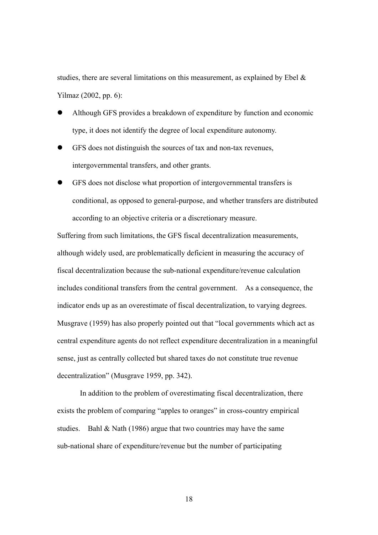studies, there are several limitations on this measurement, as explained by Ebel  $\&$ Yilmaz (2002, pp. 6):

- Although GFS provides a breakdown of expenditure by function and economic type, it does not identify the degree of local expenditure autonomy.
- GFS does not distinguish the sources of tax and non-tax revenues, intergovernmental transfers, and other grants.
- GFS does not disclose what proportion of intergovernmental transfers is conditional, as opposed to general-purpose, and whether transfers are distributed according to an objective criteria or a discretionary measure.

Suffering from such limitations, the GFS fiscal decentralization measurements, although widely used, are problematically deficient in measuring the accuracy of fiscal decentralization because the sub-national expenditure/revenue calculation includes conditional transfers from the central government. As a consequence, the indicator ends up as an overestimate of fiscal decentralization, to varying degrees. Musgrave (1959) has also properly pointed out that "local governments which act as central expenditure agents do not reflect expenditure decentralization in a meaningful sense, just as centrally collected but shared taxes do not constitute true revenue decentralization" (Musgrave 1959, pp. 342).

 In addition to the problem of overestimating fiscal decentralization, there exists the problem of comparing "apples to oranges" in cross-country empirical studies. Bahl  $& \text{Nath}$  (1986) argue that two countries may have the same sub-national share of expenditure/revenue but the number of participating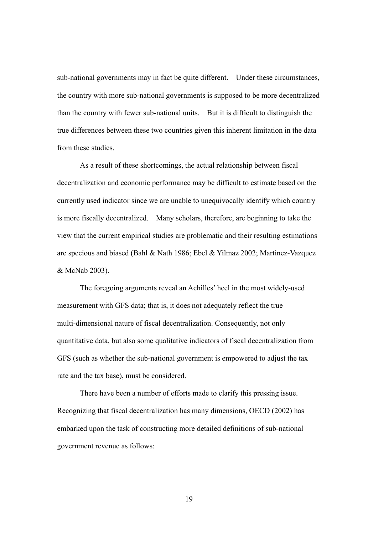sub-national governments may in fact be quite different. Under these circumstances, the country with more sub-national governments is supposed to be more decentralized than the country with fewer sub-national units. But it is difficult to distinguish the true differences between these two countries given this inherent limitation in the data from these studies.

 As a result of these shortcomings, the actual relationship between fiscal decentralization and economic performance may be difficult to estimate based on the currently used indicator since we are unable to unequivocally identify which country is more fiscally decentralized. Many scholars, therefore, are beginning to take the view that the current empirical studies are problematic and their resulting estimations are specious and biased (Bahl & Nath 1986; Ebel & Yilmaz 2002; Martinez-Vazquez & McNab 2003).

 The foregoing arguments reveal an Achilles' heel in the most widely-used measurement with GFS data; that is, it does not adequately reflect the true multi-dimensional nature of fiscal decentralization. Consequently, not only quantitative data, but also some qualitative indicators of fiscal decentralization from GFS (such as whether the sub-national government is empowered to adjust the tax rate and the tax base), must be considered.

 There have been a number of efforts made to clarify this pressing issue. Recognizing that fiscal decentralization has many dimensions, OECD (2002) has embarked upon the task of constructing more detailed definitions of sub-national government revenue as follows: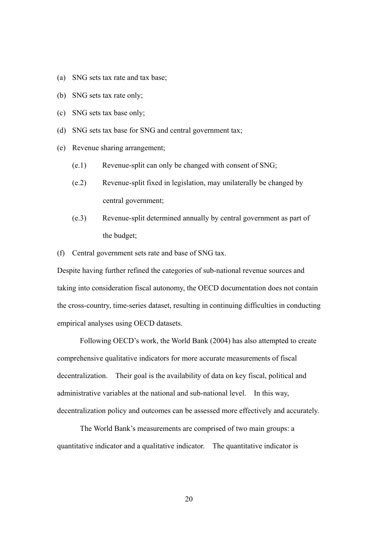- (a) SNG sets tax rate and tax base;
- (b) SNG sets tax rate only;
- (c) SNG sets tax base only;
- (d) SNG sets tax base for SNG and central government tax;
- (e) Revenue sharing arrangement;
	- (e.1) Revenue-split can only be changed with consent of SNG;
	- (e.2) Revenue-split fixed in legislation, may unilaterally be changed by central government;
	- (e.3) Revenue-split determined annually by central government as part of the budget;
- (f) Central government sets rate and base of SNG tax.

Despite having further refined the categories of sub-national revenue sources and taking into consideration fiscal autonomy, the OECD documentation does not contain the cross-country, time-series dataset, resulting in continuing difficulties in conducting empirical analyses using OECD datasets.

 Following OECD's work, the World Bank (2004) has also attempted to create comprehensive qualitative indicators for more accurate measurements of fiscal decentralization. Their goal is the availability of data on key fiscal, political and administrative variables at the national and sub-national level. In this way, decentralization policy and outcomes can be assessed more effectively and accurately.

 The World Bank's measurements are comprised of two main groups: a quantitative indicator and a qualitative indicator. The quantitative indicator is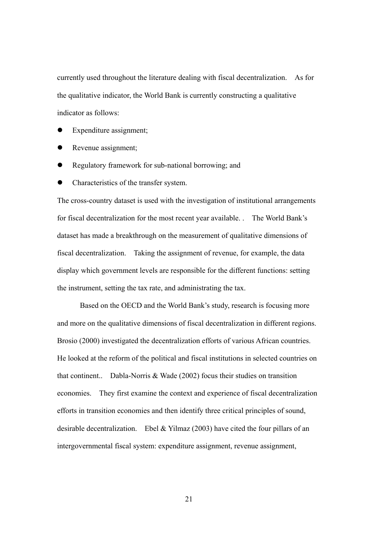currently used throughout the literature dealing with fiscal decentralization. As for the qualitative indicator, the World Bank is currently constructing a qualitative indicator as follows:

- Expenditure assignment;
- Revenue assignment;
- Regulatory framework for sub-national borrowing; and
- Characteristics of the transfer system.

The cross-country dataset is used with the investigation of institutional arrangements for fiscal decentralization for the most recent year available. . The World Bank's dataset has made a breakthrough on the measurement of qualitative dimensions of fiscal decentralization. Taking the assignment of revenue, for example, the data display which government levels are responsible for the different functions: setting the instrument, setting the tax rate, and administrating the tax.

 Based on the OECD and the World Bank's study, research is focusing more and more on the qualitative dimensions of fiscal decentralization in different regions. Brosio (2000) investigated the decentralization efforts of various African countries. He looked at the reform of the political and fiscal institutions in selected countries on that continent.. Dabla-Norris & Wade (2002) focus their studies on transition economies. They first examine the context and experience of fiscal decentralization efforts in transition economies and then identify three critical principles of sound, desirable decentralization. Ebel & Yilmaz (2003) have cited the four pillars of an intergovernmental fiscal system: expenditure assignment, revenue assignment,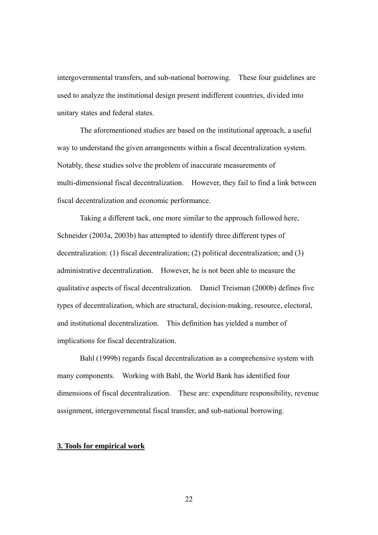intergovernmental transfers, and sub-national borrowing. These four guidelines are used to analyze the institutional design present indifferent countries, divided into unitary states and federal states.

 The aforementioned studies are based on the institutional approach, a useful way to understand the given arrangements within a fiscal decentralization system. Notably, these studies solve the problem of inaccurate measurements of multi-dimensional fiscal decentralization. However, they fail to find a link between fiscal decentralization and economic performance.

 Taking a different tack, one more similar to the approach followed here, Schneider (2003a, 2003b) has attempted to identify three different types of decentralization: (1) fiscal decentralization; (2) political decentralization; and (3) administrative decentralization. However, he is not been able to measure the qualitative aspects of fiscal decentralization. Daniel Treisman (2000b) defines five types of decentralization, which are structural, decision-making, resource, electoral, and institutional decentralization. This definition has yielded a number of implications for fiscal decentralization.

 Bahl (1999b) regards fiscal decentralization as a comprehensive system with many components. Working with Bahl, the World Bank has identified four dimensions of fiscal decentralization. These are: expenditure responsibility, revenue assignment, intergovernmental fiscal transfer, and sub-national borrowing.

#### **3. Tools for empirical work**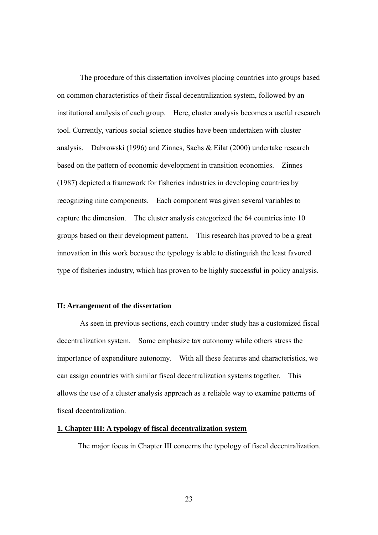The procedure of this dissertation involves placing countries into groups based on common characteristics of their fiscal decentralization system, followed by an institutional analysis of each group. Here, cluster analysis becomes a useful research tool. Currently, various social science studies have been undertaken with cluster analysis. Dabrowski (1996) and Zinnes, Sachs & Eilat (2000) undertake research based on the pattern of economic development in transition economies. Zinnes (1987) depicted a framework for fisheries industries in developing countries by recognizing nine components. Each component was given several variables to capture the dimension. The cluster analysis categorized the 64 countries into 10 groups based on their development pattern. This research has proved to be a great innovation in this work because the typology is able to distinguish the least favored type of fisheries industry, which has proven to be highly successful in policy analysis.

#### **II: Arrangement of the dissertation**

As seen in previous sections, each country under study has a customized fiscal decentralization system. Some emphasize tax autonomy while others stress the importance of expenditure autonomy. With all these features and characteristics, we can assign countries with similar fiscal decentralization systems together. This allows the use of a cluster analysis approach as a reliable way to examine patterns of fiscal decentralization.

#### **1. Chapter III: A typology of fiscal decentralization system**

The major focus in Chapter III concerns the typology of fiscal decentralization.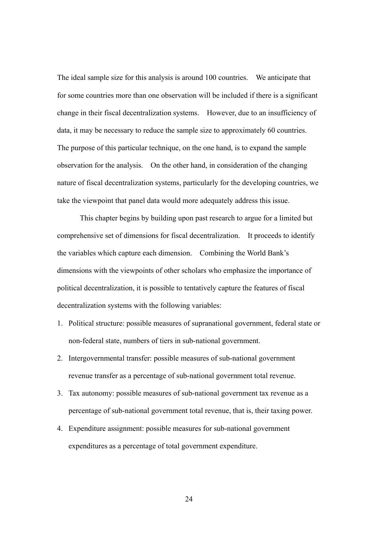The ideal sample size for this analysis is around 100 countries. We anticipate that for some countries more than one observation will be included if there is a significant change in their fiscal decentralization systems. However, due to an insufficiency of data, it may be necessary to reduce the sample size to approximately 60 countries. The purpose of this particular technique, on the one hand, is to expand the sample observation for the analysis. On the other hand, in consideration of the changing nature of fiscal decentralization systems, particularly for the developing countries, we take the viewpoint that panel data would more adequately address this issue.

This chapter begins by building upon past research to argue for a limited but comprehensive set of dimensions for fiscal decentralization. It proceeds to identify the variables which capture each dimension. Combining the World Bank's dimensions with the viewpoints of other scholars who emphasize the importance of political decentralization, it is possible to tentatively capture the features of fiscal decentralization systems with the following variables:

- 1. Political structure: possible measures of supranational government, federal state or non-federal state, numbers of tiers in sub-national government.
- 2. Intergovernmental transfer: possible measures of sub-national government revenue transfer as a percentage of sub-national government total revenue.
- 3. Tax autonomy: possible measures of sub-national government tax revenue as a percentage of sub-national government total revenue, that is, their taxing power.
- 4. Expenditure assignment: possible measures for sub-national government expenditures as a percentage of total government expenditure.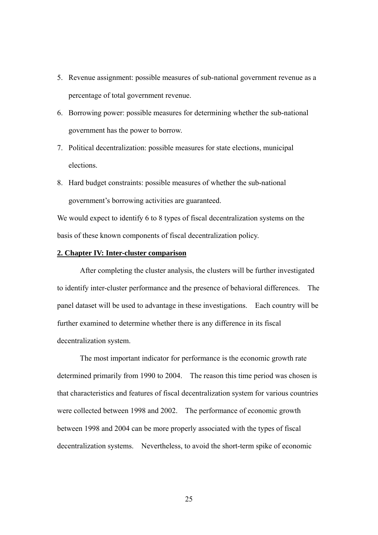- 5. Revenue assignment: possible measures of sub-national government revenue as a percentage of total government revenue.
- 6. Borrowing power: possible measures for determining whether the sub-national government has the power to borrow.
- 7. Political decentralization: possible measures for state elections, municipal elections.
- 8. Hard budget constraints: possible measures of whether the sub-national government's borrowing activities are guaranteed.

We would expect to identify 6 to 8 types of fiscal decentralization systems on the basis of these known components of fiscal decentralization policy.

#### **2. Chapter IV: Inter-cluster comparison**

 After completing the cluster analysis, the clusters will be further investigated to identify inter-cluster performance and the presence of behavioral differences. The panel dataset will be used to advantage in these investigations. Each country will be further examined to determine whether there is any difference in its fiscal decentralization system.

 The most important indicator for performance is the economic growth rate determined primarily from 1990 to 2004. The reason this time period was chosen is that characteristics and features of fiscal decentralization system for various countries were collected between 1998 and 2002. The performance of economic growth between 1998 and 2004 can be more properly associated with the types of fiscal decentralization systems. Nevertheless, to avoid the short-term spike of economic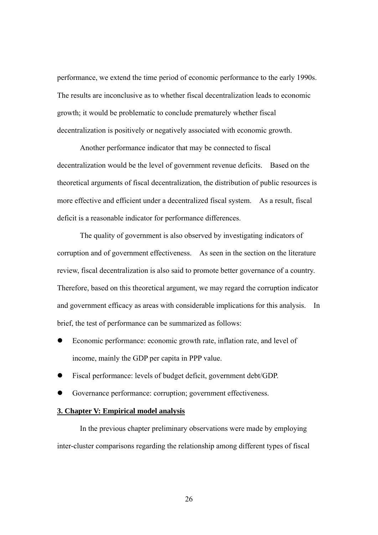performance, we extend the time period of economic performance to the early 1990s. The results are inconclusive as to whether fiscal decentralization leads to economic growth; it would be problematic to conclude prematurely whether fiscal decentralization is positively or negatively associated with economic growth.

 Another performance indicator that may be connected to fiscal decentralization would be the level of government revenue deficits. Based on the theoretical arguments of fiscal decentralization, the distribution of public resources is more effective and efficient under a decentralized fiscal system. As a result, fiscal deficit is a reasonable indicator for performance differences.

 The quality of government is also observed by investigating indicators of corruption and of government effectiveness. As seen in the section on the literature review, fiscal decentralization is also said to promote better governance of a country. Therefore, based on this theoretical argument, we may regard the corruption indicator and government efficacy as areas with considerable implications for this analysis. In brief, the test of performance can be summarized as follows:

- Economic performance: economic growth rate, inflation rate, and level of income, mainly the GDP per capita in PPP value.
- Fiscal performance: levels of budget deficit, government debt/GDP.
- Governance performance: corruption; government effectiveness.

#### **3. Chapter V: Empirical model analysis**

 In the previous chapter preliminary observations were made by employing inter-cluster comparisons regarding the relationship among different types of fiscal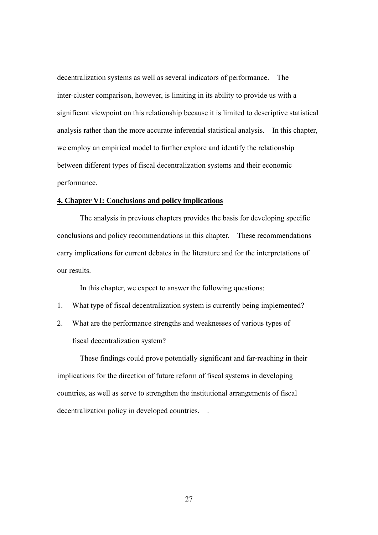decentralization systems as well as several indicators of performance. The inter-cluster comparison, however, is limiting in its ability to provide us with a significant viewpoint on this relationship because it is limited to descriptive statistical analysis rather than the more accurate inferential statistical analysis. In this chapter, we employ an empirical model to further explore and identify the relationship between different types of fiscal decentralization systems and their economic performance.

### **4. Chapter VI: Conclusions and policy implications**

 The analysis in previous chapters provides the basis for developing specific conclusions and policy recommendations in this chapter. These recommendations carry implications for current debates in the literature and for the interpretations of our results.

In this chapter, we expect to answer the following questions:

- 1. What type of fiscal decentralization system is currently being implemented?
- 2. What are the performance strengths and weaknesses of various types of fiscal decentralization system?

 These findings could prove potentially significant and far-reaching in their implications for the direction of future reform of fiscal systems in developing countries, as well as serve to strengthen the institutional arrangements of fiscal decentralization policy in developed countries. .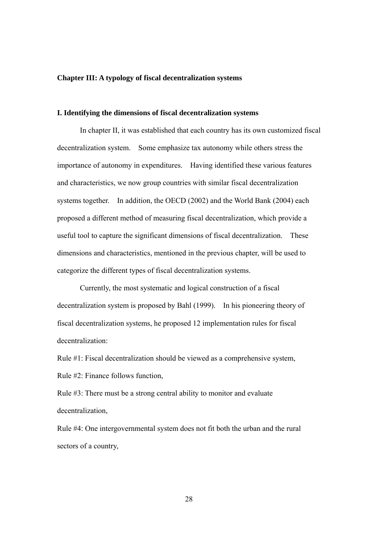#### **Chapter III: A typology of fiscal decentralization systems**

#### **I. Identifying the dimensions of fiscal decentralization systems**

 In chapter II, it was established that each country has its own customized fiscal decentralization system. Some emphasize tax autonomy while others stress the importance of autonomy in expenditures. Having identified these various features and characteristics, we now group countries with similar fiscal decentralization systems together. In addition, the OECD (2002) and the World Bank (2004) each proposed a different method of measuring fiscal decentralization, which provide a useful tool to capture the significant dimensions of fiscal decentralization. These dimensions and characteristics, mentioned in the previous chapter, will be used to categorize the different types of fiscal decentralization systems.

 Currently, the most systematic and logical construction of a fiscal decentralization system is proposed by Bahl (1999). In his pioneering theory of fiscal decentralization systems, he proposed 12 implementation rules for fiscal decentralization:

Rule #1: Fiscal decentralization should be viewed as a comprehensive system, Rule #2: Finance follows function,

Rule #3: There must be a strong central ability to monitor and evaluate decentralization,

Rule #4: One intergovernmental system does not fit both the urban and the rural sectors of a country,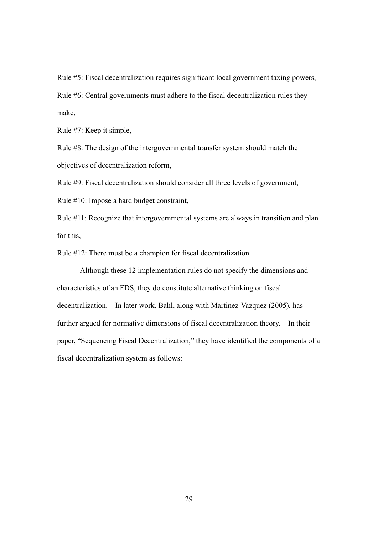Rule #5: Fiscal decentralization requires significant local government taxing powers, Rule #6: Central governments must adhere to the fiscal decentralization rules they make,

Rule #7: Keep it simple,

Rule #8: The design of the intergovernmental transfer system should match the objectives of decentralization reform,

Rule #9: Fiscal decentralization should consider all three levels of government,

Rule #10: Impose a hard budget constraint,

Rule #11: Recognize that intergovernmental systems are always in transition and plan for this,

Rule #12: There must be a champion for fiscal decentralization.

 Although these 12 implementation rules do not specify the dimensions and characteristics of an FDS, they do constitute alternative thinking on fiscal decentralization. In later work, Bahl, along with Martinez-Vazquez (2005), has further argued for normative dimensions of fiscal decentralization theory. In their paper, "Sequencing Fiscal Decentralization," they have identified the components of a fiscal decentralization system as follows: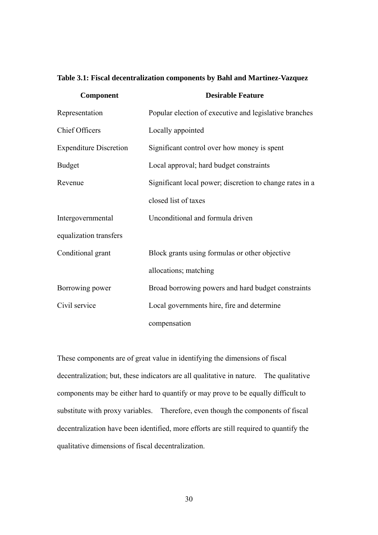| Component                     | <b>Desirable Feature</b>                                 |
|-------------------------------|----------------------------------------------------------|
| Representation                | Popular election of executive and legislative branches   |
| <b>Chief Officers</b>         | Locally appointed                                        |
| <b>Expenditure Discretion</b> | Significant control over how money is spent              |
| <b>Budget</b>                 | Local approval; hard budget constraints                  |
| Revenue                       | Significant local power; discretion to change rates in a |
|                               | closed list of taxes                                     |
| Intergovernmental             | Unconditional and formula driven                         |
| equalization transfers        |                                                          |
| Conditional grant             | Block grants using formulas or other objective           |
|                               | allocations; matching                                    |
| Borrowing power               | Broad borrowing powers and hard budget constraints       |
| Civil service                 | Local governments hire, fire and determine               |
|                               | compensation                                             |

These components are of great value in identifying the dimensions of fiscal decentralization; but, these indicators are all qualitative in nature. The qualitative components may be either hard to quantify or may prove to be equally difficult to substitute with proxy variables. Therefore, even though the components of fiscal decentralization have been identified, more efforts are still required to quantify the qualitative dimensions of fiscal decentralization.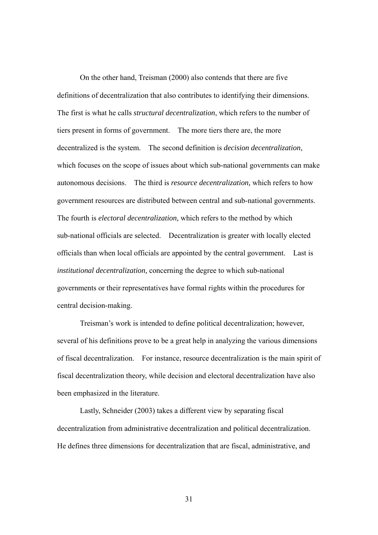On the other hand, Treisman (2000) also contends that there are five definitions of decentralization that also contributes to identifying their dimensions. The first is what he calls *structural decentralization*, which refers to the number of tiers present in forms of government. The more tiers there are, the more decentralized is the system. The second definition is *decision decentralization*, which focuses on the scope of issues about which sub-national governments can make autonomous decisions. The third is *resource decentralization,* which refers to how government resources are distributed between central and sub-national governments. The fourth is *electoral decentralization,* which refers to the method by which sub-national officials are selected. Decentralization is greater with locally elected officials than when local officials are appointed by the central government. Last is *institutional decentralization,* concerning the degree to which sub-national governments or their representatives have formal rights within the procedures for central decision-making.

 Treisman's work is intended to define political decentralization; however, several of his definitions prove to be a great help in analyzing the various dimensions of fiscal decentralization. For instance, resource decentralization is the main spirit of fiscal decentralization theory, while decision and electoral decentralization have also been emphasized in the literature.

 Lastly, Schneider (2003) takes a different view by separating fiscal decentralization from administrative decentralization and political decentralization. He defines three dimensions for decentralization that are fiscal, administrative, and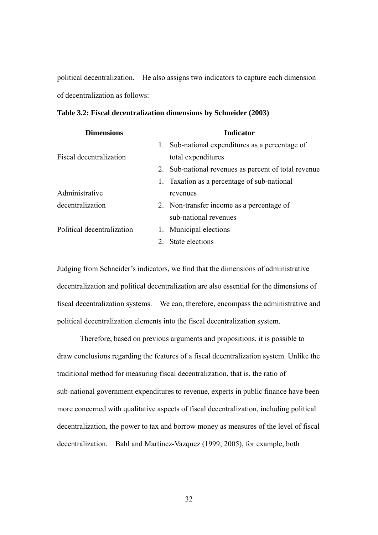political decentralization. He also assigns two indicators to capture each dimension of decentralization as follows:

| Table 3.2: Fiscal decentralization dimensions by Schneider (2003) |  |  |  |
|-------------------------------------------------------------------|--|--|--|
|                                                                   |  |  |  |

| <b>Indicator</b>                                     |
|------------------------------------------------------|
| 1. Sub-national expenditures as a percentage of      |
| total expenditures                                   |
| 2. Sub-national revenues as percent of total revenue |
| 1. Taxation as a percentage of sub-national          |
| revenues                                             |
| 2. Non-transfer income as a percentage of            |
| sub-national revenues                                |
| 1. Municipal elections                               |
| 2. State elections                                   |
|                                                      |

Judging from Schneider's indicators, we find that the dimensions of administrative decentralization and political decentralization are also essential for the dimensions of fiscal decentralization systems. We can, therefore, encompass the administrative and political decentralization elements into the fiscal decentralization system.

 Therefore, based on previous arguments and propositions, it is possible to draw conclusions regarding the features of a fiscal decentralization system. Unlike the traditional method for measuring fiscal decentralization, that is, the ratio of sub-national government expenditures to revenue, experts in public finance have been more concerned with qualitative aspects of fiscal decentralization, including political decentralization, the power to tax and borrow money as measures of the level of fiscal decentralization. Bahl and Martinez-Vazquez (1999; 2005), for example, both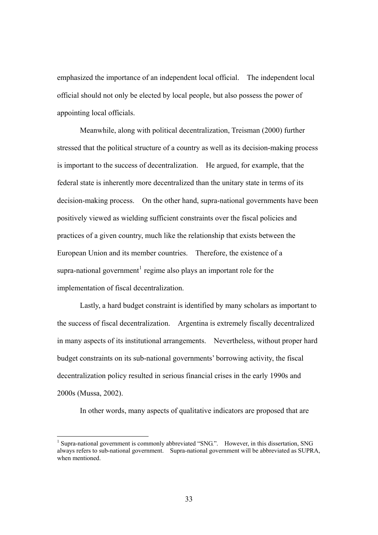<span id="page-43-0"></span>emphasized the importance of an independent local official. The independent local official should not only be elected by local people, but also possess the power of appointing local officials.

 Meanwhile, along with political decentralization, Treisman (2000) further stressed that the political structure of a country as well as its decision-making process is important to the success of decentralization. He argued, for example, that the federal state is inherently more decentralized than the unitary state in terms of its decision-making process. On the other hand, supra-national governments have been positively viewed as wielding sufficient constraints over the fiscal policies and practices of a given country, much like the relationship that exists between the European Union and its member countries. Therefore, the existence of a supra-national government<sup>[1](#page-43-0)</sup> regime also plays an important role for the implementation of fiscal decentralization.

 Lastly, a hard budget constraint is identified by many scholars as important to the success of fiscal decentralization. Argentina is extremely fiscally decentralized in many aspects of its institutional arrangements. Nevertheless, without proper hard budget constraints on its sub-national governments' borrowing activity, the fiscal decentralization policy resulted in serious financial crises in the early 1990s and 2000s (Mussa, 2002).

In other words, many aspects of qualitative indicators are proposed that are

<sup>&</sup>lt;sup>1</sup> Supra-national government is commonly abbreviated "SNG.". However, in this dissertation, SNG always refers to sub-national government. Supra-national government will be abbreviated as SUPRA, when mentioned.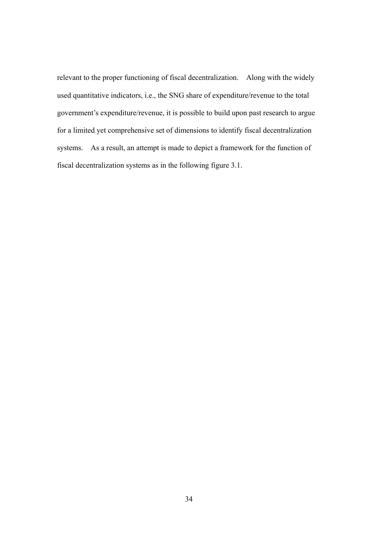relevant to the proper functioning of fiscal decentralization. Along with the widely used quantitative indicators, i.e., the SNG share of expenditure/revenue to the total government's expenditure/revenue, it is possible to build upon past research to argue for a limited yet comprehensive set of dimensions to identify fiscal decentralization systems. As a result, an attempt is made to depict a framework for the function of fiscal decentralization systems as in the following figure 3.1.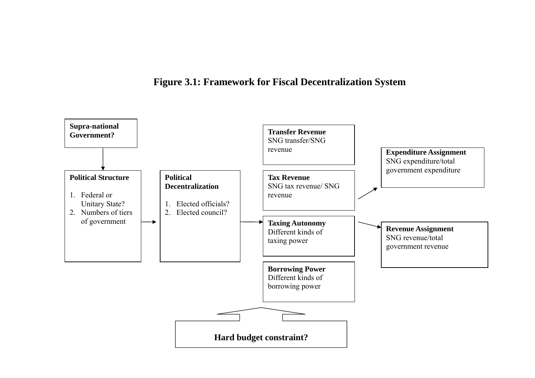# **Figure 3.1: Framework for Fiscal Decentralization System**

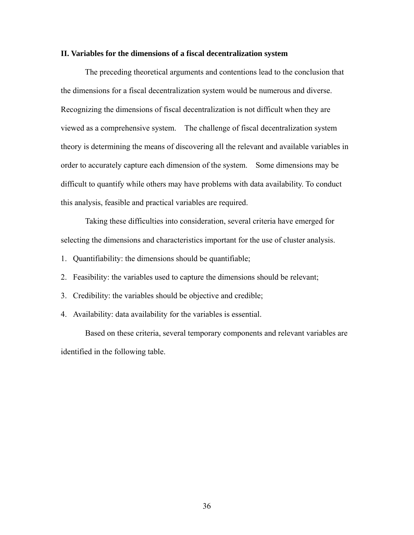#### **II. Variables for the dimensions of a fiscal decentralization system**

 The preceding theoretical arguments and contentions lead to the conclusion that the dimensions for a fiscal decentralization system would be numerous and diverse. Recognizing the dimensions of fiscal decentralization is not difficult when they are viewed as a comprehensive system. The challenge of fiscal decentralization system theory is determining the means of discovering all the relevant and available variables in order to accurately capture each dimension of the system. Some dimensions may be difficult to quantify while others may have problems with data availability. To conduct this analysis, feasible and practical variables are required.

 Taking these difficulties into consideration, several criteria have emerged for selecting the dimensions and characteristics important for the use of cluster analysis.

- 1. Quantifiability: the dimensions should be quantifiable;
- 2. Feasibility: the variables used to capture the dimensions should be relevant;
- 3. Credibility: the variables should be objective and credible;
- 4. Availability: data availability for the variables is essential.

 Based on these criteria, several temporary components and relevant variables are identified in the following table.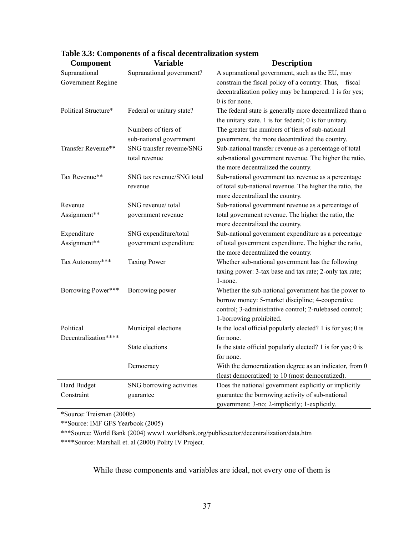| <b>Component</b>     | <b>Variable</b>           | <b>Description</b>                                          |
|----------------------|---------------------------|-------------------------------------------------------------|
| Supranational        | Supranational government? | A supranational government, such as the EU, may             |
| Government Regime    |                           | constrain the fiscal policy of a country. Thus, fiscal      |
|                      |                           | decentralization policy may be hampered. 1 is for yes;      |
|                      |                           | 0 is for none.                                              |
| Political Structure* | Federal or unitary state? | The federal state is generally more decentralized than a    |
|                      |                           | the unitary state. $1$ is for federal; $0$ is for unitary.  |
|                      | Numbers of tiers of       | The greater the numbers of tiers of sub-national            |
|                      | sub-national government   | government, the more decentralized the country.             |
| Transfer Revenue**   | SNG transfer revenue/SNG  | Sub-national transfer revenue as a percentage of total      |
|                      | total revenue             | sub-national government revenue. The higher the ratio,      |
|                      |                           | the more decentralized the country.                         |
| Tax Revenue**        | SNG tax revenue/SNG total | Sub-national government tax revenue as a percentage         |
|                      | revenue                   | of total sub-national revenue. The higher the ratio, the    |
|                      |                           | more decentralized the country.                             |
| Revenue              | SNG revenue/total         | Sub-national government revenue as a percentage of          |
| Assignment**         | government revenue        | total government revenue. The higher the ratio, the         |
|                      |                           | more decentralized the country.                             |
| Expenditure          | SNG expenditure/total     | Sub-national government expenditure as a percentage         |
| Assignment**         | government expenditure    | of total government expenditure. The higher the ratio,      |
|                      |                           | the more decentralized the country.                         |
| Tax Autonomy***      | <b>Taxing Power</b>       | Whether sub-national government has the following           |
|                      |                           | taxing power: 3-tax base and tax rate; 2-only tax rate;     |
|                      |                           | 1-none.                                                     |
| Borrowing Power***   | Borrowing power           | Whether the sub-national government has the power to        |
|                      |                           | borrow money: 5-market discipline; 4-cooperative            |
|                      |                           | control; 3-administrative control; 2-rulebased control;     |
|                      |                           | 1-borrowing prohibited.                                     |
| Political            | Municipal elections       | Is the local official popularly elected? 1 is for yes; 0 is |
| Decentralization**** |                           | for none.                                                   |
|                      | State elections           | Is the state official popularly elected? 1 is for yes; 0 is |
|                      |                           | for none.                                                   |
|                      | Democracy                 | With the democratization degree as an indicator, from 0     |
|                      |                           | (least democratized) to 10 (most democratized).             |
| Hard Budget          | SNG borrowing activities  | Does the national government explicitly or implicitly       |
| Constraint           | guarantee                 | guarantee the borrowing activity of sub-national            |
|                      |                           | government: 3-no; 2-implicitly; 1-explicitly.               |

## **Table 3.3: Components of a fiscal decentralization system**

\*Source: Treisman (2000b)

\*\*Source: IMF GFS Yearbook (2005)

\*\*\*Source: World Bank (2004) www1.worldbank.org/publicsector/decentralization/data.htm

\*\*\*\*Source: Marshall et. al (2000) Polity IV Project.

While these components and variables are ideal, not every one of them is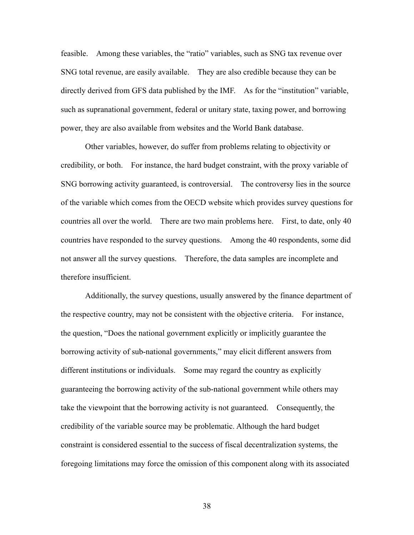feasible. Among these variables, the "ratio" variables, such as SNG tax revenue over SNG total revenue, are easily available. They are also credible because they can be directly derived from GFS data published by the IMF. As for the "institution" variable, such as supranational government, federal or unitary state, taxing power, and borrowing power, they are also available from websites and the World Bank database.

 Other variables, however, do suffer from problems relating to objectivity or credibility, or both. For instance, the hard budget constraint, with the proxy variable of SNG borrowing activity guaranteed, is controversial. The controversy lies in the source of the variable which comes from the OECD website which provides survey questions for countries all over the world. There are two main problems here. First, to date, only 40 countries have responded to the survey questions. Among the 40 respondents, some did not answer all the survey questions. Therefore, the data samples are incomplete and therefore insufficient.

 Additionally, the survey questions, usually answered by the finance department of the respective country, may not be consistent with the objective criteria. For instance, the question, "Does the national government explicitly or implicitly guarantee the borrowing activity of sub-national governments," may elicit different answers from different institutions or individuals. Some may regard the country as explicitly guaranteeing the borrowing activity of the sub-national government while others may take the viewpoint that the borrowing activity is not guaranteed. Consequently, the credibility of the variable source may be problematic. Although the hard budget constraint is considered essential to the success of fiscal decentralization systems, the foregoing limitations may force the omission of this component along with its associated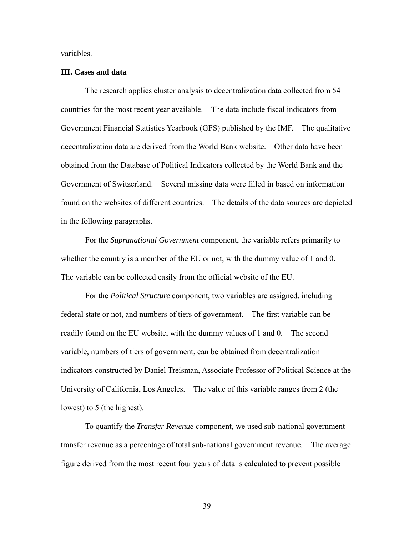variables.

#### **III. Cases and data**

 The research applies cluster analysis to decentralization data collected from 54 countries for the most recent year available. The data include fiscal indicators from Government Financial Statistics Yearbook (GFS) published by the IMF. The qualitative decentralization data are derived from the World Bank website. Other data have been obtained from the Database of Political Indicators collected by the World Bank and the Government of Switzerland. Several missing data were filled in based on information found on the websites of different countries. The details of the data sources are depicted in the following paragraphs.

 For the *Supranational Government* component, the variable refers primarily to whether the country is a member of the EU or not, with the dummy value of 1 and 0. The variable can be collected easily from the official website of the EU.

 For the *Political Structure* component, two variables are assigned, including federal state or not, and numbers of tiers of government. The first variable can be readily found on the EU website, with the dummy values of 1 and 0. The second variable, numbers of tiers of government, can be obtained from decentralization indicators constructed by Daniel Treisman, Associate Professor of Political Science at the University of California, Los Angeles. The value of this variable ranges from 2 (the lowest) to 5 (the highest).

 To quantify the *Transfer Revenue* component, we used sub-national government transfer revenue as a percentage of total sub-national government revenue. The average figure derived from the most recent four years of data is calculated to prevent possible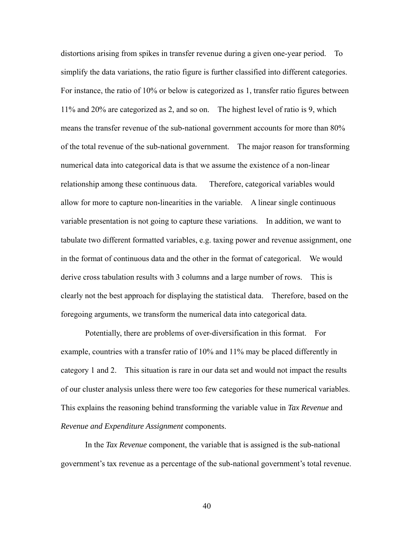distortions arising from spikes in transfer revenue during a given one-year period. To simplify the data variations, the ratio figure is further classified into different categories. For instance, the ratio of 10% or below is categorized as 1, transfer ratio figures between 11% and 20% are categorized as 2, and so on. The highest level of ratio is 9, which means the transfer revenue of the sub-national government accounts for more than 80% of the total revenue of the sub-national government. The major reason for transforming numerical data into categorical data is that we assume the existence of a non-linear relationship among these continuous data. Therefore, categorical variables would allow for more to capture non-linearities in the variable. A linear single continuous variable presentation is not going to capture these variations. In addition, we want to tabulate two different formatted variables, e.g. taxing power and revenue assignment, one in the format of continuous data and the other in the format of categorical. We would derive cross tabulation results with 3 columns and a large number of rows. This is clearly not the best approach for displaying the statistical data. Therefore, based on the foregoing arguments, we transform the numerical data into categorical data.

 Potentially, there are problems of over-diversification in this format. For example, countries with a transfer ratio of 10% and 11% may be placed differently in category 1 and 2. This situation is rare in our data set and would not impact the results of our cluster analysis unless there were too few categories for these numerical variables. This explains the reasoning behind transforming the variable value in *Tax Revenue* and *Revenue and Expenditure Assignment* components.

 In the *Tax Revenue* component, the variable that is assigned is the sub-national government's tax revenue as a percentage of the sub-national government's total revenue.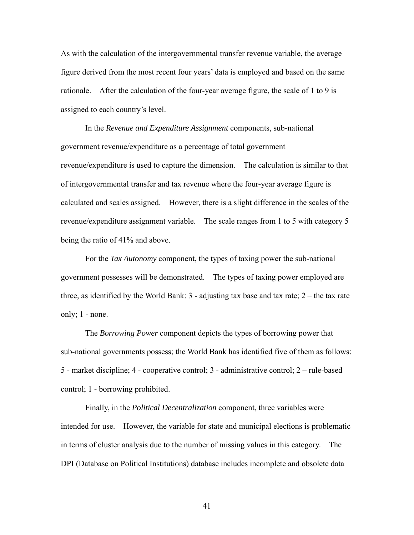As with the calculation of the intergovernmental transfer revenue variable, the average figure derived from the most recent four years' data is employed and based on the same rationale. After the calculation of the four-year average figure, the scale of 1 to 9 is assigned to each country's level.

 In the *Revenue and Expenditure Assignment* components, sub-national government revenue/expenditure as a percentage of total government revenue/expenditure is used to capture the dimension. The calculation is similar to that of intergovernmental transfer and tax revenue where the four-year average figure is calculated and scales assigned. However, there is a slight difference in the scales of the revenue/expenditure assignment variable. The scale ranges from 1 to 5 with category 5 being the ratio of 41% and above.

 For the *Tax Autonomy* component, the types of taxing power the sub-national government possesses will be demonstrated. The types of taxing power employed are three, as identified by the World Bank: 3 - adjusting tax base and tax rate; 2 – the tax rate only; 1 - none.

 The *Borrowing Power* component depicts the types of borrowing power that sub-national governments possess; the World Bank has identified five of them as follows: 5 - market discipline; 4 - cooperative control; 3 - administrative control; 2 – rule-based control; 1 - borrowing prohibited.

 Finally, in the *Political Decentralization* component, three variables were intended for use. However, the variable for state and municipal elections is problematic in terms of cluster analysis due to the number of missing values in this category. The DPI (Database on Political Institutions) database includes incomplete and obsolete data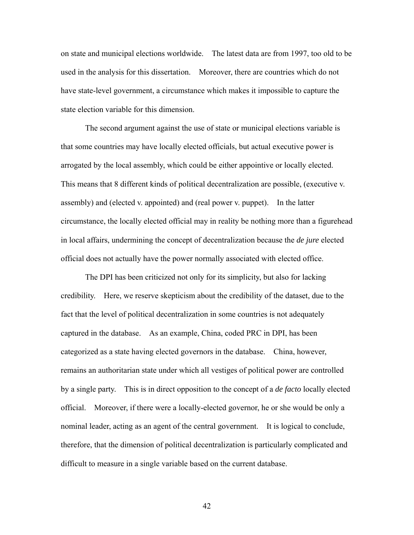on state and municipal elections worldwide. The latest data are from 1997, too old to be used in the analysis for this dissertation. Moreover, there are countries which do not have state-level government, a circumstance which makes it impossible to capture the state election variable for this dimension.

 The second argument against the use of state or municipal elections variable is that some countries may have locally elected officials, but actual executive power is arrogated by the local assembly, which could be either appointive or locally elected. This means that 8 different kinds of political decentralization are possible, (executive v. assembly) and (elected v. appointed) and (real power v. puppet). In the latter circumstance, the locally elected official may in reality be nothing more than a figurehead in local affairs, undermining the concept of decentralization because the *de jure* elected official does not actually have the power normally associated with elected office.

 The DPI has been criticized not only for its simplicity, but also for lacking credibility. Here, we reserve skepticism about the credibility of the dataset, due to the fact that the level of political decentralization in some countries is not adequately captured in the database. As an example, China, coded PRC in DPI, has been categorized as a state having elected governors in the database. China, however, remains an authoritarian state under which all vestiges of political power are controlled by a single party. This is in direct opposition to the concept of a *de facto* locally elected official. Moreover, if there were a locally-elected governor, he or she would be only a nominal leader, acting as an agent of the central government. It is logical to conclude, therefore, that the dimension of political decentralization is particularly complicated and difficult to measure in a single variable based on the current database.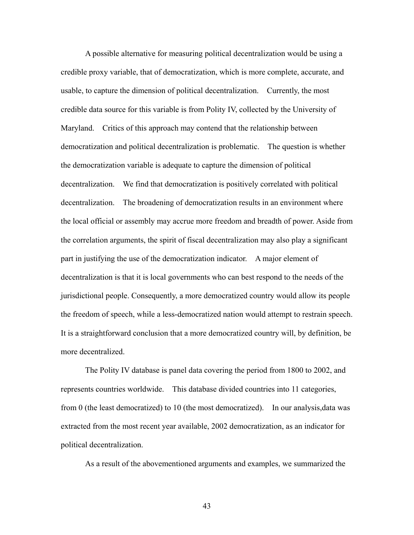A possible alternative for measuring political decentralization would be using a credible proxy variable, that of democratization, which is more complete, accurate, and usable, to capture the dimension of political decentralization. Currently, the most credible data source for this variable is from Polity IV, collected by the University of Maryland. Critics of this approach may contend that the relationship between democratization and political decentralization is problematic. The question is whether the democratization variable is adequate to capture the dimension of political decentralization. We find that democratization is positively correlated with political decentralization. The broadening of democratization results in an environment where the local official or assembly may accrue more freedom and breadth of power. Aside from the correlation arguments, the spirit of fiscal decentralization may also play a significant part in justifying the use of the democratization indicator. A major element of decentralization is that it is local governments who can best respond to the needs of the jurisdictional people. Consequently, a more democratized country would allow its people the freedom of speech, while a less-democratized nation would attempt to restrain speech. It is a straightforward conclusion that a more democratized country will, by definition, be more decentralized.

 The Polity IV database is panel data covering the period from 1800 to 2002, and represents countries worldwide. This database divided countries into 11 categories, from 0 (the least democratized) to 10 (the most democratized). In our analysis,data was extracted from the most recent year available, 2002 democratization, as an indicator for political decentralization.

As a result of the abovementioned arguments and examples, we summarized the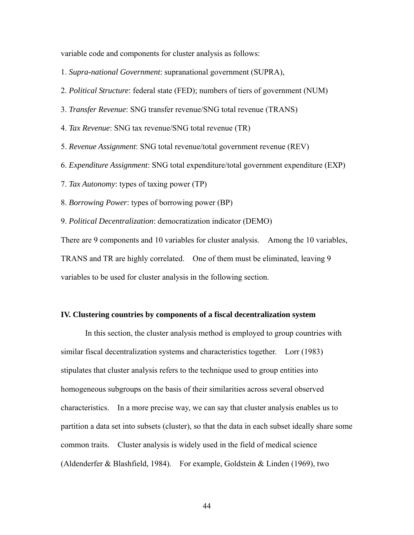variable code and components for cluster analysis as follows:

- 1. *Supra-national Government*: supranational government (SUPRA),
- 2. *Political Structure*: federal state (FED); numbers of tiers of government (NUM)
- 3. *Transfer Revenue*: SNG transfer revenue/SNG total revenue (TRANS)
- 4. *Tax Revenue*: SNG tax revenue/SNG total revenue (TR)
- 5. *Revenue Assignment*: SNG total revenue/total government revenue (REV)
- 6. *Expenditure Assignment*: SNG total expenditure/total government expenditure (EXP)
- 7. *Tax Autonomy*: types of taxing power (TP)
- 8. *Borrowing Power*: types of borrowing power (BP)
- 9. *Political Decentralization*: democratization indicator (DEMO)

There are 9 components and 10 variables for cluster analysis. Among the 10 variables, TRANS and TR are highly correlated. One of them must be eliminated, leaving 9 variables to be used for cluster analysis in the following section.

#### **IV. Clustering countries by components of a fiscal decentralization system**

 In this section, the cluster analysis method is employed to group countries with similar fiscal decentralization systems and characteristics together. Lorr (1983) stipulates that cluster analysis refers to the technique used to group entities into homogeneous subgroups on the basis of their similarities across several observed characteristics. In a more precise way, we can say that cluster analysis enables us to partition a data set into subsets (cluster), so that the data in each subset ideally share some common traits. Cluster analysis is widely used in the field of medical science (Aldenderfer & Blashfield, 1984). For example, Goldstein & Linden (1969), two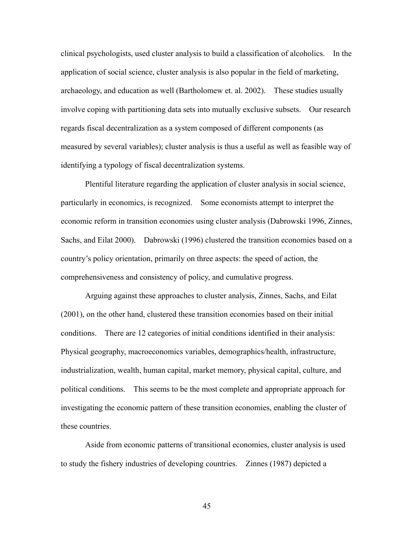clinical psychologists, used cluster analysis to build a classification of alcoholics. In the application of social science, cluster analysis is also popular in the field of marketing, archaeology, and education as well (Bartholomew et. al. 2002). These studies usually involve coping with partitioning data sets into mutually exclusive subsets. Our research regards fiscal decentralization as a system composed of different components (as measured by several variables); cluster analysis is thus a useful as well as feasible way of identifying a typology of fiscal decentralization systems.

 Plentiful literature regarding the application of cluster analysis in social science, particularly in economics, is recognized. Some economists attempt to interpret the economic reform in transition economies using cluster analysis (Dabrowski 1996, Zinnes, Sachs, and Eilat 2000). Dabrowski (1996) clustered the transition economies based on a country's policy orientation, primarily on three aspects: the speed of action, the comprehensiveness and consistency of policy, and cumulative progress.

 Arguing against these approaches to cluster analysis, Zinnes, Sachs, and Eilat (2001), on the other hand, clustered these transition economies based on their initial conditions. There are 12 categories of initial conditions identified in their analysis: Physical geography, macroeconomics variables, demographics/health, infrastructure, industrialization, wealth, human capital, market memory, physical capital, culture, and political conditions. This seems to be the most complete and appropriate approach for investigating the economic pattern of these transition economies, enabling the cluster of these countries.

 Aside from economic patterns of transitional economies, cluster analysis is used to study the fishery industries of developing countries. Zinnes (1987) depicted a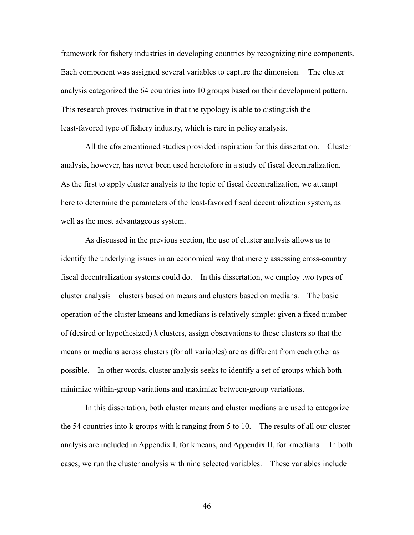framework for fishery industries in developing countries by recognizing nine components. Each component was assigned several variables to capture the dimension. The cluster analysis categorized the 64 countries into 10 groups based on their development pattern. This research proves instructive in that the typology is able to distinguish the least-favored type of fishery industry, which is rare in policy analysis.

 All the aforementioned studies provided inspiration for this dissertation. Cluster analysis, however, has never been used heretofore in a study of fiscal decentralization. As the first to apply cluster analysis to the topic of fiscal decentralization, we attempt here to determine the parameters of the least-favored fiscal decentralization system, as well as the most advantageous system.

 As discussed in the previous section, the use of cluster analysis allows us to identify the underlying issues in an economical way that merely assessing cross-country fiscal decentralization systems could do. In this dissertation, we employ two types of cluster analysis—clusters based on means and clusters based on medians. The basic operation of the cluster kmeans and kmedians is relatively simple: given a fixed number of (desired or hypothesized) *k* clusters, assign observations to those clusters so that the means or medians across clusters (for all variables) are as different from each other as possible. In other words, cluster analysis seeks to identify a set of groups which both minimize within-group variations and maximize between-group variations.

 In this dissertation, both cluster means and cluster medians are used to categorize the 54 countries into k groups with k ranging from 5 to 10. The results of all our cluster analysis are included in Appendix I, for kmeans, and Appendix II, for kmedians. In both cases, we run the cluster analysis with nine selected variables. These variables include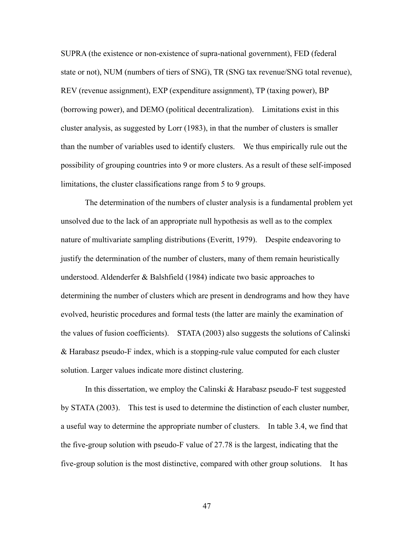SUPRA (the existence or non-existence of supra-national government), FED (federal state or not), NUM (numbers of tiers of SNG), TR (SNG tax revenue/SNG total revenue), REV (revenue assignment), EXP (expenditure assignment), TP (taxing power), BP (borrowing power), and DEMO (political decentralization). Limitations exist in this cluster analysis, as suggested by Lorr (1983), in that the number of clusters is smaller than the number of variables used to identify clusters. We thus empirically rule out the possibility of grouping countries into 9 or more clusters. As a result of these self-imposed limitations, the cluster classifications range from 5 to 9 groups.

 The determination of the numbers of cluster analysis is a fundamental problem yet unsolved due to the lack of an appropriate null hypothesis as well as to the complex nature of multivariate sampling distributions (Everitt, 1979). Despite endeavoring to justify the determination of the number of clusters, many of them remain heuristically understood. Aldenderfer & Balshfield (1984) indicate two basic approaches to determining the number of clusters which are present in dendrograms and how they have evolved, heuristic procedures and formal tests (the latter are mainly the examination of the values of fusion coefficients). STATA (2003) also suggests the solutions of Calinski & Harabasz pseudo-F index, which is a stopping-rule value computed for each cluster solution. Larger values indicate more distinct clustering.

 In this dissertation, we employ the Calinski & Harabasz pseudo-F test suggested by STATA (2003). This test is used to determine the distinction of each cluster number, a useful way to determine the appropriate number of clusters. In table 3.4, we find that the five-group solution with pseudo-F value of 27.78 is the largest, indicating that the five-group solution is the most distinctive, compared with other group solutions. It has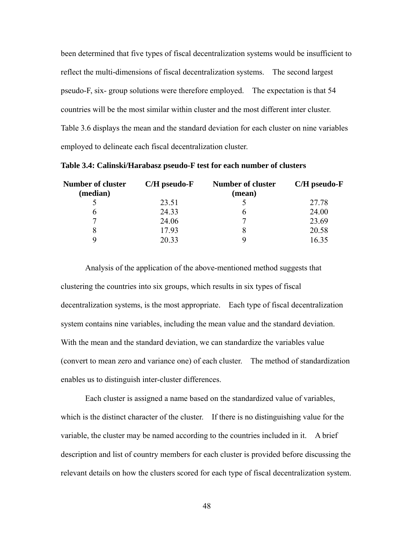been determined that five types of fiscal decentralization systems would be insufficient to reflect the multi-dimensions of fiscal decentralization systems. The second largest pseudo-F, six- group solutions were therefore employed. The expectation is that 54 countries will be the most similar within cluster and the most different inter cluster. Table 3.6 displays the mean and the standard deviation for each cluster on nine variables employed to delineate each fiscal decentralization cluster.

| <b>Number of cluster</b><br>(median) | $C/H$ pseudo- $F$ | <b>Number of cluster</b><br>(mean) | $C/H$ pseudo- $F$ |  |  |
|--------------------------------------|-------------------|------------------------------------|-------------------|--|--|
|                                      | 23.51             |                                    | 27.78             |  |  |
| b                                    | 24.33             | n                                  | 24.00             |  |  |
| 7                                    | 24.06             |                                    | 23.69             |  |  |
| 8                                    | 17.93             | 8                                  | 20.58             |  |  |
| Q                                    | 20.33             | Q                                  | 16.35             |  |  |

**Table 3.4: Calinski/Harabasz pseudo-F test for each number of clusters** 

 Analysis of the application of the above-mentioned method suggests that clustering the countries into six groups, which results in six types of fiscal decentralization systems, is the most appropriate. Each type of fiscal decentralization system contains nine variables, including the mean value and the standard deviation. With the mean and the standard deviation, we can standardize the variables value (convert to mean zero and variance one) of each cluster. The method of standardization enables us to distinguish inter-cluster differences.

 Each cluster is assigned a name based on the standardized value of variables, which is the distinct character of the cluster. If there is no distinguishing value for the variable, the cluster may be named according to the countries included in it. A brief description and list of country members for each cluster is provided before discussing the relevant details on how the clusters scored for each type of fiscal decentralization system.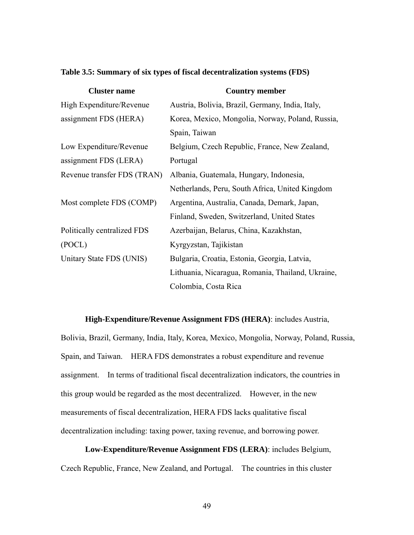|  |  |  | Table 3.5: Summary of six types of fiscal decentralization systems (FDS) |  |
|--|--|--|--------------------------------------------------------------------------|--|
|  |  |  |                                                                          |  |

| <b>Cluster name</b>         | <b>Country member</b>                             |
|-----------------------------|---------------------------------------------------|
| High Expenditure/Revenue    | Austria, Bolivia, Brazil, Germany, India, Italy,  |
| assignment FDS (HERA)       | Korea, Mexico, Mongolia, Norway, Poland, Russia,  |
|                             | Spain, Taiwan                                     |
| Low Expenditure/Revenue     | Belgium, Czech Republic, France, New Zealand,     |
| assignment FDS (LERA)       | Portugal                                          |
| Revenue transfer FDS (TRAN) | Albania, Guatemala, Hungary, Indonesia,           |
|                             | Netherlands, Peru, South Africa, United Kingdom   |
| Most complete FDS (COMP)    | Argentina, Australia, Canada, Demark, Japan,      |
|                             | Finland, Sweden, Switzerland, United States       |
| Politically centralized FDS | Azerbaijan, Belarus, China, Kazakhstan,           |
| (POCL)                      | Kyrgyzstan, Tajikistan                            |
| Unitary State FDS (UNIS)    | Bulgaria, Croatia, Estonia, Georgia, Latvia,      |
|                             | Lithuania, Nicaragua, Romania, Thailand, Ukraine, |
|                             | Colombia, Costa Rica                              |

 **High-Expenditure/Revenue Assignment FDS (HERA)**: includes Austria,

Bolivia, Brazil, Germany, India, Italy, Korea, Mexico, Mongolia, Norway, Poland, Russia, Spain, and Taiwan. HERA FDS demonstrates a robust expenditure and revenue assignment. In terms of traditional fiscal decentralization indicators, the countries in this group would be regarded as the most decentralized. However, in the new measurements of fiscal decentralization, HERA FDS lacks qualitative fiscal decentralization including: taxing power, taxing revenue, and borrowing power.

 **Low-Expenditure/Revenue Assignment FDS (LERA)**: includes Belgium, Czech Republic, France, New Zealand, and Portugal. The countries in this cluster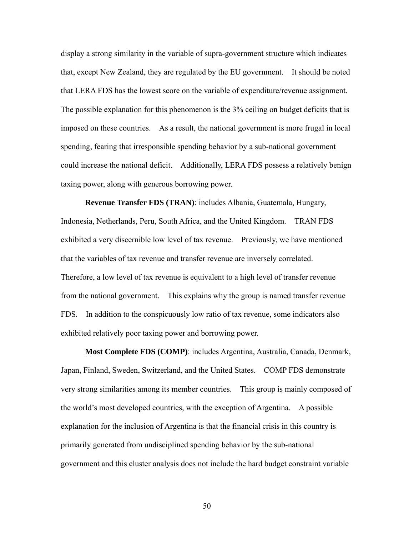display a strong similarity in the variable of supra-government structure which indicates that, except New Zealand, they are regulated by the EU government. It should be noted that LERA FDS has the lowest score on the variable of expenditure/revenue assignment. The possible explanation for this phenomenon is the 3% ceiling on budget deficits that is imposed on these countries. As a result, the national government is more frugal in local spending, fearing that irresponsible spending behavior by a sub-national government could increase the national deficit. Additionally, LERA FDS possess a relatively benign taxing power, along with generous borrowing power.

 **Revenue Transfer FDS (TRAN)**: includes Albania, Guatemala, Hungary, Indonesia, Netherlands, Peru, South Africa, and the United Kingdom. TRAN FDS exhibited a very discernible low level of tax revenue. Previously, we have mentioned that the variables of tax revenue and transfer revenue are inversely correlated. Therefore, a low level of tax revenue is equivalent to a high level of transfer revenue from the national government. This explains why the group is named transfer revenue FDS. In addition to the conspicuously low ratio of tax revenue, some indicators also exhibited relatively poor taxing power and borrowing power.

 **Most Complete FDS (COMP)**: includes Argentina, Australia, Canada, Denmark, Japan, Finland, Sweden, Switzerland, and the United States. COMP FDS demonstrate very strong similarities among its member countries. This group is mainly composed of the world's most developed countries, with the exception of Argentina. A possible explanation for the inclusion of Argentina is that the financial crisis in this country is primarily generated from undisciplined spending behavior by the sub-national government and this cluster analysis does not include the hard budget constraint variable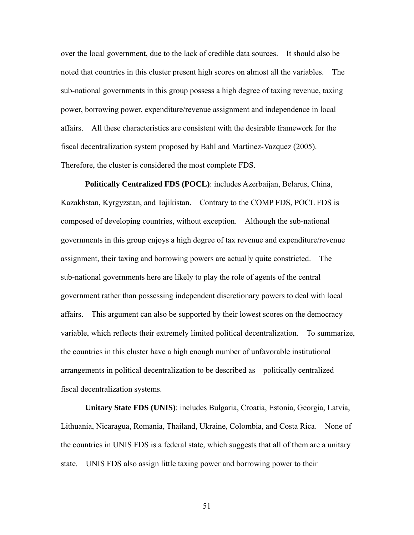over the local government, due to the lack of credible data sources. It should also be noted that countries in this cluster present high scores on almost all the variables. The sub-national governments in this group possess a high degree of taxing revenue, taxing power, borrowing power, expenditure/revenue assignment and independence in local affairs. All these characteristics are consistent with the desirable framework for the fiscal decentralization system proposed by Bahl and Martinez-Vazquez (2005). Therefore, the cluster is considered the most complete FDS.

 **Politically Centralized FDS (POCL)**: includes Azerbaijan, Belarus, China, Kazakhstan, Kyrgyzstan, and Tajikistan. Contrary to the COMP FDS, POCL FDS is composed of developing countries, without exception. Although the sub-national governments in this group enjoys a high degree of tax revenue and expenditure/revenue assignment, their taxing and borrowing powers are actually quite constricted. The sub-national governments here are likely to play the role of agents of the central government rather than possessing independent discretionary powers to deal with local affairs. This argument can also be supported by their lowest scores on the democracy variable, which reflects their extremely limited political decentralization. To summarize, the countries in this cluster have a high enough number of unfavorable institutional arrangements in political decentralization to be described as politically centralized fiscal decentralization systems.

 **Unitary State FDS (UNIS)**: includes Bulgaria, Croatia, Estonia, Georgia, Latvia, Lithuania, Nicaragua, Romania, Thailand, Ukraine, Colombia, and Costa Rica. None of the countries in UNIS FDS is a federal state, which suggests that all of them are a unitary state. UNIS FDS also assign little taxing power and borrowing power to their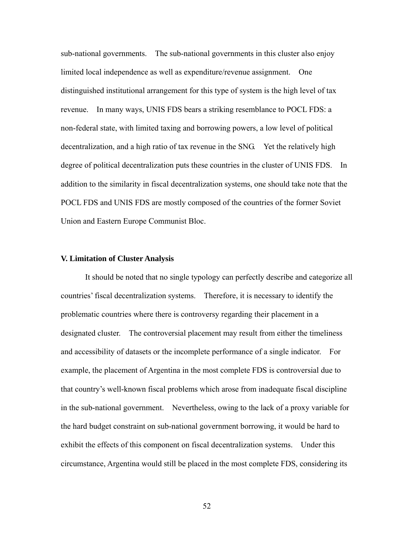sub-national governments. The sub-national governments in this cluster also enjoy limited local independence as well as expenditure/revenue assignment. One distinguished institutional arrangement for this type of system is the high level of tax revenue. In many ways, UNIS FDS bears a striking resemblance to POCL FDS: a non-federal state, with limited taxing and borrowing powers, a low level of political decentralization, and a high ratio of tax revenue in the SNG. Yet the relatively high degree of political decentralization puts these countries in the cluster of UNIS FDS. In addition to the similarity in fiscal decentralization systems, one should take note that the POCL FDS and UNIS FDS are mostly composed of the countries of the former Soviet Union and Eastern Europe Communist Bloc.

#### **V. Limitation of Cluster Analysis**

 It should be noted that no single typology can perfectly describe and categorize all countries' fiscal decentralization systems. Therefore, it is necessary to identify the problematic countries where there is controversy regarding their placement in a designated cluster. The controversial placement may result from either the timeliness and accessibility of datasets or the incomplete performance of a single indicator. For example, the placement of Argentina in the most complete FDS is controversial due to that country's well-known fiscal problems which arose from inadequate fiscal discipline in the sub-national government. Nevertheless, owing to the lack of a proxy variable for the hard budget constraint on sub-national government borrowing, it would be hard to exhibit the effects of this component on fiscal decentralization systems. Under this circumstance, Argentina would still be placed in the most complete FDS, considering its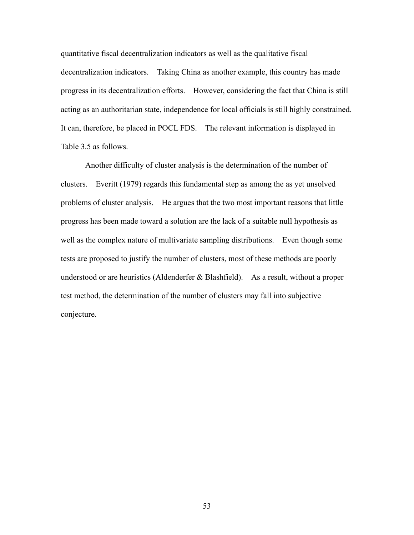quantitative fiscal decentralization indicators as well as the qualitative fiscal decentralization indicators. Taking China as another example, this country has made progress in its decentralization efforts. However, considering the fact that China is still acting as an authoritarian state, independence for local officials is still highly constrained. It can, therefore, be placed in POCL FDS. The relevant information is displayed in Table 3.5 as follows.

 Another difficulty of cluster analysis is the determination of the number of clusters. Everitt (1979) regards this fundamental step as among the as yet unsolved problems of cluster analysis. He argues that the two most important reasons that little progress has been made toward a solution are the lack of a suitable null hypothesis as well as the complex nature of multivariate sampling distributions. Even though some tests are proposed to justify the number of clusters, most of these methods are poorly understood or are heuristics (Aldenderfer & Blashfield). As a result, without a proper test method, the determination of the number of clusters may fall into subjective conjecture.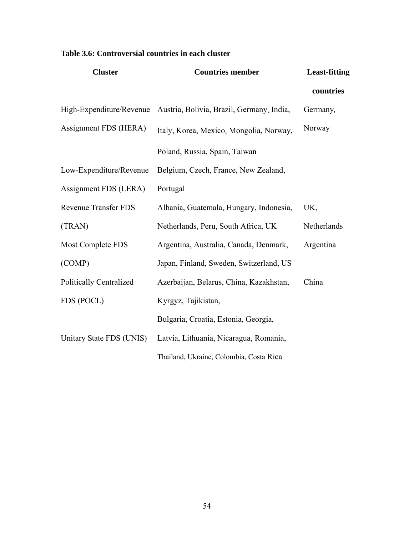| <b>Cluster</b>                 | <b>Countries member</b>                   | <b>Least-fitting</b> |
|--------------------------------|-------------------------------------------|----------------------|
|                                |                                           | countries            |
| High-Expenditure/Revenue       | Austria, Bolivia, Brazil, Germany, India, | Germany,             |
| Assignment FDS (HERA)          | Italy, Korea, Mexico, Mongolia, Norway,   | Norway               |
|                                | Poland, Russia, Spain, Taiwan             |                      |
| Low-Expenditure/Revenue        | Belgium, Czech, France, New Zealand,      |                      |
| Assignment FDS (LERA)          | Portugal                                  |                      |
| <b>Revenue Transfer FDS</b>    | Albania, Guatemala, Hungary, Indonesia,   | UK,                  |
| (TRAN)                         | Netherlands, Peru, South Africa, UK       | Netherlands          |
| <b>Most Complete FDS</b>       | Argentina, Australia, Canada, Denmark,    | Argentina            |
| (COMP)                         | Japan, Finland, Sweden, Switzerland, US   |                      |
| <b>Politically Centralized</b> | Azerbaijan, Belarus, China, Kazakhstan,   | China                |
| FDS (POCL)                     | Kyrgyz, Tajikistan,                       |                      |
|                                | Bulgaria, Croatia, Estonia, Georgia,      |                      |
| Unitary State FDS (UNIS)       | Latvia, Lithuania, Nicaragua, Romania,    |                      |
|                                | Thailand, Ukraine, Colombia, Costa Rica   |                      |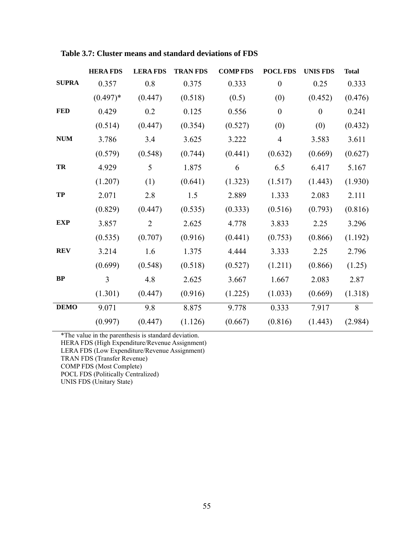|              | <b>HERA FDS</b> | <b>LERAFDS</b> | <b>TRAN FDS</b> | <b>COMP FDS</b> | POCL FDS         | <b>UNIS FDS</b> | <b>Total</b> |
|--------------|-----------------|----------------|-----------------|-----------------|------------------|-----------------|--------------|
| <b>SUPRA</b> | 0.357           | 0.8            | 0.375           | 0.333           | $\overline{0}$   | 0.25            | 0.333        |
|              | $(0.497)*$      | (0.447)        | (0.518)         | (0.5)           | (0)              | (0.452)         | (0.476)      |
| <b>FED</b>   | 0.429           | 0.2            | 0.125           | 0.556           | $\boldsymbol{0}$ | $\overline{0}$  | 0.241        |
|              | (0.514)         | (0.447)        | (0.354)         | (0.527)         | (0)              | (0)             | (0.432)      |
| <b>NUM</b>   | 3.786           | 3.4            | 3.625           | 3.222           | $\overline{4}$   | 3.583           | 3.611        |
|              | (0.579)         | (0.548)        | (0.744)         | (0.441)         | (0.632)          | (0.669)         | (0.627)      |
| TR           | 4.929           | 5              | 1.875           | 6               | 6.5              | 6.417           | 5.167        |
|              | (1.207)         | (1)            | (0.641)         | (1.323)         | (1.517)          | (1.443)         | (1.930)      |
| TP           | 2.071           | 2.8            | 1.5             | 2.889           | 1.333            | 2.083           | 2.111        |
|              | (0.829)         | (0.447)        | (0.535)         | (0.333)         | (0.516)          | (0.793)         | (0.816)      |
| <b>EXP</b>   | 3.857           | $\overline{2}$ | 2.625           | 4.778           | 3.833            | 2.25            | 3.296        |
|              | (0.535)         | (0.707)        | (0.916)         | (0.441)         | (0.753)          | (0.866)         | (1.192)      |
| <b>REV</b>   | 3.214           | 1.6            | 1.375           | 4.444           | 3.333            | 2.25            | 2.796        |
|              | (0.699)         | (0.548)        | (0.518)         | (0.527)         | (1.211)          | (0.866)         | (1.25)       |
| BP           | 3               | 4.8            | 2.625           | 3.667           | 1.667            | 2.083           | 2.87         |
|              | (1.301)         | (0.447)        | (0.916)         | (1.225)         | (1.033)          | (0.669)         | (1.318)      |
| <b>DEMO</b>  | 9.071           | 9.8            | 8.875           | 9.778           | 0.333            | 7.917           | 8            |
|              | (0.997)         | (0.447)        | (1.126)         | (0.667)         | (0.816)          | (1.443)         | (2.984)      |

**Table 3.7: Cluster means and standard deviations of FDS** 

\*The value in the parenthesis is standard deviation.

HERA FDS (High Expenditure/Revenue Assignment)

LERA FDS (Low Expenditure/Revenue Assignment)

TRAN FDS (Transfer Revenue)

COMP FDS (Most Complete)

POCL FDS (Politically Centralized)

UNIS FDS (Unitary State)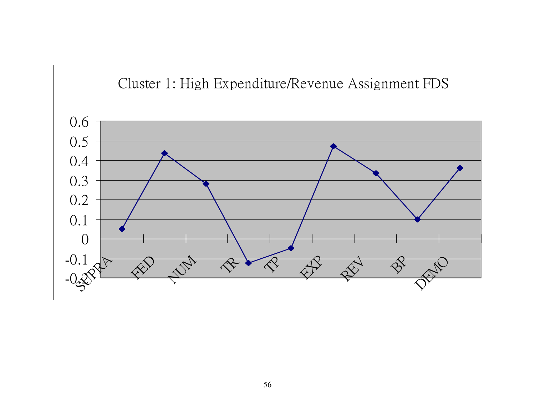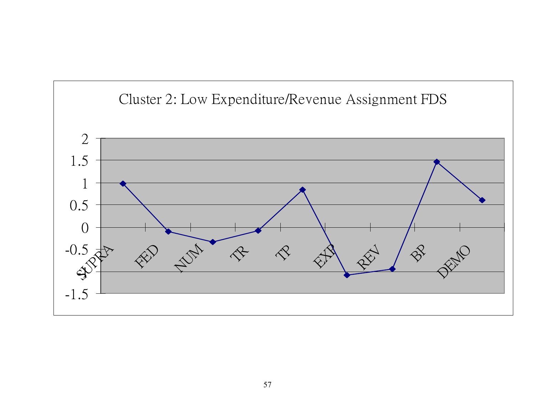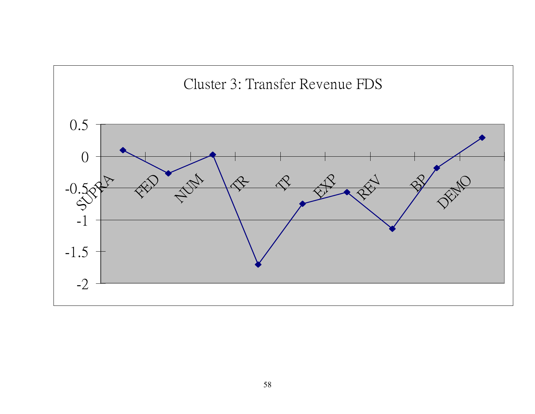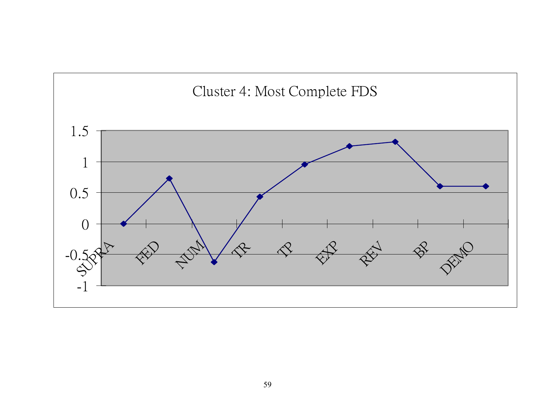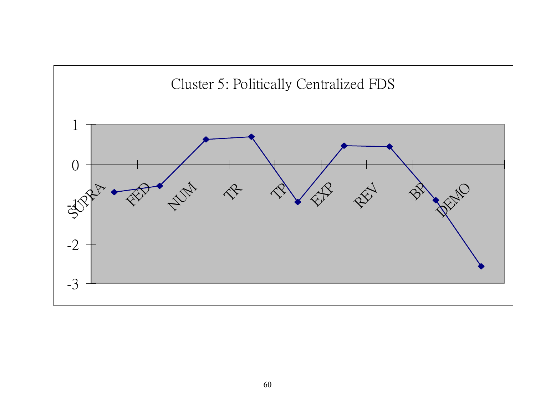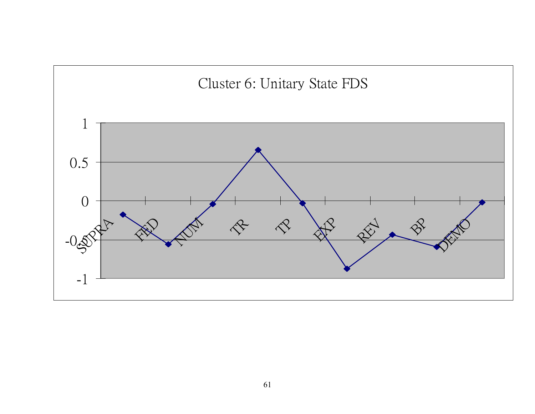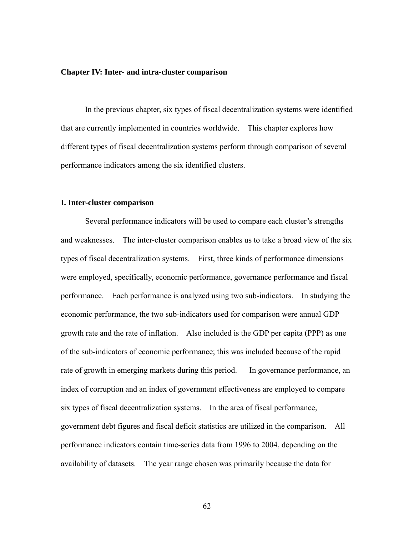#### **Chapter IV: Inter- and intra-cluster comparison**

 In the previous chapter, six types of fiscal decentralization systems were identified that are currently implemented in countries worldwide. This chapter explores how different types of fiscal decentralization systems perform through comparison of several performance indicators among the six identified clusters.

#### **I. Inter-cluster comparison**

 Several performance indicators will be used to compare each cluster's strengths and weaknesses. The inter-cluster comparison enables us to take a broad view of the six types of fiscal decentralization systems. First, three kinds of performance dimensions were employed, specifically, economic performance, governance performance and fiscal performance. Each performance is analyzed using two sub-indicators. In studying the economic performance, the two sub-indicators used for comparison were annual GDP growth rate and the rate of inflation. Also included is the GDP per capita (PPP) as one of the sub-indicators of economic performance; this was included because of the rapid rate of growth in emerging markets during this period. In governance performance, an index of corruption and an index of government effectiveness are employed to compare six types of fiscal decentralization systems. In the area of fiscal performance, government debt figures and fiscal deficit statistics are utilized in the comparison. All performance indicators contain time-series data from 1996 to 2004, depending on the availability of datasets. The year range chosen was primarily because the data for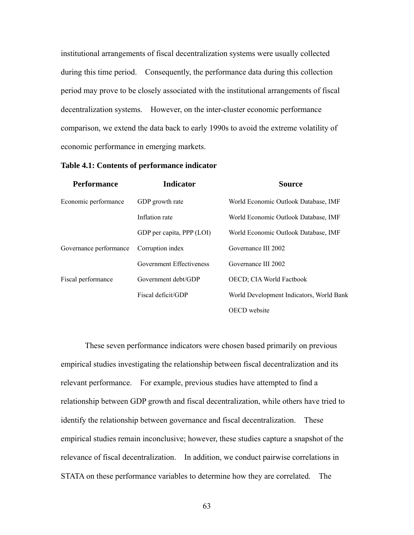institutional arrangements of fiscal decentralization systems were usually collected during this time period. Consequently, the performance data during this collection period may prove to be closely associated with the institutional arrangements of fiscal decentralization systems. However, on the inter-cluster economic performance comparison, we extend the data back to early 1990s to avoid the extreme volatility of economic performance in emerging markets.

| <b>Performance</b>     | <b>Indicator</b>          | <b>Source</b>                            |  |  |
|------------------------|---------------------------|------------------------------------------|--|--|
| Economic performance   | GDP growth rate           | World Economic Outlook Database, IMF     |  |  |
|                        | Inflation rate            | World Economic Outlook Database, IMF     |  |  |
|                        | GDP per capita, PPP (LOI) | World Economic Outlook Database, IMF     |  |  |
| Governance performance | Corruption index          | Governance III 2002                      |  |  |
|                        | Government Effectiveness  | Governance III 2002                      |  |  |
| Fiscal performance     | Government debt/GDP       | <b>OECD</b> ; CIA World Factbook         |  |  |
|                        | Fiscal deficit/GDP        | World Development Indicators, World Bank |  |  |
|                        |                           | OECD website                             |  |  |

**Table 4.1: Contents of performance indicator** 

 These seven performance indicators were chosen based primarily on previous empirical studies investigating the relationship between fiscal decentralization and its relevant performance. For example, previous studies have attempted to find a relationship between GDP growth and fiscal decentralization, while others have tried to identify the relationship between governance and fiscal decentralization. These empirical studies remain inconclusive; however, these studies capture a snapshot of the relevance of fiscal decentralization. In addition, we conduct pairwise correlations in STATA on these performance variables to determine how they are correlated. The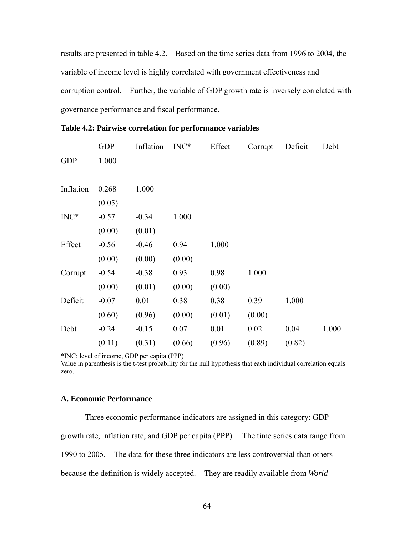results are presented in table 4.2. Based on the time series data from 1996 to 2004, the variable of income level is highly correlated with government effectiveness and corruption control. Further, the variable of GDP growth rate is inversely correlated with governance performance and fiscal performance.

|            | <b>GDP</b> | Inflation | $INC^*$ | Effect | Corrupt | Deficit | Debt  |
|------------|------------|-----------|---------|--------|---------|---------|-------|
| <b>GDP</b> | 1.000      |           |         |        |         |         |       |
|            |            |           |         |        |         |         |       |
| Inflation  | 0.268      | 1.000     |         |        |         |         |       |
|            | (0.05)     |           |         |        |         |         |       |
| $INC^*$    | $-0.57$    | $-0.34$   | 1.000   |        |         |         |       |
|            | (0.00)     | (0.01)    |         |        |         |         |       |
| Effect     | $-0.56$    | $-0.46$   | 0.94    | 1.000  |         |         |       |
|            | (0.00)     | (0.00)    | (0.00)  |        |         |         |       |
| Corrupt    | $-0.54$    | $-0.38$   | 0.93    | 0.98   | 1.000   |         |       |
|            | (0.00)     | (0.01)    | (0.00)  | (0.00) |         |         |       |
| Deficit    | $-0.07$    | 0.01      | 0.38    | 0.38   | 0.39    | 1.000   |       |
|            | (0.60)     | (0.96)    | (0.00)  | (0.01) | (0.00)  |         |       |
| Debt       | $-0.24$    | $-0.15$   | 0.07    | 0.01   | 0.02    | 0.04    | 1.000 |
|            | (0.11)     | (0.31)    | (0.66)  | (0.96) | (0.89)  | (0.82)  |       |

**Table 4.2: Pairwise correlation for performance variables** 

\*INC: level of income, GDP per capita (PPP)

Value in parenthesis is the t-test probability for the null hypothesis that each individual correlation equals zero.

# **A. Economic Performance**

 Three economic performance indicators are assigned in this category: GDP growth rate, inflation rate, and GDP per capita (PPP). The time series data range from 1990 to 2005. The data for these three indicators are less controversial than others because the definition is widely accepted. They are readily available from *World*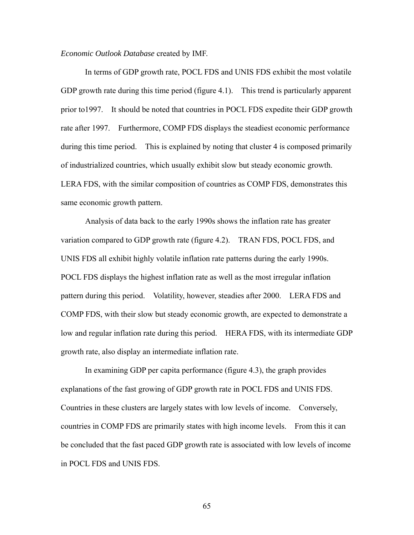*Economic Outlook Database* created by IMF.

 In terms of GDP growth rate, POCL FDS and UNIS FDS exhibit the most volatile GDP growth rate during this time period (figure 4.1). This trend is particularly apparent prior to1997. It should be noted that countries in POCL FDS expedite their GDP growth rate after 1997. Furthermore, COMP FDS displays the steadiest economic performance during this time period. This is explained by noting that cluster 4 is composed primarily of industrialized countries, which usually exhibit slow but steady economic growth. LERA FDS, with the similar composition of countries as COMP FDS, demonstrates this same economic growth pattern.

 Analysis of data back to the early 1990s shows the inflation rate has greater variation compared to GDP growth rate (figure 4.2). TRAN FDS, POCL FDS, and UNIS FDS all exhibit highly volatile inflation rate patterns during the early 1990s. POCL FDS displays the highest inflation rate as well as the most irregular inflation pattern during this period. Volatility, however, steadies after 2000. LERA FDS and COMP FDS, with their slow but steady economic growth, are expected to demonstrate a low and regular inflation rate during this period. HERA FDS, with its intermediate GDP growth rate, also display an intermediate inflation rate.

 In examining GDP per capita performance (figure 4.3), the graph provides explanations of the fast growing of GDP growth rate in POCL FDS and UNIS FDS. Countries in these clusters are largely states with low levels of income. Conversely, countries in COMP FDS are primarily states with high income levels. From this it can be concluded that the fast paced GDP growth rate is associated with low levels of income in POCL FDS and UNIS FDS.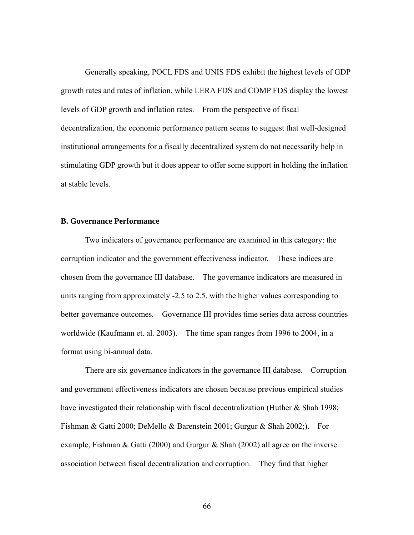Generally speaking, POCL FDS and UNIS FDS exhibit the highest levels of GDP growth rates and rates of inflation, while LERA FDS and COMP FDS display the lowest levels of GDP growth and inflation rates. From the perspective of fiscal decentralization, the economic performance pattern seems to suggest that well-designed institutional arrangements for a fiscally decentralized system do not necessarily help in stimulating GDP growth but it does appear to offer some support in holding the inflation at stable levels.

#### **B. Governance Performance**

 Two indicators of governance performance are examined in this category: the corruption indicator and the government effectiveness indicator. These indices are chosen from the governance III database. The governance indicators are measured in units ranging from approximately -2.5 to 2.5, with the higher values corresponding to better governance outcomes. Governance III provides time series data across countries worldwide (Kaufmann et. al. 2003). The time span ranges from 1996 to 2004, in a format using bi-annual data.

 There are six governance indicators in the governance III database. Corruption and government effectiveness indicators are chosen because previous empirical studies have investigated their relationship with fiscal decentralization (Huther & Shah 1998; Fishman & Gatti 2000; DeMello & Barenstein 2001; Gurgur & Shah 2002;). For example, Fishman & Gatti (2000) and Gurgur & Shah (2002) all agree on the inverse association between fiscal decentralization and corruption. They find that higher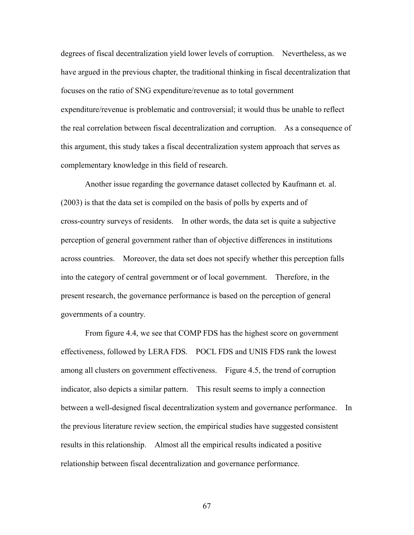degrees of fiscal decentralization yield lower levels of corruption. Nevertheless, as we have argued in the previous chapter, the traditional thinking in fiscal decentralization that focuses on the ratio of SNG expenditure/revenue as to total government expenditure/revenue is problematic and controversial; it would thus be unable to reflect the real correlation between fiscal decentralization and corruption. As a consequence of this argument, this study takes a fiscal decentralization system approach that serves as complementary knowledge in this field of research.

 Another issue regarding the governance dataset collected by Kaufmann et. al. (2003) is that the data set is compiled on the basis of polls by experts and of cross-country surveys of residents. In other words, the data set is quite a subjective perception of general government rather than of objective differences in institutions across countries. Moreover, the data set does not specify whether this perception falls into the category of central government or of local government. Therefore, in the present research, the governance performance is based on the perception of general governments of a country.

 From figure 4.4, we see that COMP FDS has the highest score on government effectiveness, followed by LERA FDS. POCL FDS and UNIS FDS rank the lowest among all clusters on government effectiveness. Figure 4.5, the trend of corruption indicator, also depicts a similar pattern. This result seems to imply a connection between a well-designed fiscal decentralization system and governance performance. In the previous literature review section, the empirical studies have suggested consistent results in this relationship. Almost all the empirical results indicated a positive relationship between fiscal decentralization and governance performance.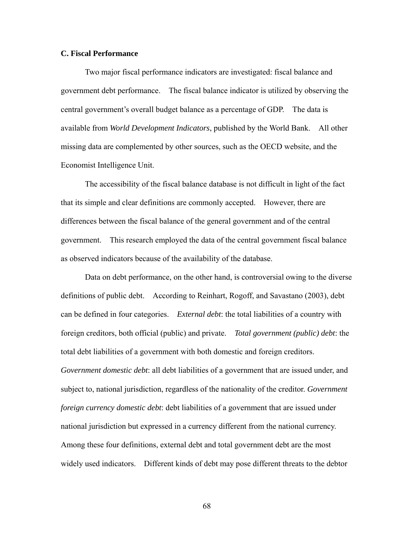#### **C. Fiscal Performance**

 Two major fiscal performance indicators are investigated: fiscal balance and government debt performance. The fiscal balance indicator is utilized by observing the central government's overall budget balance as a percentage of GDP. The data is available from *World Development Indicators*, published by the World Bank. All other missing data are complemented by other sources, such as the OECD website, and the Economist Intelligence Unit.

 The accessibility of the fiscal balance database is not difficult in light of the fact that its simple and clear definitions are commonly accepted. However, there are differences between the fiscal balance of the general government and of the central government. This research employed the data of the central government fiscal balance as observed indicators because of the availability of the database.

 Data on debt performance, on the other hand, is controversial owing to the diverse definitions of public debt. According to Reinhart, Rogoff, and Savastano (2003), debt can be defined in four categories. *External debt*: the total liabilities of a country with foreign creditors, both official (public) and private. *Total government (public) debt*: the total debt liabilities of a government with both domestic and foreign creditors. *Government domestic debt*: all debt liabilities of a government that are issued under, and subject to, national jurisdiction, regardless of the nationality of the creditor. *Government foreign currency domestic debt*: debt liabilities of a government that are issued under national jurisdiction but expressed in a currency different from the national currency. Among these four definitions, external debt and total government debt are the most widely used indicators. Different kinds of debt may pose different threats to the debtor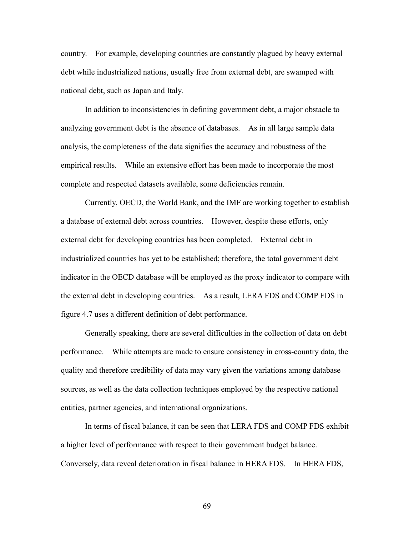country. For example, developing countries are constantly plagued by heavy external debt while industrialized nations, usually free from external debt, are swamped with national debt, such as Japan and Italy.

 In addition to inconsistencies in defining government debt, a major obstacle to analyzing government debt is the absence of databases. As in all large sample data analysis, the completeness of the data signifies the accuracy and robustness of the empirical results. While an extensive effort has been made to incorporate the most complete and respected datasets available, some deficiencies remain.

 Currently, OECD, the World Bank, and the IMF are working together to establish a database of external debt across countries. However, despite these efforts, only external debt for developing countries has been completed. External debt in industrialized countries has yet to be established; therefore, the total government debt indicator in the OECD database will be employed as the proxy indicator to compare with the external debt in developing countries. As a result, LERA FDS and COMP FDS in figure 4.7 uses a different definition of debt performance.

 Generally speaking, there are several difficulties in the collection of data on debt performance. While attempts are made to ensure consistency in cross-country data, the quality and therefore credibility of data may vary given the variations among database sources, as well as the data collection techniques employed by the respective national entities, partner agencies, and international organizations.

 In terms of fiscal balance, it can be seen that LERA FDS and COMP FDS exhibit a higher level of performance with respect to their government budget balance. Conversely, data reveal deterioration in fiscal balance in HERA FDS. In HERA FDS,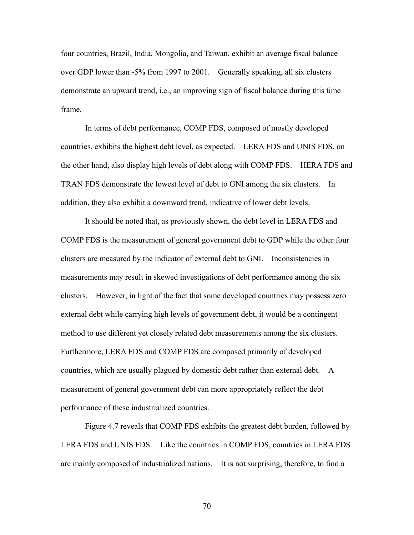four countries, Brazil, India, Mongolia, and Taiwan, exhibit an average fiscal balance over GDP lower than -5% from 1997 to 2001. Generally speaking, all six clusters demonstrate an upward trend, i.e., an improving sign of fiscal balance during this time frame.

 In terms of debt performance, COMP FDS, composed of mostly developed countries, exhibits the highest debt level, as expected. LERA FDS and UNIS FDS, on the other hand, also display high levels of debt along with COMP FDS. HERA FDS and TRAN FDS demonstrate the lowest level of debt to GNI among the six clusters. In addition, they also exhibit a downward trend, indicative of lower debt levels.

 It should be noted that, as previously shown, the debt level in LERA FDS and COMP FDS is the measurement of general government debt to GDP while the other four clusters are measured by the indicator of external debt to GNI. Inconsistencies in measurements may result in skewed investigations of debt performance among the six clusters. However, in light of the fact that some developed countries may possess zero external debt while carrying high levels of government debt, it would be a contingent method to use different yet closely related debt measurements among the six clusters. Furthermore, LERA FDS and COMP FDS are composed primarily of developed countries, which are usually plagued by domestic debt rather than external debt. A measurement of general government debt can more appropriately reflect the debt performance of these industrialized countries.

 Figure 4.7 reveals that COMP FDS exhibits the greatest debt burden, followed by LERA FDS and UNIS FDS. Like the countries in COMP FDS, countries in LERA FDS are mainly composed of industrialized nations. It is not surprising, therefore, to find a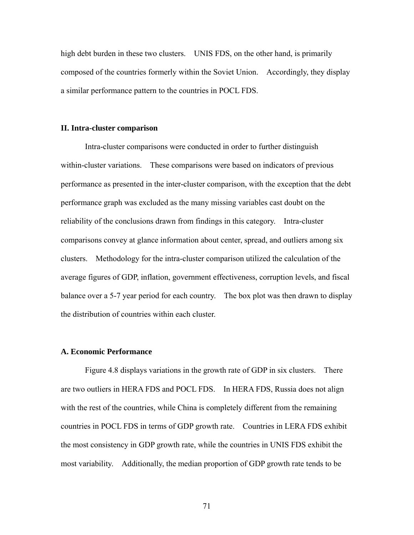high debt burden in these two clusters. UNIS FDS, on the other hand, is primarily composed of the countries formerly within the Soviet Union. Accordingly, they display a similar performance pattern to the countries in POCL FDS.

#### **II. Intra-cluster comparison**

 Intra-cluster comparisons were conducted in order to further distinguish within-cluster variations. These comparisons were based on indicators of previous performance as presented in the inter-cluster comparison, with the exception that the debt performance graph was excluded as the many missing variables cast doubt on the reliability of the conclusions drawn from findings in this category. Intra-cluster comparisons convey at glance information about center, spread, and outliers among six clusters. Methodology for the intra-cluster comparison utilized the calculation of the average figures of GDP, inflation, government effectiveness, corruption levels, and fiscal balance over a 5-7 year period for each country. The box plot was then drawn to display the distribution of countries within each cluster.

#### **A. Economic Performance**

 Figure 4.8 displays variations in the growth rate of GDP in six clusters. There are two outliers in HERA FDS and POCL FDS. In HERA FDS, Russia does not align with the rest of the countries, while China is completely different from the remaining countries in POCL FDS in terms of GDP growth rate. Countries in LERA FDS exhibit the most consistency in GDP growth rate, while the countries in UNIS FDS exhibit the most variability. Additionally, the median proportion of GDP growth rate tends to be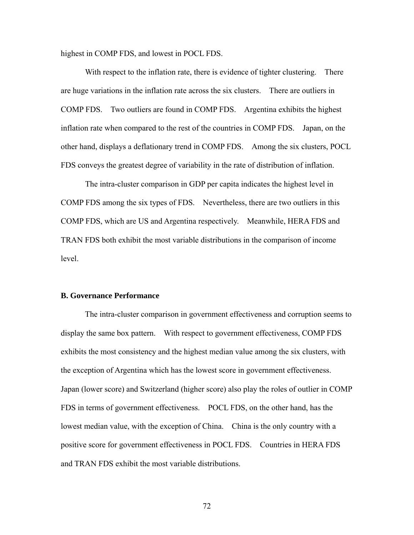highest in COMP FDS, and lowest in POCL FDS.

With respect to the inflation rate, there is evidence of tighter clustering. There are huge variations in the inflation rate across the six clusters. There are outliers in COMP FDS. Two outliers are found in COMP FDS. Argentina exhibits the highest inflation rate when compared to the rest of the countries in COMP FDS. Japan, on the other hand, displays a deflationary trend in COMP FDS. Among the six clusters, POCL FDS conveys the greatest degree of variability in the rate of distribution of inflation.

 The intra-cluster comparison in GDP per capita indicates the highest level in COMP FDS among the six types of FDS. Nevertheless, there are two outliers in this COMP FDS, which are US and Argentina respectively. Meanwhile, HERA FDS and TRAN FDS both exhibit the most variable distributions in the comparison of income level.

#### **B. Governance Performance**

 The intra-cluster comparison in government effectiveness and corruption seems to display the same box pattern. With respect to government effectiveness, COMP FDS exhibits the most consistency and the highest median value among the six clusters, with the exception of Argentina which has the lowest score in government effectiveness. Japan (lower score) and Switzerland (higher score) also play the roles of outlier in COMP FDS in terms of government effectiveness. POCL FDS, on the other hand, has the lowest median value, with the exception of China. China is the only country with a positive score for government effectiveness in POCL FDS. Countries in HERA FDS and TRAN FDS exhibit the most variable distributions.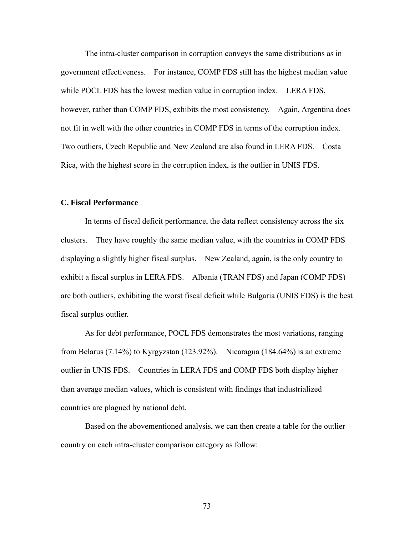The intra-cluster comparison in corruption conveys the same distributions as in government effectiveness. For instance, COMP FDS still has the highest median value while POCL FDS has the lowest median value in corruption index. LERA FDS, however, rather than COMP FDS, exhibits the most consistency. Again, Argentina does not fit in well with the other countries in COMP FDS in terms of the corruption index. Two outliers, Czech Republic and New Zealand are also found in LERA FDS. Costa Rica, with the highest score in the corruption index, is the outlier in UNIS FDS.

#### **C. Fiscal Performance**

 In terms of fiscal deficit performance, the data reflect consistency across the six clusters. They have roughly the same median value, with the countries in COMP FDS displaying a slightly higher fiscal surplus. New Zealand, again, is the only country to exhibit a fiscal surplus in LERA FDS. Albania (TRAN FDS) and Japan (COMP FDS) are both outliers, exhibiting the worst fiscal deficit while Bulgaria (UNIS FDS) is the best fiscal surplus outlier.

 As for debt performance, POCL FDS demonstrates the most variations, ranging from Belarus (7.14%) to Kyrgyzstan (123.92%). Nicaragua (184.64%) is an extreme outlier in UNIS FDS. Countries in LERA FDS and COMP FDS both display higher than average median values, which is consistent with findings that industrialized countries are plagued by national debt.

 Based on the abovementioned analysis, we can then create a table for the outlier country on each intra-cluster comparison category as follow: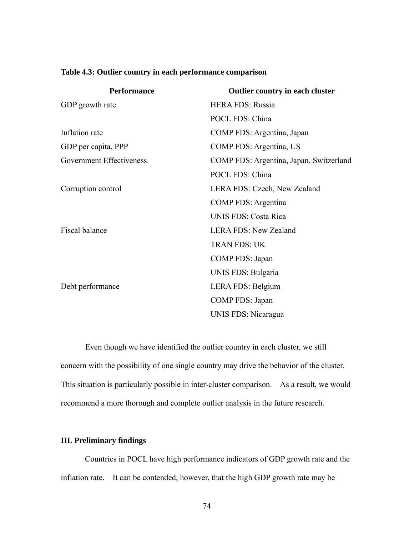| Table 4.3: Outlier country in each performance comparison |  |  |
|-----------------------------------------------------------|--|--|
|                                                           |  |  |

| <b>Performance</b>              | Outlier country in each cluster         |  |  |
|---------------------------------|-----------------------------------------|--|--|
| GDP growth rate                 | <b>HERA FDS: Russia</b>                 |  |  |
|                                 | POCL FDS: China                         |  |  |
| Inflation rate                  | COMP FDS: Argentina, Japan              |  |  |
| GDP per capita, PPP             | COMP FDS: Argentina, US                 |  |  |
| <b>Government Effectiveness</b> | COMP FDS: Argentina, Japan, Switzerland |  |  |
|                                 | POCL FDS: China                         |  |  |
| Corruption control              | LERA FDS: Czech, New Zealand            |  |  |
|                                 | <b>COMP FDS: Argentina</b>              |  |  |
|                                 | <b>UNIS FDS: Costa Rica</b>             |  |  |
| Fiscal balance                  | <b>LERA FDS: New Zealand</b>            |  |  |
|                                 | <b>TRAN FDS: UK</b>                     |  |  |
|                                 | COMP FDS: Japan                         |  |  |
|                                 | UNIS FDS: Bulgaria                      |  |  |
| Debt performance                | LERA FDS: Belgium                       |  |  |
|                                 | COMP FDS: Japan                         |  |  |
|                                 | UNIS FDS: Nicaragua                     |  |  |
|                                 |                                         |  |  |

 Even though we have identified the outlier country in each cluster, we still concern with the possibility of one single country may drive the behavior of the cluster. This situation is particularly possible in inter-cluster comparison. As a result, we would recommend a more thorough and complete outlier analysis in the future research.

# **III. Preliminary findings**

 Countries in POCL have high performance indicators of GDP growth rate and the inflation rate. It can be contended, however, that the high GDP growth rate may be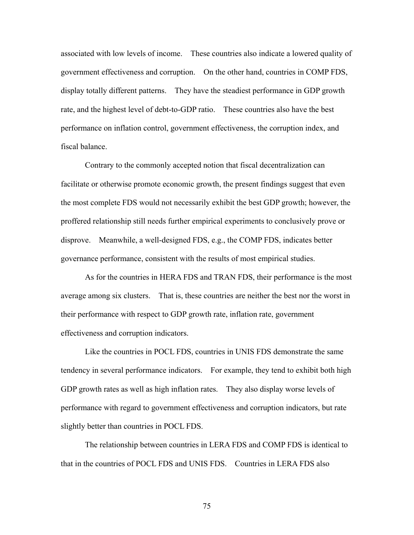associated with low levels of income. These countries also indicate a lowered quality of government effectiveness and corruption. On the other hand, countries in COMP FDS, display totally different patterns. They have the steadiest performance in GDP growth rate, and the highest level of debt-to-GDP ratio. These countries also have the best performance on inflation control, government effectiveness, the corruption index, and fiscal balance.

 Contrary to the commonly accepted notion that fiscal decentralization can facilitate or otherwise promote economic growth, the present findings suggest that even the most complete FDS would not necessarily exhibit the best GDP growth; however, the proffered relationship still needs further empirical experiments to conclusively prove or disprove. Meanwhile, a well-designed FDS, e.g., the COMP FDS, indicates better governance performance, consistent with the results of most empirical studies.

 As for the countries in HERA FDS and TRAN FDS, their performance is the most average among six clusters. That is, these countries are neither the best nor the worst in their performance with respect to GDP growth rate, inflation rate, government effectiveness and corruption indicators.

 Like the countries in POCL FDS, countries in UNIS FDS demonstrate the same tendency in several performance indicators. For example, they tend to exhibit both high GDP growth rates as well as high inflation rates. They also display worse levels of performance with regard to government effectiveness and corruption indicators, but rate slightly better than countries in POCL FDS.

 The relationship between countries in LERA FDS and COMP FDS is identical to that in the countries of POCL FDS and UNIS FDS. Countries in LERA FDS also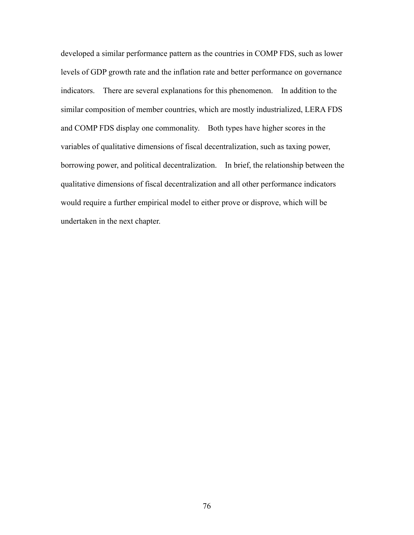developed a similar performance pattern as the countries in COMP FDS, such as lower levels of GDP growth rate and the inflation rate and better performance on governance indicators. There are several explanations for this phenomenon. In addition to the similar composition of member countries, which are mostly industrialized, LERA FDS and COMP FDS display one commonality. Both types have higher scores in the variables of qualitative dimensions of fiscal decentralization, such as taxing power, borrowing power, and political decentralization. In brief, the relationship between the qualitative dimensions of fiscal decentralization and all other performance indicators would require a further empirical model to either prove or disprove, which will be undertaken in the next chapter.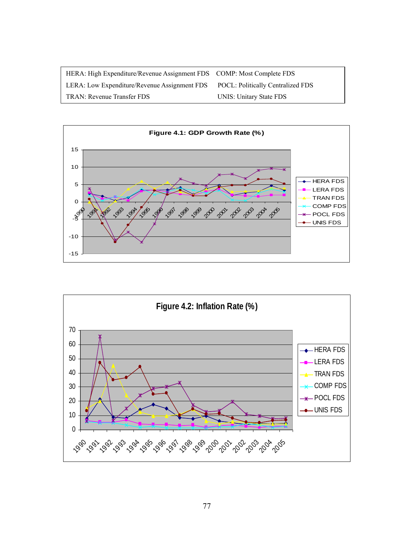| HERA: High Expenditure/Revenue Assignment FDS COMP: Most Complete FDS          |                         |
|--------------------------------------------------------------------------------|-------------------------|
| LERA: Low Expenditure/Revenue Assignment FDS POCL: Politically Centralized FDS |                         |
| TRAN: Revenue Transfer FDS                                                     | UNIS: Unitary State FDS |



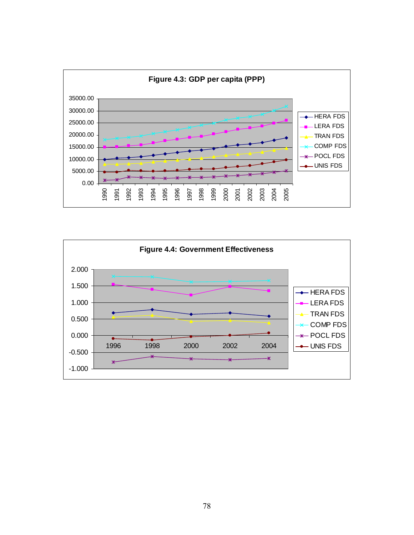

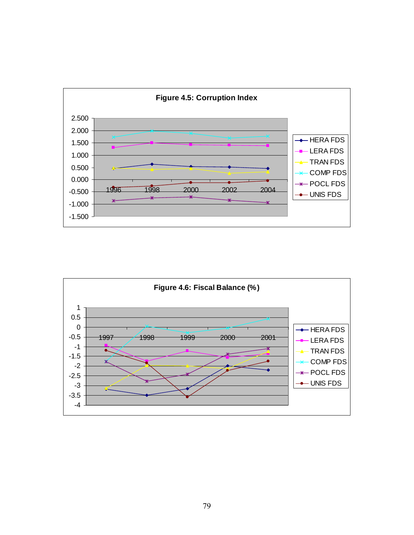

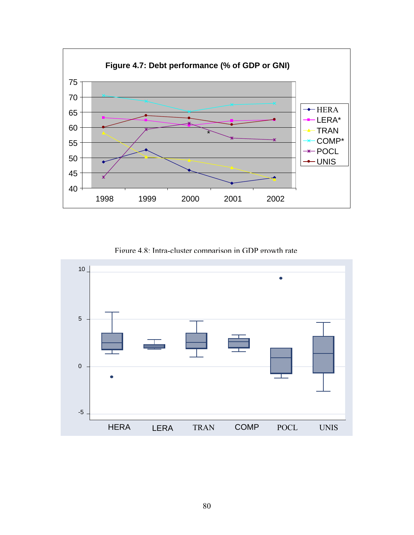

Figure 4.8: Intra-cluster comparison in GDP growth rate

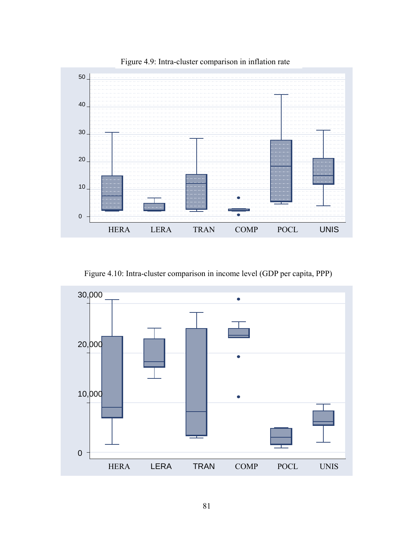

Figure 4.9: Intra-cluster comparison in inflation rate

Figure 4.10: Intra-cluster comparison in income level (GDP per capita, PPP)

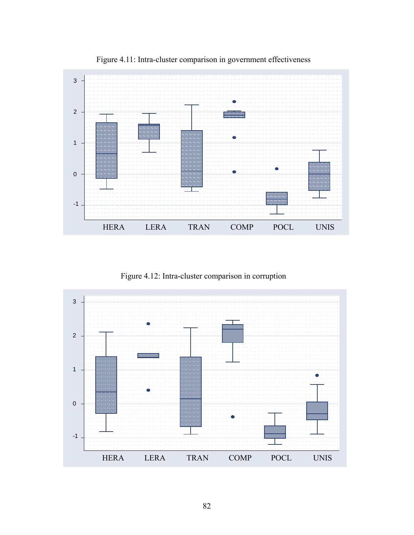

Figure 4.11: Intra-cluster comparison in government effectiveness

Figure 4.12: Intra-cluster comparison in corruption

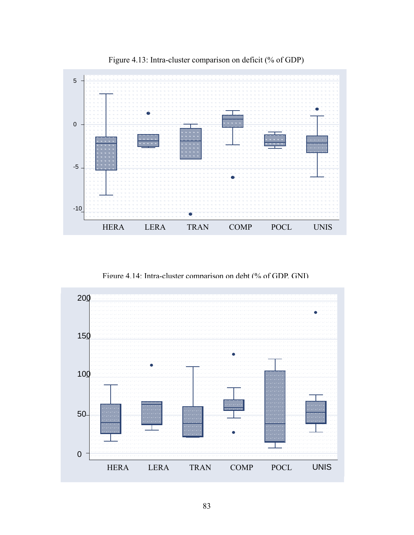

Figure 4.13: Intra-cluster comparison on deficit (% of GDP)

Figure 4.14: Intra-cluster comparison on debt (% of GDP, GNI)

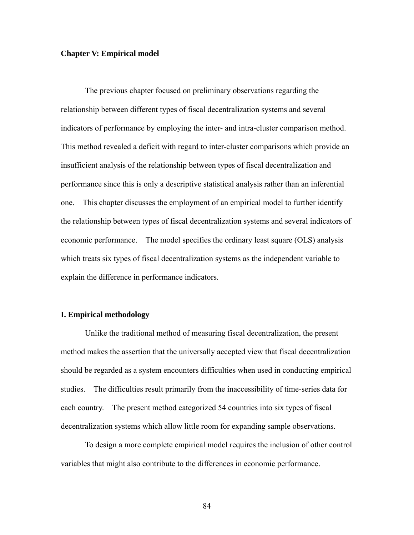### **Chapter V: Empirical model**

 The previous chapter focused on preliminary observations regarding the relationship between different types of fiscal decentralization systems and several indicators of performance by employing the inter- and intra-cluster comparison method. This method revealed a deficit with regard to inter-cluster comparisons which provide an insufficient analysis of the relationship between types of fiscal decentralization and performance since this is only a descriptive statistical analysis rather than an inferential one. This chapter discusses the employment of an empirical model to further identify the relationship between types of fiscal decentralization systems and several indicators of economic performance. The model specifies the ordinary least square (OLS) analysis which treats six types of fiscal decentralization systems as the independent variable to explain the difference in performance indicators.

### **I. Empirical methodology**

 Unlike the traditional method of measuring fiscal decentralization, the present method makes the assertion that the universally accepted view that fiscal decentralization should be regarded as a system encounters difficulties when used in conducting empirical studies. The difficulties result primarily from the inaccessibility of time-series data for each country. The present method categorized 54 countries into six types of fiscal decentralization systems which allow little room for expanding sample observations.

 To design a more complete empirical model requires the inclusion of other control variables that might also contribute to the differences in economic performance.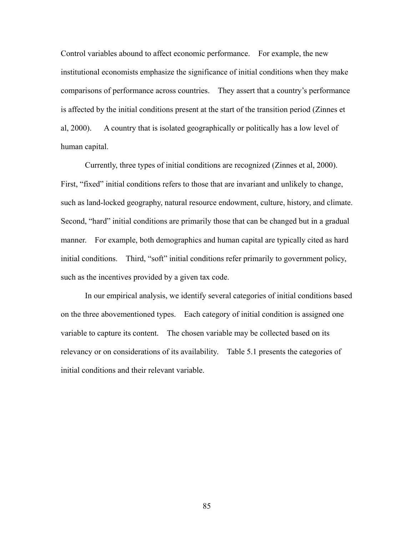Control variables abound to affect economic performance. For example, the new institutional economists emphasize the significance of initial conditions when they make comparisons of performance across countries. They assert that a country's performance is affected by the initial conditions present at the start of the transition period (Zinnes et al, 2000). A country that is isolated geographically or politically has a low level of human capital.

 Currently, three types of initial conditions are recognized (Zinnes et al, 2000). First, "fixed" initial conditions refers to those that are invariant and unlikely to change, such as land-locked geography, natural resource endowment, culture, history, and climate. Second, "hard" initial conditions are primarily those that can be changed but in a gradual manner. For example, both demographics and human capital are typically cited as hard initial conditions. Third, "soft" initial conditions refer primarily to government policy, such as the incentives provided by a given tax code.

 In our empirical analysis, we identify several categories of initial conditions based on the three abovementioned types. Each category of initial condition is assigned one variable to capture its content. The chosen variable may be collected based on its relevancy or on considerations of its availability. Table 5.1 presents the categories of initial conditions and their relevant variable.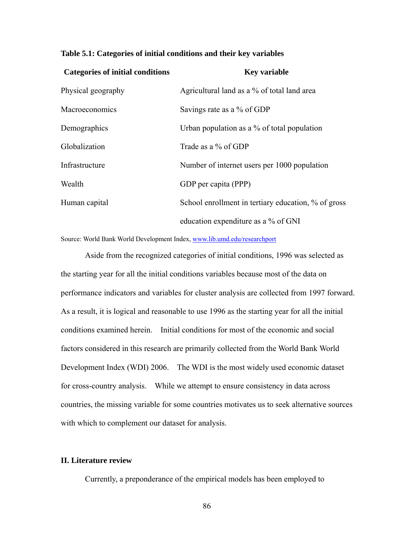|  | Table 5.1: Categories of initial conditions and their key variables |  |
|--|---------------------------------------------------------------------|--|
|  |                                                                     |  |

| <b>Categories of initial conditions</b> | <b>Key variable</b>                                 |
|-----------------------------------------|-----------------------------------------------------|
| Physical geography                      | Agricultural land as a % of total land area         |
| Macroeconomics                          | Savings rate as a % of GDP                          |
| Demographics                            | Urban population as a $\%$ of total population      |
| Globalization                           | Trade as a % of GDP                                 |
| Infrastructure                          | Number of internet users per 1000 population        |
| Wealth                                  | GDP per capita (PPP)                                |
| Human capital                           | School enrollment in tertiary education, % of gross |
|                                         | education expenditure as a % of GNI                 |

Source: World Bank World Development Index, [www.lib.umd.edu/researchport](http://www.lib.umd.edu/researchport)

 Aside from the recognized categories of initial conditions, 1996 was selected as the starting year for all the initial conditions variables because most of the data on performance indicators and variables for cluster analysis are collected from 1997 forward. As a result, it is logical and reasonable to use 1996 as the starting year for all the initial conditions examined herein. Initial conditions for most of the economic and social factors considered in this research are primarily collected from the World Bank World Development Index (WDI) 2006. The WDI is the most widely used economic dataset for cross-country analysis. While we attempt to ensure consistency in data across countries, the missing variable for some countries motivates us to seek alternative sources with which to complement our dataset for analysis.

## **II. Literature review**

Currently, a preponderance of the empirical models has been employed to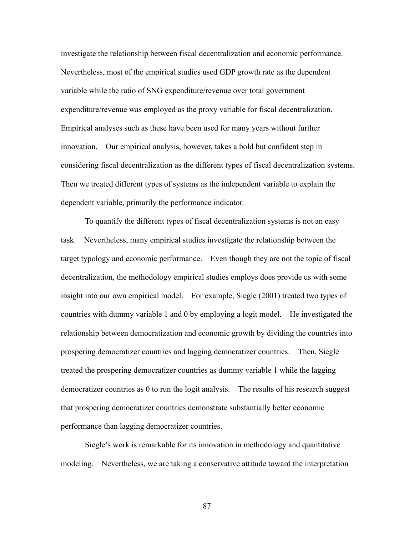investigate the relationship between fiscal decentralization and economic performance. Nevertheless, most of the empirical studies used GDP growth rate as the dependent variable while the ratio of SNG expenditure/revenue over total government expenditure/revenue was employed as the proxy variable for fiscal decentralization. Empirical analyses such as these have been used for many years without further innovation. Our empirical analysis, however, takes a bold but confident step in considering fiscal decentralization as the different types of fiscal decentralization systems. Then we treated different types of systems as the independent variable to explain the dependent variable, primarily the performance indicator.

 To quantify the different types of fiscal decentralization systems is not an easy task. Nevertheless, many empirical studies investigate the relationship between the target typology and economic performance. Even though they are not the topic of fiscal decentralization, the methodology empirical studies employs does provide us with some insight into our own empirical model. For example, Siegle (2001) treated two types of countries with dummy variable 1 and 0 by employing a logit model. He investigated the relationship between democratization and economic growth by dividing the countries into prospering democratizer countries and lagging democratizer countries. Then, Siegle treated the prospering democratizer countries as dummy variable 1 while the lagging democratizer countries as 0 to run the logit analysis. The results of his research suggest that prospering democratizer countries demonstrate substantially better economic performance than lagging democratizer countries.

 Siegle's work is remarkable for its innovation in methodology and quantitative modeling. Nevertheless, we are taking a conservative attitude toward the interpretation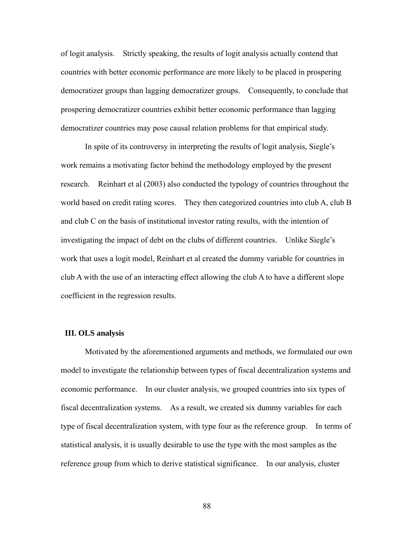of logit analysis. Strictly speaking, the results of logit analysis actually contend that countries with better economic performance are more likely to be placed in prospering democratizer groups than lagging democratizer groups. Consequently, to conclude that prospering democratizer countries exhibit better economic performance than lagging democratizer countries may pose causal relation problems for that empirical study.

 In spite of its controversy in interpreting the results of logit analysis, Siegle's work remains a motivating factor behind the methodology employed by the present research. Reinhart et al (2003) also conducted the typology of countries throughout the world based on credit rating scores. They then categorized countries into club A, club B and club C on the basis of institutional investor rating results, with the intention of investigating the impact of debt on the clubs of different countries. Unlike Siegle's work that uses a logit model, Reinhart et al created the dummy variable for countries in club A with the use of an interacting effect allowing the club A to have a different slope coefficient in the regression results.

#### **III. OLS analysis**

 Motivated by the aforementioned arguments and methods, we formulated our own model to investigate the relationship between types of fiscal decentralization systems and economic performance. In our cluster analysis, we grouped countries into six types of fiscal decentralization systems. As a result, we created six dummy variables for each type of fiscal decentralization system, with type four as the reference group. In terms of statistical analysis, it is usually desirable to use the type with the most samples as the reference group from which to derive statistical significance. In our analysis, cluster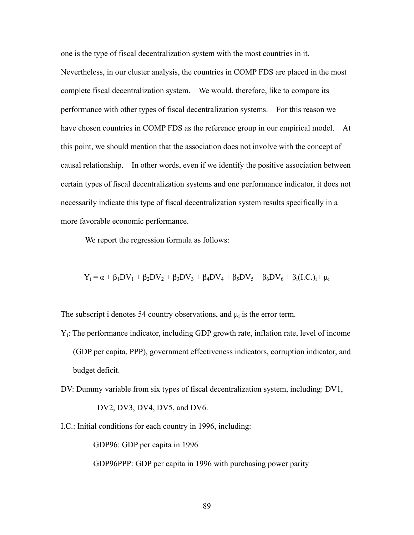one is the type of fiscal decentralization system with the most countries in it. Nevertheless, in our cluster analysis, the countries in COMP FDS are placed in the most complete fiscal decentralization system. We would, therefore, like to compare its performance with other types of fiscal decentralization systems. For this reason we have chosen countries in COMP FDS as the reference group in our empirical model. At this point, we should mention that the association does not involve with the concept of causal relationship. In other words, even if we identify the positive association between certain types of fiscal decentralization systems and one performance indicator, it does not necessarily indicate this type of fiscal decentralization system results specifically in a more favorable economic performance.

We report the regression formula as follows:

$$
Y_i = \alpha + \beta_1 DV_1 + \beta_2 DV_2 + \beta_3 DV_3 + \beta_4 DV_4 + \beta_5 DV_5 + \beta_6 DV_6 + \beta_i (I.C.)_i + \mu_i
$$

The subscript i denotes 54 country observations, and  $\mu_i$  is the error term.

- Yi: The performance indicator, including GDP growth rate, inflation rate, level of income (GDP per capita, PPP), government effectiveness indicators, corruption indicator, and budget deficit.
- DV: Dummy variable from six types of fiscal decentralization system, including: DV1,

DV2, DV3, DV4, DV5, and DV6.

I.C.: Initial conditions for each country in 1996, including:

GDP96: GDP per capita in 1996

GDP96PPP: GDP per capita in 1996 with purchasing power parity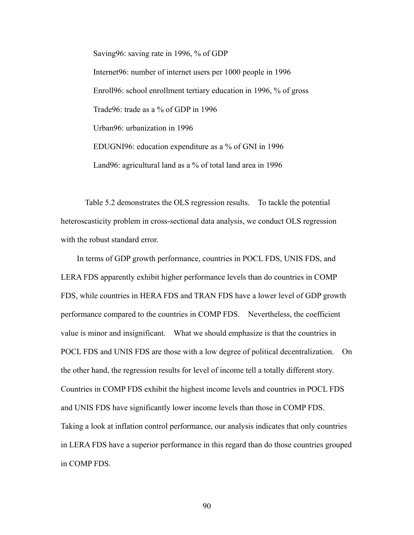Saving96: saving rate in 1996, % of GDP Internet96: number of internet users per 1000 people in 1996 Enroll96: school enrollment tertiary education in 1996, % of gross Trade96: trade as a % of GDP in 1996 Urban96: urbanization in 1996 EDUGNI96: education expenditure as a % of GNI in 1996 Land96: agricultural land as a % of total land area in 1996

 Table 5.2 demonstrates the OLS regression results. To tackle the potential heteroscasticity problem in cross-sectional data analysis, we conduct OLS regression with the robust standard error.

 In terms of GDP growth performance, countries in POCL FDS, UNIS FDS, and LERA FDS apparently exhibit higher performance levels than do countries in COMP FDS, while countries in HERA FDS and TRAN FDS have a lower level of GDP growth performance compared to the countries in COMP FDS. Nevertheless, the coefficient value is minor and insignificant. What we should emphasize is that the countries in POCL FDS and UNIS FDS are those with a low degree of political decentralization. On the other hand, the regression results for level of income tell a totally different story. Countries in COMP FDS exhibit the highest income levels and countries in POCL FDS and UNIS FDS have significantly lower income levels than those in COMP FDS. Taking a look at inflation control performance, our analysis indicates that only countries in LERA FDS have a superior performance in this regard than do those countries grouped in COMP FDS.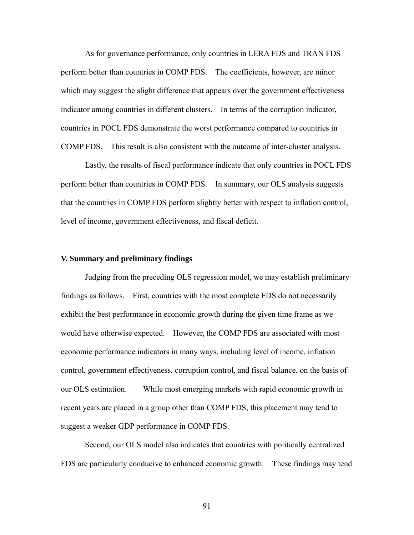As for governance performance, only countries in LERA FDS and TRAN FDS perform better than countries in COMP FDS. The coefficients, however, are minor which may suggest the slight difference that appears over the government effectiveness indicator among countries in different clusters. In terms of the corruption indicator, countries in POCL FDS demonstrate the worst performance compared to countries in COMP FDS. This result is also consistent with the outcome of inter-cluster analysis.

 Lastly, the results of fiscal performance indicate that only countries in POCL FDS perform better than countries in COMP FDS. In summary, our OLS analysis suggests that the countries in COMP FDS perform slightly better with respect to inflation control, level of income, government effectiveness, and fiscal deficit.

## **V. Summary and preliminary findings**

 Judging from the preceding OLS regression model, we may establish preliminary findings as follows. First, countries with the most complete FDS do not necessarily exhibit the best performance in economic growth during the given time frame as we would have otherwise expected. However, the COMP FDS are associated with most economic performance indicators in many ways, including level of income, inflation control, government effectiveness, corruption control, and fiscal balance, on the basis of our OLS estimation. While most emerging markets with rapid economic growth in recent years are placed in a group other than COMP FDS, this placement may tend to suggest a weaker GDP performance in COMP FDS.

 Second, our OLS model also indicates that countries with politically centralized FDS are particularly conducive to enhanced economic growth. These findings may tend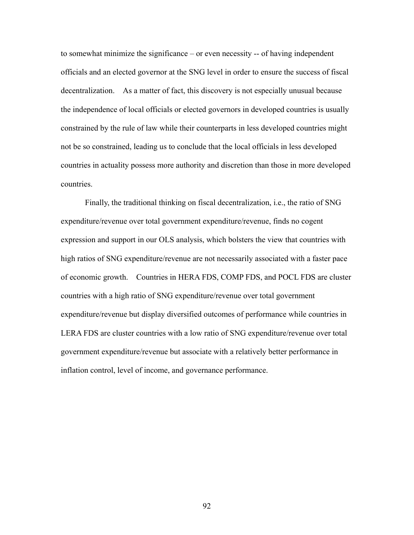to somewhat minimize the significance – or even necessity -- of having independent officials and an elected governor at the SNG level in order to ensure the success of fiscal decentralization. As a matter of fact, this discovery is not especially unusual because the independence of local officials or elected governors in developed countries is usually constrained by the rule of law while their counterparts in less developed countries might not be so constrained, leading us to conclude that the local officials in less developed countries in actuality possess more authority and discretion than those in more developed countries.

 Finally, the traditional thinking on fiscal decentralization, i.e., the ratio of SNG expenditure/revenue over total government expenditure/revenue, finds no cogent expression and support in our OLS analysis, which bolsters the view that countries with high ratios of SNG expenditure/revenue are not necessarily associated with a faster pace of economic growth. Countries in HERA FDS, COMP FDS, and POCL FDS are cluster countries with a high ratio of SNG expenditure/revenue over total government expenditure/revenue but display diversified outcomes of performance while countries in LERA FDS are cluster countries with a low ratio of SNG expenditure/revenue over total government expenditure/revenue but associate with a relatively better performance in inflation control, level of income, and governance performance.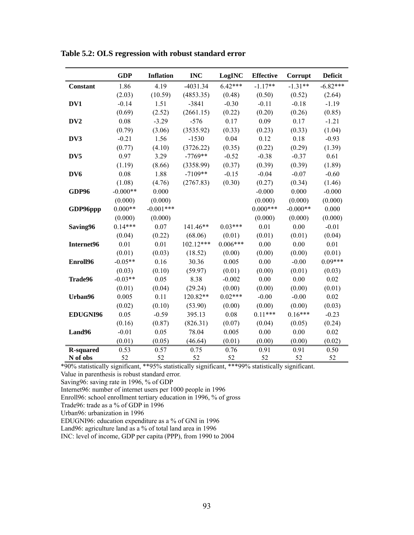|                  | <b>GDP</b> | <b>Inflation</b> | <b>INC</b>  | LogINC     | <b>Effective</b> | Corrupt    | <b>Deficit</b> |
|------------------|------------|------------------|-------------|------------|------------------|------------|----------------|
| <b>Constant</b>  | 1.86       | 4.19             | $-4031.34$  | $6.42***$  | $-1.17**$        | $-1.31**$  | $-6.82***$     |
|                  | (2.03)     | (10.59)          | (4853.35)   | (0.48)     | (0.50)           | (0.52)     | (2.64)         |
| DV1              | $-0.14$    | 1.51             | $-3841$     | $-0.30$    | $-0.11$          | $-0.18$    | $-1.19$        |
|                  | (0.69)     | (2.52)           | (2661.15)   | (0.22)     | (0.20)           | (0.26)     | (0.85)         |
| DV <sub>2</sub>  | 0.08       | $-3.29$          | $-576$      | 0.17       | 0.09             | 0.17       | $-1.21$        |
|                  | (0.79)     | (3.06)           | (3535.92)   | (0.33)     | (0.23)           | (0.33)     | (1.04)         |
| DV3              | $-0.21$    | 1.56             | $-1530$     | 0.04       | 0.12             | 0.18       | $-0.93$        |
|                  | (0.77)     | (4.10)           | (3726.22)   | (0.35)     | (0.22)           | (0.29)     | (1.39)         |
| DV <sub>5</sub>  | 0.97       | 3.29             | $-7769**$   | $-0.52$    | $-0.38$          | $-0.37$    | 0.61           |
|                  | (1.19)     | (8.66)           | (3358.99)   | (0.37)     | (0.39)           | (0.39)     | (1.89)         |
| DV <sub>6</sub>  | 0.08       | 1.88             | $-7109**$   | $-0.15$    | $-0.04$          | $-0.07$    | $-0.60$        |
|                  | (1.08)     | (4.76)           | (2767.83)   | (0.30)     | (0.27)           | (0.34)     | (1.46)         |
| GDP96            | $-0.000**$ | 0.000            |             |            | $-0.000$         | 0.000      | $-0.000$       |
|                  | (0.000)    | (0.000)          |             |            | (0.000)          | (0.000)    | (0.000)        |
| GDP96ppp         | $0.000**$  | $-0.001***$      |             |            | $0.000***$       | $-0.000**$ | 0.000          |
|                  | (0.000)    | (0.000)          |             |            | (0.000)          | (0.000)    | (0.000)        |
| Saving96         | $0.14***$  | 0.07             | 141.46**    | $0.03***$  | 0.01             | 0.00       | $-0.01$        |
|                  | (0.04)     | (0.22)           | (68.06)     | (0.01)     | (0.01)           | (0.01)     | (0.04)         |
| Internet96       | 0.01       | 0.01             | $102.12***$ | $0.006***$ | 0.00             | 0.00       | 0.01           |
|                  | (0.01)     | (0.03)           | (18.52)     | (0.00)     | (0.00)           | (0.00)     | (0.01)         |
| Enroll96         | $-0.05**$  | 0.16             | 30.36       | 0.005      | 0.00             | $-0.00$    | $0.09***$      |
|                  | (0.03)     | (0.10)           | (59.97)     | (0.01)     | (0.00)           | (0.01)     | (0.03)         |
| Trade96          | $-0.03**$  | 0.05             | 8.38        | $-0.002$   | 0.00             | 0.00       | 0.02           |
|                  | (0.01)     | (0.04)           | (29.24)     | (0.00)     | (0.00)           | (0.00)     | (0.01)         |
| Urban96          | 0.005      | 0.11             | 120.82**    | $0.02***$  | $-0.00$          | $-0.00$    | 0.02           |
|                  | (0.02)     | (0.10)           | (53.90)     | (0.00)     | (0.00)           | (0.00)     | (0.03)         |
| <b>EDUGNI96</b>  | 0.05       | $-0.59$          | 395.13      | 0.08       | $0.11***$        | $0.16***$  | $-0.23$        |
|                  | (0.16)     | (0.87)           | (826.31)    | (0.07)     | (0.04)           | (0.05)     | (0.24)         |
| Land96           | $-0.01$    | 0.05             | 78.04       | 0.005      | 0.00             | 0.00       | 0.02           |
|                  | (0.01)     | (0.05)           | (46.64)     | (0.01)     | (0.00)           | (0.00)     | (0.02)         |
| <b>R-squared</b> | 0.53       | 0.57             | 0.75        | 0.76       | 0.91             | 0.91       | 0.50           |
| N of obs         | 52         | 52               | 52          | 52         | 52               | 52         | 52             |

**Table 5.2: OLS regression with robust standard error** 

\*90% statistically significant, \*\*95% statistically significant, \*\*\*99% statistically significant.

Value in parenthesis is robust standard error.

Saving96: saving rate in 1996, % of GDP

Internet96: number of internet users per 1000 people in 1996

Enroll96: school enrollment tertiary education in 1996, % of gross

Trade96: trade as a % of GDP in 1996

Urban96: urbanization in 1996

EDUGNI96: education expenditure as a % of GNI in 1996

Land96: agriculture land as a % of total land area in 1996

INC: level of income, GDP per capita (PPP), from 1990 to 2004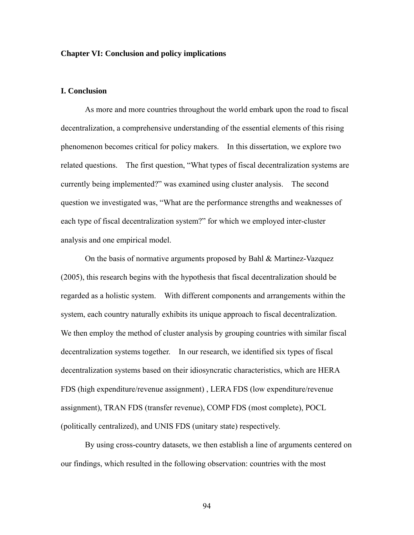### **Chapter VI: Conclusion and policy implications**

### **I. Conclusion**

 As more and more countries throughout the world embark upon the road to fiscal decentralization, a comprehensive understanding of the essential elements of this rising phenomenon becomes critical for policy makers. In this dissertation, we explore two related questions. The first question, "What types of fiscal decentralization systems are currently being implemented?" was examined using cluster analysis. The second question we investigated was, "What are the performance strengths and weaknesses of each type of fiscal decentralization system?" for which we employed inter-cluster analysis and one empirical model.

 On the basis of normative arguments proposed by Bahl & Martinez-Vazquez (2005), this research begins with the hypothesis that fiscal decentralization should be regarded as a holistic system. With different components and arrangements within the system, each country naturally exhibits its unique approach to fiscal decentralization. We then employ the method of cluster analysis by grouping countries with similar fiscal decentralization systems together. In our research, we identified six types of fiscal decentralization systems based on their idiosyncratic characteristics, which are HERA FDS (high expenditure/revenue assignment) , LERA FDS (low expenditure/revenue assignment), TRAN FDS (transfer revenue), COMP FDS (most complete), POCL (politically centralized), and UNIS FDS (unitary state) respectively.

 By using cross-country datasets, we then establish a line of arguments centered on our findings, which resulted in the following observation: countries with the most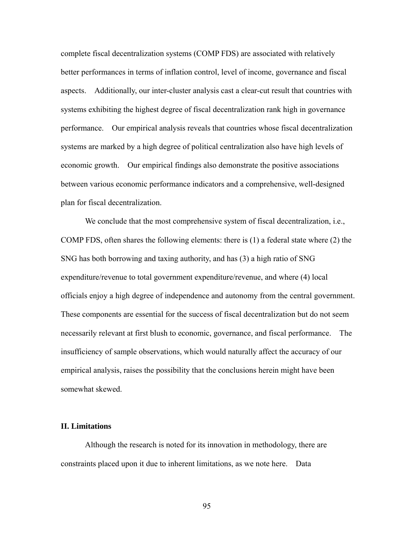complete fiscal decentralization systems (COMP FDS) are associated with relatively better performances in terms of inflation control, level of income, governance and fiscal aspects. Additionally, our inter-cluster analysis cast a clear-cut result that countries with systems exhibiting the highest degree of fiscal decentralization rank high in governance performance. Our empirical analysis reveals that countries whose fiscal decentralization systems are marked by a high degree of political centralization also have high levels of economic growth. Our empirical findings also demonstrate the positive associations between various economic performance indicators and a comprehensive, well-designed plan for fiscal decentralization.

 We conclude that the most comprehensive system of fiscal decentralization, i.e., COMP FDS, often shares the following elements: there is (1) a federal state where (2) the SNG has both borrowing and taxing authority, and has (3) a high ratio of SNG expenditure/revenue to total government expenditure/revenue, and where (4) local officials enjoy a high degree of independence and autonomy from the central government. These components are essential for the success of fiscal decentralization but do not seem necessarily relevant at first blush to economic, governance, and fiscal performance. The insufficiency of sample observations, which would naturally affect the accuracy of our empirical analysis, raises the possibility that the conclusions herein might have been somewhat skewed.

#### **II. Limitations**

 Although the research is noted for its innovation in methodology, there are constraints placed upon it due to inherent limitations, as we note here. Data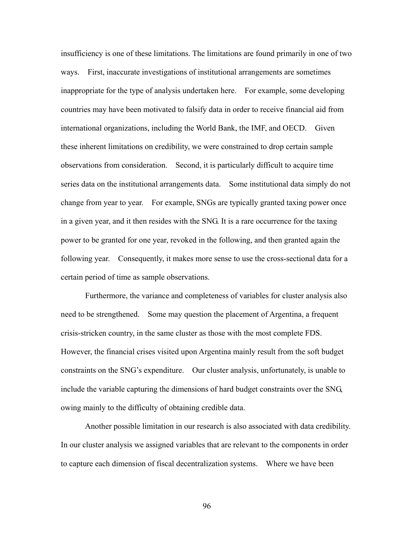insufficiency is one of these limitations. The limitations are found primarily in one of two ways. First, inaccurate investigations of institutional arrangements are sometimes inappropriate for the type of analysis undertaken here. For example, some developing countries may have been motivated to falsify data in order to receive financial aid from international organizations, including the World Bank, the IMF, and OECD. Given these inherent limitations on credibility, we were constrained to drop certain sample observations from consideration. Second, it is particularly difficult to acquire time series data on the institutional arrangements data. Some institutional data simply do not change from year to year. For example, SNGs are typically granted taxing power once in a given year, and it then resides with the SNG. It is a rare occurrence for the taxing power to be granted for one year, revoked in the following, and then granted again the following year. Consequently, it makes more sense to use the cross-sectional data for a certain period of time as sample observations.

 Furthermore, the variance and completeness of variables for cluster analysis also need to be strengthened. Some may question the placement of Argentina, a frequent crisis-stricken country, in the same cluster as those with the most complete FDS. However, the financial crises visited upon Argentina mainly result from the soft budget constraints on the SNG's expenditure. Our cluster analysis, unfortunately, is unable to include the variable capturing the dimensions of hard budget constraints over the SNG, owing mainly to the difficulty of obtaining credible data.

 Another possible limitation in our research is also associated with data credibility. In our cluster analysis we assigned variables that are relevant to the components in order to capture each dimension of fiscal decentralization systems. Where we have been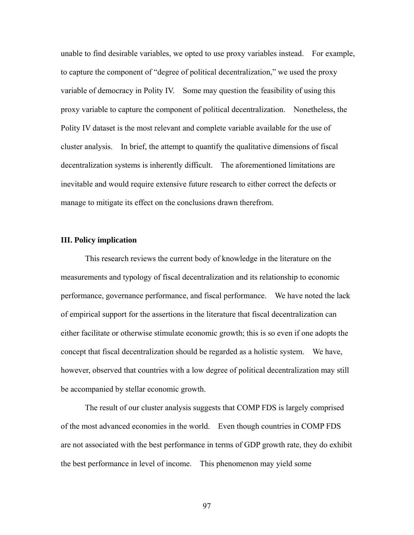unable to find desirable variables, we opted to use proxy variables instead. For example, to capture the component of "degree of political decentralization," we used the proxy variable of democracy in Polity IV. Some may question the feasibility of using this proxy variable to capture the component of political decentralization. Nonetheless, the Polity IV dataset is the most relevant and complete variable available for the use of cluster analysis. In brief, the attempt to quantify the qualitative dimensions of fiscal decentralization systems is inherently difficult. The aforementioned limitations are inevitable and would require extensive future research to either correct the defects or manage to mitigate its effect on the conclusions drawn therefrom.

#### **III. Policy implication**

 This research reviews the current body of knowledge in the literature on the measurements and typology of fiscal decentralization and its relationship to economic performance, governance performance, and fiscal performance. We have noted the lack of empirical support for the assertions in the literature that fiscal decentralization can either facilitate or otherwise stimulate economic growth; this is so even if one adopts the concept that fiscal decentralization should be regarded as a holistic system. We have, however, observed that countries with a low degree of political decentralization may still be accompanied by stellar economic growth.

 The result of our cluster analysis suggests that COMP FDS is largely comprised of the most advanced economies in the world. Even though countries in COMP FDS are not associated with the best performance in terms of GDP growth rate, they do exhibit the best performance in level of income. This phenomenon may yield some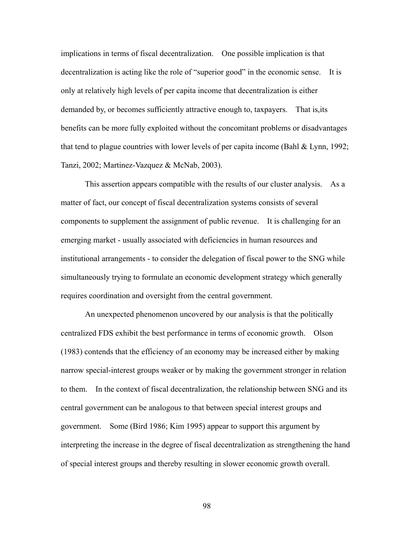implications in terms of fiscal decentralization. One possible implication is that decentralization is acting like the role of "superior good" in the economic sense. It is only at relatively high levels of per capita income that decentralization is either demanded by, or becomes sufficiently attractive enough to, taxpayers. That is,its benefits can be more fully exploited without the concomitant problems or disadvantages that tend to plague countries with lower levels of per capita income (Bahl & Lynn, 1992; Tanzi, 2002; Martinez-Vazquez & McNab, 2003).

 This assertion appears compatible with the results of our cluster analysis. As a matter of fact, our concept of fiscal decentralization systems consists of several components to supplement the assignment of public revenue. It is challenging for an emerging market - usually associated with deficiencies in human resources and institutional arrangements - to consider the delegation of fiscal power to the SNG while simultaneously trying to formulate an economic development strategy which generally requires coordination and oversight from the central government.

 An unexpected phenomenon uncovered by our analysis is that the politically centralized FDS exhibit the best performance in terms of economic growth. Olson (1983) contends that the efficiency of an economy may be increased either by making narrow special-interest groups weaker or by making the government stronger in relation to them. In the context of fiscal decentralization, the relationship between SNG and its central government can be analogous to that between special interest groups and government. Some (Bird 1986; Kim 1995) appear to support this argument by interpreting the increase in the degree of fiscal decentralization as strengthening the hand of special interest groups and thereby resulting in slower economic growth overall.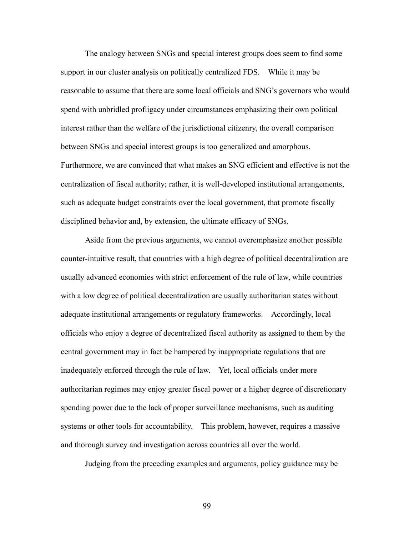The analogy between SNGs and special interest groups does seem to find some support in our cluster analysis on politically centralized FDS. While it may be reasonable to assume that there are some local officials and SNG's governors who would spend with unbridled profligacy under circumstances emphasizing their own political interest rather than the welfare of the jurisdictional citizenry, the overall comparison between SNGs and special interest groups is too generalized and amorphous. Furthermore, we are convinced that what makes an SNG efficient and effective is not the centralization of fiscal authority; rather, it is well-developed institutional arrangements, such as adequate budget constraints over the local government, that promote fiscally disciplined behavior and, by extension, the ultimate efficacy of SNGs.

 Aside from the previous arguments, we cannot overemphasize another possible counter-intuitive result, that countries with a high degree of political decentralization are usually advanced economies with strict enforcement of the rule of law, while countries with a low degree of political decentralization are usually authoritarian states without adequate institutional arrangements or regulatory frameworks. Accordingly, local officials who enjoy a degree of decentralized fiscal authority as assigned to them by the central government may in fact be hampered by inappropriate regulations that are inadequately enforced through the rule of law. Yet, local officials under more authoritarian regimes may enjoy greater fiscal power or a higher degree of discretionary spending power due to the lack of proper surveillance mechanisms, such as auditing systems or other tools for accountability. This problem, however, requires a massive and thorough survey and investigation across countries all over the world.

Judging from the preceding examples and arguments, policy guidance may be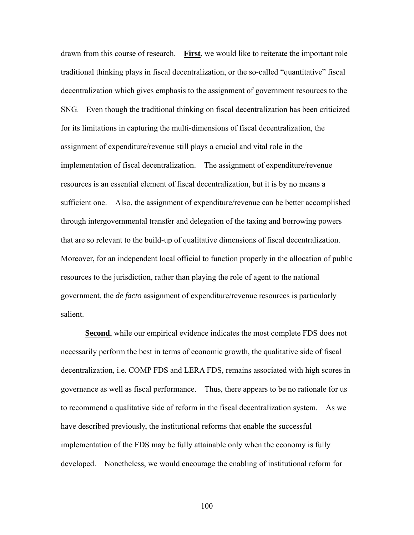drawn from this course of research. **First**, we would like to reiterate the important role traditional thinking plays in fiscal decentralization, or the so-called "quantitative" fiscal decentralization which gives emphasis to the assignment of government resources to the SNG. Even though the traditional thinking on fiscal decentralization has been criticized for its limitations in capturing the multi-dimensions of fiscal decentralization, the assignment of expenditure/revenue still plays a crucial and vital role in the implementation of fiscal decentralization. The assignment of expenditure/revenue resources is an essential element of fiscal decentralization, but it is by no means a sufficient one. Also, the assignment of expenditure/revenue can be better accomplished through intergovernmental transfer and delegation of the taxing and borrowing powers that are so relevant to the build-up of qualitative dimensions of fiscal decentralization. Moreover, for an independent local official to function properly in the allocation of public resources to the jurisdiction, rather than playing the role of agent to the national government, the *de facto* assignment of expenditure/revenue resources is particularly salient.

 **Second**, while our empirical evidence indicates the most complete FDS does not necessarily perform the best in terms of economic growth, the qualitative side of fiscal decentralization, i.e. COMP FDS and LERA FDS, remains associated with high scores in governance as well as fiscal performance. Thus, there appears to be no rationale for us to recommend a qualitative side of reform in the fiscal decentralization system. As we have described previously, the institutional reforms that enable the successful implementation of the FDS may be fully attainable only when the economy is fully developed. Nonetheless, we would encourage the enabling of institutional reform for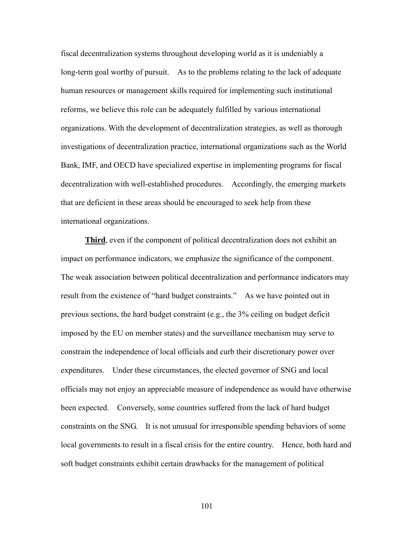fiscal decentralization systems throughout developing world as it is undeniably a long-term goal worthy of pursuit. As to the problems relating to the lack of adequate human resources or management skills required for implementing such institutional reforms, we believe this role can be adequately fulfilled by various international organizations. With the development of decentralization strategies, as well as thorough investigations of decentralization practice, international organizations such as the World Bank, IMF, and OECD have specialized expertise in implementing programs for fiscal decentralization with well-established procedures. Accordingly, the emerging markets that are deficient in these areas should be encouraged to seek help from these international organizations.

**Third**, even if the component of political decentralization does not exhibit an impact on performance indicators, we emphasize the significance of the component. The weak association between political decentralization and performance indicators may result from the existence of "hard budget constraints." As we have pointed out in previous sections, the hard budget constraint (e.g., the 3% ceiling on budget deficit imposed by the EU on member states) and the surveillance mechanism may serve to constrain the independence of local officials and curb their discretionary power over expenditures. Under these circumstances, the elected governor of SNG and local officials may not enjoy an appreciable measure of independence as would have otherwise been expected. Conversely, some countries suffered from the lack of hard budget constraints on the SNG. It is not unusual for irresponsible spending behaviors of some local governments to result in a fiscal crisis for the entire country. Hence, both hard and soft budget constraints exhibit certain drawbacks for the management of political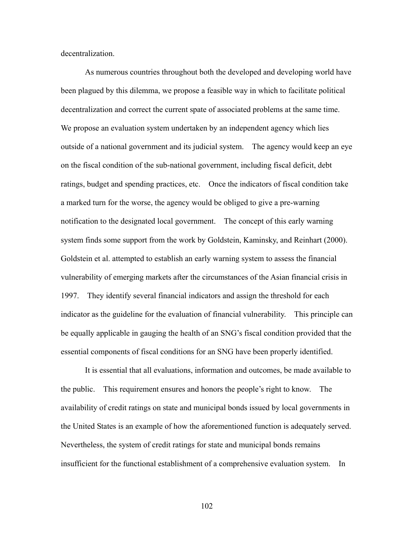decentralization.

 As numerous countries throughout both the developed and developing world have been plagued by this dilemma, we propose a feasible way in which to facilitate political decentralization and correct the current spate of associated problems at the same time. We propose an evaluation system undertaken by an independent agency which lies outside of a national government and its judicial system. The agency would keep an eye on the fiscal condition of the sub-national government, including fiscal deficit, debt ratings, budget and spending practices, etc. Once the indicators of fiscal condition take a marked turn for the worse, the agency would be obliged to give a pre-warning notification to the designated local government. The concept of this early warning system finds some support from the work by Goldstein, Kaminsky, and Reinhart (2000). Goldstein et al. attempted to establish an early warning system to assess the financial vulnerability of emerging markets after the circumstances of the Asian financial crisis in 1997. They identify several financial indicators and assign the threshold for each indicator as the guideline for the evaluation of financial vulnerability. This principle can be equally applicable in gauging the health of an SNG's fiscal condition provided that the essential components of fiscal conditions for an SNG have been properly identified.

 It is essential that all evaluations, information and outcomes, be made available to the public. This requirement ensures and honors the people's right to know. The availability of credit ratings on state and municipal bonds issued by local governments in the United States is an example of how the aforementioned function is adequately served. Nevertheless, the system of credit ratings for state and municipal bonds remains insufficient for the functional establishment of a comprehensive evaluation system. In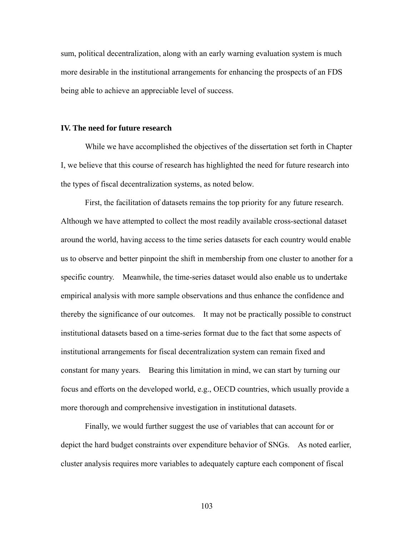sum, political decentralization, along with an early warning evaluation system is much more desirable in the institutional arrangements for enhancing the prospects of an FDS being able to achieve an appreciable level of success.

#### **IV. The need for future research**

 While we have accomplished the objectives of the dissertation set forth in Chapter I, we believe that this course of research has highlighted the need for future research into the types of fiscal decentralization systems, as noted below.

 First, the facilitation of datasets remains the top priority for any future research. Although we have attempted to collect the most readily available cross-sectional dataset around the world, having access to the time series datasets for each country would enable us to observe and better pinpoint the shift in membership from one cluster to another for a specific country. Meanwhile, the time-series dataset would also enable us to undertake empirical analysis with more sample observations and thus enhance the confidence and thereby the significance of our outcomes. It may not be practically possible to construct institutional datasets based on a time-series format due to the fact that some aspects of institutional arrangements for fiscal decentralization system can remain fixed and constant for many years. Bearing this limitation in mind, we can start by turning our focus and efforts on the developed world, e.g., OECD countries, which usually provide a more thorough and comprehensive investigation in institutional datasets.

 Finally, we would further suggest the use of variables that can account for or depict the hard budget constraints over expenditure behavior of SNGs. As noted earlier, cluster analysis requires more variables to adequately capture each component of fiscal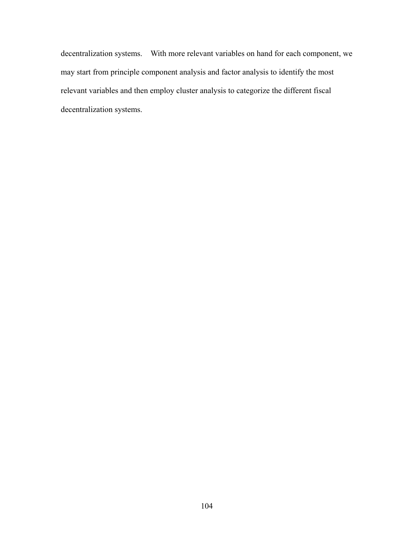decentralization systems. With more relevant variables on hand for each component, we may start from principle component analysis and factor analysis to identify the most relevant variables and then employ cluster analysis to categorize the different fiscal decentralization systems.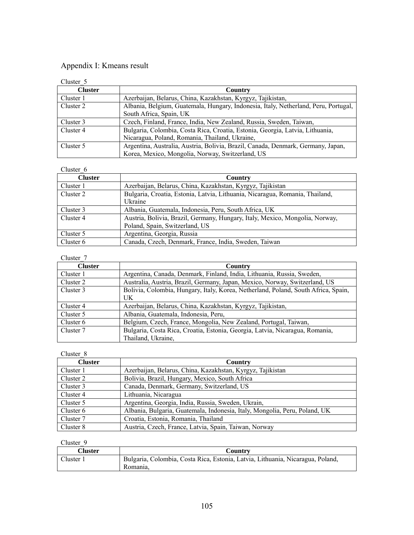# Appendix I: Kmeans result

| Cluster 5      |                                                                                     |
|----------------|-------------------------------------------------------------------------------------|
| <b>Cluster</b> | Country                                                                             |
| Cluster 1      | Azerbaijan, Belarus, China, Kazakhstan, Kyrgyz, Tajikistan,                         |
| Cluster 2      | Albania, Belgium, Guatemala, Hungary, Indonesia, Italy, Netherland, Peru, Portugal, |
|                | South Africa, Spain, UK                                                             |
| Cluster 3      | Czech, Finland, France, India, New Zealand, Russia, Sweden, Taiwan,                 |
| Cluster 4      | Bulgaria, Colombia, Costa Rica, Croatia, Estonia, Georgia, Latvia, Lithuania,       |
|                | Nicaragua, Poland, Romania, Thailand, Ukraine,                                      |
| Cluster 5      | Argentina, Australia, Austria, Bolivia, Brazil, Canada, Denmark, Germany, Japan,    |
|                | Korea, Mexico, Mongolia, Norway, Switzerland, US                                    |

## Cluster\_6

| ັນເພາະຈະ ດ     |                                                                                                                |
|----------------|----------------------------------------------------------------------------------------------------------------|
| <b>Cluster</b> | Country                                                                                                        |
| Cluster 1      | Azerbaijan, Belarus, China, Kazakhstan, Kyrgyz, Tajikistan                                                     |
| Cluster 2      | Bulgaria, Croatia, Estonia, Latvia, Lithuania, Nicaragua, Romania, Thailand,<br>Ukraine                        |
| Cluster 3      | Albania, Guatemala, Indonesia, Peru, South Africa, UK                                                          |
| Cluster 4      | Austria, Bolivia, Brazil, Germany, Hungary, Italy, Mexico, Mongolia, Norway,<br>Poland, Spain, Switzerland, US |
| Cluster 5      | Argentina, Georgia, Russia                                                                                     |
| Cluster 6      | Canada, Czech, Denmark, France, India, Sweden, Taiwan                                                          |

#### Cluster\_7

| <b>Cluster</b> | Country                                                                            |
|----------------|------------------------------------------------------------------------------------|
| Cluster 1      | Argentina, Canada, Denmark, Finland, India, Lithuania, Russia, Sweden,             |
| Cluster 2      | Australia, Austria, Brazil, Germany, Japan, Mexico, Norway, Switzerland, US        |
| Cluster 3      | Bolivia, Colombia, Hungary, Italy, Korea, Netherland, Poland, South Africa, Spain, |
|                | UK                                                                                 |
| Cluster 4      | Azerbaijan, Belarus, China, Kazakhstan, Kyrgyz, Tajikistan,                        |
| Cluster 5      | Albania, Guatemala, Indonesia, Peru,                                               |
| Cluster 6      | Belgium, Czech, France, Mongolia, New Zealand, Portugal, Taiwan,                   |
| Cluster 7      | Bulgaria, Costa Rica, Croatia, Estonia, Georgia, Latvia, Nicaragua, Romania,       |
|                | Thailand, Ukraine,                                                                 |

## Cluster 8

| <b>Cluster</b> | Country                                                                    |
|----------------|----------------------------------------------------------------------------|
| Cluster 1      | Azerbaijan, Belarus, China, Kazakhstan, Kyrgyz, Tajikistan                 |
| Cluster 2      | Bolivia, Brazil, Hungary, Mexico, South Africa                             |
| Cluster 3      | Canada, Denmark, Germany, Switzerland, US                                  |
| Cluster 4      | Lithuania, Nicaragua                                                       |
| Cluster 5      | Argentina, Georgia, India, Russia, Sweden, Ukrain,                         |
| Cluster 6      | Albania, Bulgaria, Guatemala, Indonesia, Italy, Mongolia, Peru, Poland, UK |
| Cluster 7      | Croatia, Estonia, Romania, Thailand                                        |
| Cluster 8      | Austria, Czech, France, Latvia, Spain, Taiwan, Norway                      |

| Cluster : | Countrv                                                                                    |
|-----------|--------------------------------------------------------------------------------------------|
| Cluster 1 | Bulgaria, Colombia, Costa Rica, Estonia, Latvia, Lithuania, Nicaragua, Poland,<br>Romania. |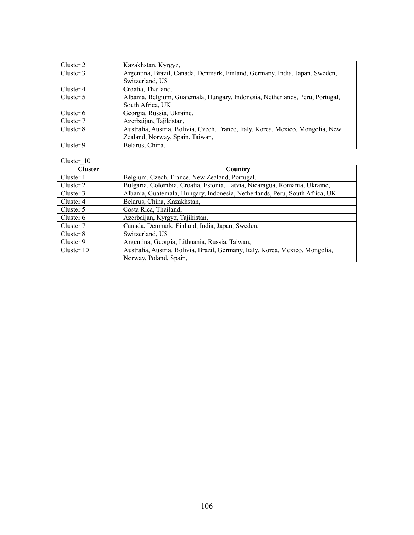| Cluster 2 | Kazakhstan, Kyrgyz,                                                             |
|-----------|---------------------------------------------------------------------------------|
| Cluster 3 | Argentina, Brazil, Canada, Denmark, Finland, Germany, India, Japan, Sweden,     |
|           | Switzerland, US                                                                 |
| Cluster 4 | Croatia, Thailand,                                                              |
| Cluster 5 | Albania, Belgium, Guatemala, Hungary, Indonesia, Netherlands, Peru, Portugal,   |
|           | South Africa, UK                                                                |
| Cluster 6 | Georgia, Russia, Ukraine,                                                       |
| Cluster 7 | Azerbaijan, Tajikistan,                                                         |
| Cluster 8 | Australia, Austria, Bolivia, Czech, France, Italy, Korea, Mexico, Mongolia, New |
|           | Zealand, Norway, Spain, Taiwan,                                                 |
| Cluster 9 | Belarus, China,                                                                 |

| <b>Cluster</b> | <b>Country</b>                                                                |
|----------------|-------------------------------------------------------------------------------|
| Cluster 1      | Belgium, Czech, France, New Zealand, Portugal,                                |
| Cluster 2      | Bulgaria, Colombia, Croatia, Estonia, Latvia, Nicaragua, Romania, Ukraine,    |
| Cluster 3      | Albania, Guatemala, Hungary, Indonesia, Netherlands, Peru, South Africa, UK   |
| Cluster 4      | Belarus, China, Kazakhstan,                                                   |
| Cluster 5      | Costa Rica, Thailand,                                                         |
| Cluster 6      | Azerbaijan, Kyrgyz, Tajikistan,                                               |
| Cluster 7      | Canada, Denmark, Finland, India, Japan, Sweden,                               |
| Cluster 8      | Switzerland, US                                                               |
| Cluster 9      | Argentina, Georgia, Lithuania, Russia, Taiwan,                                |
| Cluster 10     | Australia, Austria, Bolivia, Brazil, Germany, Italy, Korea, Mexico, Mongolia, |
|                | Norway, Poland, Spain,                                                        |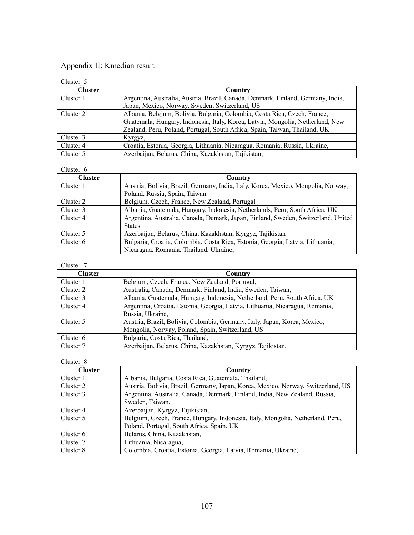# Appendix II: Kmedian result

| Cluster 5      |                                                                                  |
|----------------|----------------------------------------------------------------------------------|
| <b>Cluster</b> | Country                                                                          |
| Cluster 1      | Argentina, Australia, Austria, Brazil, Canada, Denmark, Finland, Germany, India, |
|                | Japan, Mexico, Norway, Sweden, Switzerland, US                                   |
| Cluster 2      | Albania, Belgium, Bolivia, Bulgaria, Colombia, Costa Rica, Czech, France,        |
|                | Guatemala, Hungary, Indonesia, Italy, Korea, Latvia, Mongolia, Netherland, New   |
|                | Zealand, Peru, Poland, Portugal, South Africa, Spain, Taiwan, Thailand, UK       |
| Cluster 3      | Kyrgyz,                                                                          |
| Cluster 4      | Croatia, Estonia, Georgia, Lithuania, Nicaragua, Romania, Russia, Ukraine,       |
| Cluster 5      | Azerbaijan, Belarus, China, Kazakhstan, Tajikistan,                              |

### Cluster 6

| ັນເພາະພະ ບ     |                                                                                   |
|----------------|-----------------------------------------------------------------------------------|
| <b>Cluster</b> | Country                                                                           |
| Cluster 1      | Austria, Bolivia, Brazil, Germany, India, Italy, Korea, Mexico, Mongolia, Norway, |
|                | Poland, Russia, Spain, Taiwan                                                     |
| Cluster 2      | Belgium, Czech, France, New Zealand, Portugal                                     |
| Cluster 3      | Albania, Guatemala, Hungary, Indonesia, Netherlands, Peru, South Africa, UK       |
| Cluster 4      | Argentina, Australia, Canada, Demark, Japan, Finland, Sweden, Switzerland, United |
|                | <b>States</b>                                                                     |
| Cluster 5      | Azerbaijan, Belarus, China, Kazakhstan, Kyrgyz, Tajikistan                        |
| Cluster 6      | Bulgaria, Croatia, Colombia, Costa Rica, Estonia, Georgia, Latvia, Lithuania,     |
|                | Nicaragua, Romania, Thailand, Ukraine,                                            |

### Cluster\_7

| <b>Cluster</b> | Country                                                                      |
|----------------|------------------------------------------------------------------------------|
| Cluster 1      | Belgium, Czech, France, New Zealand, Portugal,                               |
| Cluster 2      | Australia, Canada, Denmark, Finland, India, Sweden, Taiwan,                  |
| Cluster 3      | Albania, Guatemala, Hungary, Indonesia, Netherland, Peru, South Africa, UK   |
| Cluster 4      | Argentina, Croatia, Estonia, Georgia, Latvia, Lithuania, Nicaragua, Romania, |
|                | Russia, Ukraine,                                                             |
| Cluster 5      | Austria, Brazil, Bolivia, Colombia, Germany, Italy, Japan, Korea, Mexico,    |
|                | Mongolia, Norway, Poland, Spain, Switzerland, US                             |
| Cluster 6      | Bulgaria, Costa Rica, Thailand,                                              |
| Cluster 7      | Azerbaijan, Belarus, China, Kazakhstan, Kyrgyz, Tajikistan,                  |

| <b>Cluster</b> | <b>Country</b>                                                                   |
|----------------|----------------------------------------------------------------------------------|
| Cluster 1      | Albania, Bulgaria, Costa Rica, Guatemala, Thailand,                              |
| Cluster 2      | Austria, Bolivia, Brazil, Germany, Japan, Korea, Mexico, Norway, Switzerland, US |
| Cluster 3      | Argentina, Australia, Canada, Denmark, Finland, India, New Zealand, Russia,      |
|                | Sweden, Taiwan,                                                                  |
| Cluster 4      | Azerbaijan, Kyrgyz, Tajikistan,                                                  |
| Cluster 5      | Belgium, Czech, France, Hungary, Indonesia, Italy, Mongolia, Netherland, Peru,   |
|                | Poland, Portugal, South Africa, Spain, UK                                        |
| Cluster 6      | Belarus, China, Kazakhstan,                                                      |
| Cluster 7      | Lithuania, Nicaragua,                                                            |
| Cluster 8      | Colombia, Croatia, Estonia, Georgia, Latvia, Romania, Ukraine,                   |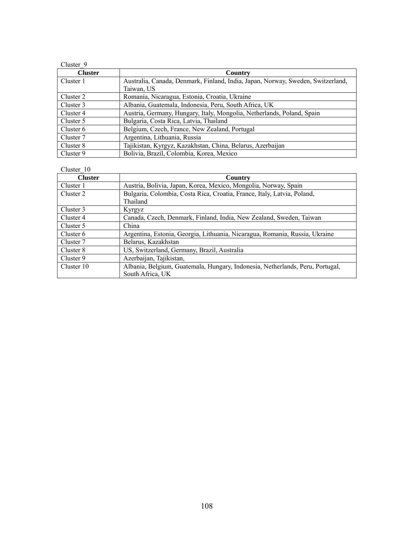| Cluster 9      |                                                                                 |
|----------------|---------------------------------------------------------------------------------|
| <b>Cluster</b> | Country                                                                         |
| Cluster 1      | Australia, Canada, Denmark, Finland, India, Japan, Norway, Sweden, Switzerland, |
|                | Taiwan, US                                                                      |
| Cluster 2      | Romania, Nicaragua, Estonia, Croatia, Ukraine                                   |
| Cluster 3      | Albania, Guatemala, Indonesia, Peru, South Africa, UK                           |
| Cluster 4      | Austria, Germany, Hungary, Italy, Mongolia, Netherlands, Poland, Spain          |
| Cluster 5      | Bulgaria, Costa Rica, Latvia, Thailand                                          |
| Cluster 6      | Belgium, Czech, France, New Zealand, Portugal                                   |
| Cluster 7      | Argentina, Lithuania, Russia                                                    |
| Cluster 8      | Tajikistan, Kyrgyz, Kazakhstan, China, Belarus, Azerbaijan                      |
| Cluster 9      | Bolivia, Brazil, Colombia, Korea, Mexico                                        |

| <b>Cluster</b> | Country                                                                                           |
|----------------|---------------------------------------------------------------------------------------------------|
| Cluster 1      | Austria, Bolivia, Japan, Korea, Mexico, Mongolia, Norway, Spain                                   |
| Cluster 2      | Bulgaria, Colombia, Costa Rica, Croatia, France, Italy, Latvia, Poland,<br>Thailand               |
| Cluster 3      | Kyrgyz                                                                                            |
| Cluster 4      | Canada, Czech, Denmark, Finland, India, New Zealand, Sweden, Taiwan                               |
| Cluster 5      | China                                                                                             |
| Cluster 6      | Argentina, Estonia, Georgia, Lithuania, Nicaragua, Romania, Russia, Ukraine                       |
| Cluster 7      | Belarus, Kazakhstan                                                                               |
| Cluster 8      | US, Switzerland, Germany, Brazil, Australia                                                       |
| Cluster 9      | Azerbaijan, Tajikistan,                                                                           |
| Cluster 10     | Albania, Belgium, Guatemala, Hungary, Indonesia, Netherlands, Peru, Portugal,<br>South Africa, UK |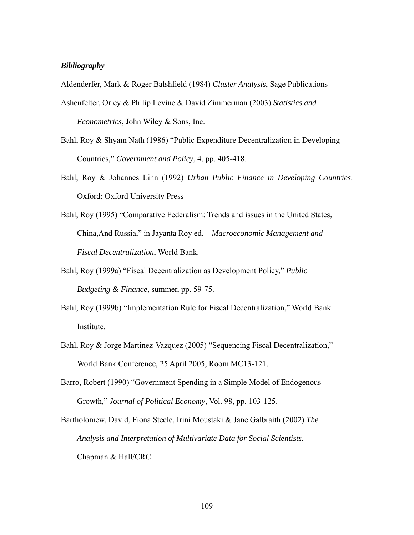#### *Bibliography*

Aldenderfer, Mark & Roger Balshfield (1984) *Cluster Analysis*, Sage Publications

- Ashenfelter, Orley & Phllip Levine & David Zimmerman (2003) *Statistics and Econometrics*, John Wiley & Sons, Inc.
- Bahl, Roy & Shyam Nath (1986) "Public Expenditure Decentralization in Developing Countries," *Government and Policy*, 4, pp. 405-418.
- Bahl, Roy & Johannes Linn (1992) *Urban Public Finance in Developing Countries*. Oxford: Oxford University Press
- Bahl, Roy (1995) "Comparative Federalism: Trends and issues in the United States, China,And Russia," in Jayanta Roy ed. *Macroeconomic Management and Fiscal Decentralization*, World Bank.
- Bahl, Roy (1999a) "Fiscal Decentralization as Development Policy," *Public Budgeting & Finance*, summer, pp. 59-75.
- Bahl, Roy (1999b) "Implementation Rule for Fiscal Decentralization," World Bank Institute.
- Bahl, Roy & Jorge Martinez-Vazquez (2005) "Sequencing Fiscal Decentralization," World Bank Conference, 25 April 2005, Room MC13-121.
- Barro, Robert (1990) "Government Spending in a Simple Model of Endogenous Growth," *Journal of Political Economy*, Vol. 98, pp. 103-125.

Bartholomew, David, Fiona Steele, Irini Moustaki & Jane Galbraith (2002) *The Analysis and Interpretation of Multivariate Data for Social Scientists*, Chapman & Hall/CRC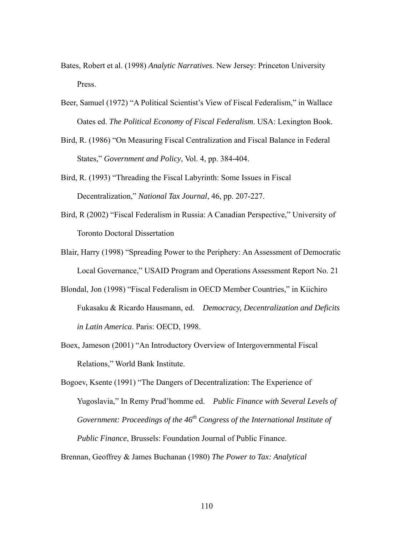- Bates, Robert et al. (1998) *Analytic Narratives*. New Jersey: Princeton University Press.
- Beer, Samuel (1972) "A Political Scientist's View of Fiscal Federalism," in Wallace Oates ed. *The Political Economy of Fiscal Federalism*. USA: Lexington Book.
- Bird, R. (1986) "On Measuring Fiscal Centralization and Fiscal Balance in Federal States," *Government and Policy*, Vol. 4, pp. 384-404.
- Bird, R. (1993) "Threading the Fiscal Labyrinth: Some Issues in Fiscal Decentralization," *National Tax Journal*, 46, pp. 207-227.
- Bird, R (2002) "Fiscal Federalism in Russia: A Canadian Perspective," University of Toronto Doctoral Dissertation
- Blair, Harry (1998) "Spreading Power to the Periphery: An Assessment of Democratic Local Governance," USAID Program and Operations Assessment Report No. 21
- Blondal, Jon (1998) "Fiscal Federalism in OECD Member Countries," in Kiichiro Fukasaku & Ricardo Hausmann, ed. *Democracy, Decentralization and Deficits in Latin America*. Paris: OECD, 1998.
- Boex, Jameson (2001) "An Introductory Overview of Intergovernmental Fiscal Relations," World Bank Institute.

Bogoev, Ksente (1991) "The Dangers of Decentralization: The Experience of Yugoslavia," In Remy Prud'homme ed. *Public Finance with Several Levels of Government: Proceedings of the 46th Congress of the International Institute of Public Finance*, Brussels: Foundation Journal of Public Finance.

Brennan, Geoffrey & James Buchanan (1980) *The Power to Tax: Analytical*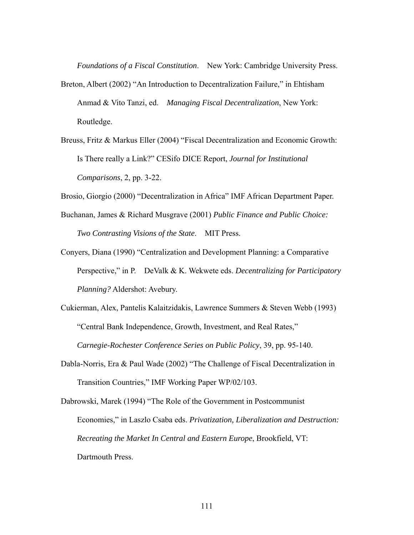*Foundations of a Fiscal Constitution*. New York: Cambridge University Press.

- Breton, Albert (2002) "An Introduction to Decentralization Failure," in Ehtisham Anmad & Vito Tanzi, ed. *Managing Fiscal Decentralization*, New York: Routledge.
- Breuss, Fritz & Markus Eller (2004) "Fiscal Decentralization and Economic Growth: Is There really a Link?" CESifo DICE Report, *Journal for Institutional Comparisons*, 2, pp. 3-22.

Brosio, Giorgio (2000) "Decentralization in Africa" IMF African Department Paper.

- Buchanan, James & Richard Musgrave (2001) *Public Finance and Public Choice: Two Contrasting Visions of the State*. MIT Press.
- Conyers, Diana (1990) "Centralization and Development Planning: a Comparative Perspective," in P. DeValk & K. Wekwete eds. *Decentralizing for Participatory Planning?* Aldershot: Avebury.
- Cukierman, Alex, Pantelis Kalaitzidakis, Lawrence Summers & Steven Webb (1993) "Central Bank Independence, Growth, Investment, and Real Rates,"  *Carnegie-Rochester Conference Series on Public Policy*, 39, pp. 95-140.
- Dabla-Norris, Era & Paul Wade (2002) "The Challenge of Fiscal Decentralization in Transition Countries," IMF Working Paper WP/02/103.
- Dabrowski, Marek (1994) "The Role of the Government in Postcommunist Economies," in Laszlo Csaba eds. *Privatization, Liberalization and Destruction: Recreating the Market In Central and Eastern Europe*, Brookfield, VT: Dartmouth Press.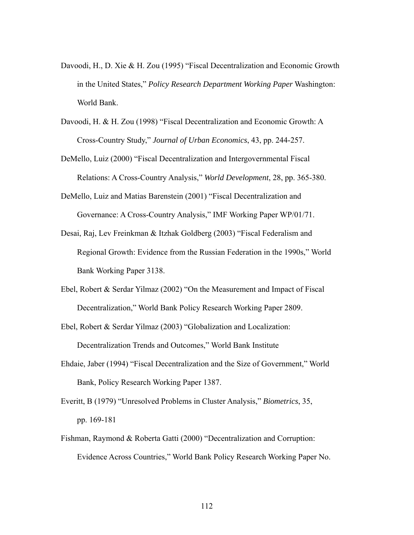- Davoodi, H., D. Xie & H. Zou (1995) "Fiscal Decentralization and Economic Growth in the United States," *Policy Research Department Working Paper* Washington: World Bank.
- Davoodi, H. & H. Zou (1998) "Fiscal Decentralization and Economic Growth: A Cross-Country Study," *Journal of Urban Economics*, 43, pp. 244-257.
- DeMello, Luiz (2000) "Fiscal Decentralization and Intergovernmental Fiscal Relations: A Cross-Country Analysis," *World Development*, 28, pp. 365-380.
- DeMello, Luiz and Matias Barenstein (2001) "Fiscal Decentralization and Governance: A Cross-Country Analysis," IMF Working Paper WP/01/71.
- Desai, Raj, Lev Freinkman & Itzhak Goldberg (2003) "Fiscal Federalism and Regional Growth: Evidence from the Russian Federation in the 1990s," World Bank Working Paper 3138.
- Ebel, Robert & Serdar Yilmaz (2002) "On the Measurement and Impact of Fiscal Decentralization," World Bank Policy Research Working Paper 2809.
- Ebel, Robert & Serdar Yilmaz (2003) "Globalization and Localization: Decentralization Trends and Outcomes," World Bank Institute
- Ehdaie, Jaber (1994) "Fiscal Decentralization and the Size of Government," World Bank, Policy Research Working Paper 1387.
- Everitt, B (1979) "Unresolved Problems in Cluster Analysis," *Biometrics*, 35, pp. 169-181
- Fishman, Raymond & Roberta Gatti (2000) "Decentralization and Corruption: Evidence Across Countries," World Bank Policy Research Working Paper No.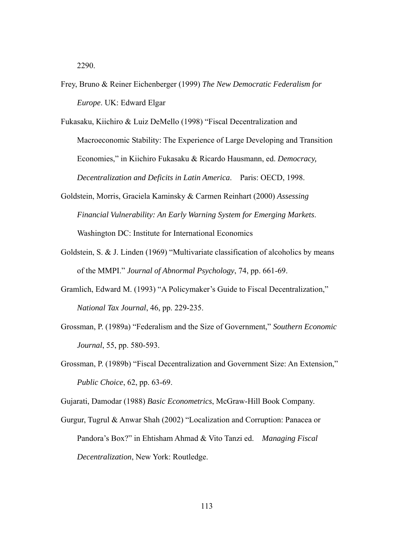2290.

Frey, Bruno & Reiner Eichenberger (1999) *The New Democratic Federalism for Europe*. UK: Edward Elgar

Fukasaku, Kiichiro & Luiz DeMello (1998) "Fiscal Decentralization and Macroeconomic Stability: The Experience of Large Developing and Transition Economies," in Kiichiro Fukasaku & Ricardo Hausmann, ed. *Democracy, Decentralization and Deficits in Latin America*. Paris: OECD, 1998.

- Goldstein, Morris, Graciela Kaminsky & Carmen Reinhart (2000) *Assessing Financial Vulnerability: An Early Warning System for Emerging Markets*. Washington DC: Institute for International Economics
- Goldstein, S. & J. Linden (1969) "Multivariate classification of alcoholics by means of the MMPI." *Journal of Abnormal Psychology*, 74, pp. 661-69.
- Gramlich, Edward M. (1993) "A Policymaker's Guide to Fiscal Decentralization," *National Tax Journal*, 46, pp. 229-235.
- Grossman, P. (1989a) "Federalism and the Size of Government," *Southern Economic Journal*, 55, pp. 580-593.
- Grossman, P. (1989b) "Fiscal Decentralization and Government Size: An Extension," *Public Choice*, 62, pp. 63-69.

Gujarati, Damodar (1988) *Basic Econometrics*, McGraw-Hill Book Company.

Gurgur, Tugrul & Anwar Shah (2002) "Localization and Corruption: Panacea or Pandora's Box?" in Ehtisham Ahmad & Vito Tanzi ed. *Managing Fiscal Decentralization*, New York: Routledge.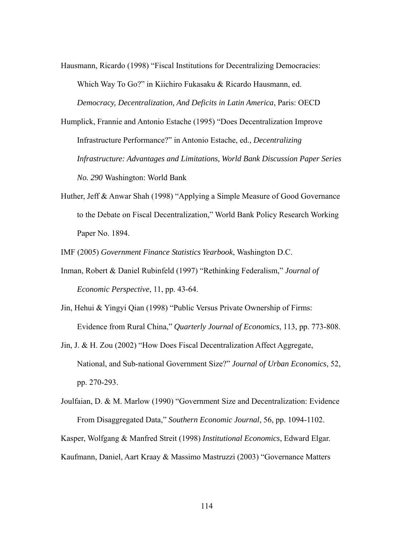- Hausmann, Ricardo (1998) "Fiscal Institutions for Decentralizing Democracies: Which Way To Go?" in Kiichiro Fukasaku & Ricardo Hausmann, ed. *Democracy, Decentralization, And Deficits in Latin America*, Paris: OECD
- Humplick, Frannie and Antonio Estache (1995) "Does Decentralization Improve Infrastructure Performance?" in Antonio Estache, ed., *Decentralizing Infrastructure: Advantages and Limitations, World Bank Discussion Paper Series No. 290* Washington: World Bank
- Huther, Jeff & Anwar Shah (1998) "Applying a Simple Measure of Good Governance to the Debate on Fiscal Decentralization," World Bank Policy Research Working Paper No. 1894.

IMF (2005) *Government Finance Statistics Yearbook*, Washington D.C.

- Inman, Robert & Daniel Rubinfeld (1997) "Rethinking Federalism," *Journal of Economic Perspective*, 11, pp. 43-64.
- Jin, Hehui & Yingyi Qian (1998) "Public Versus Private Ownership of Firms: Evidence from Rural China," *Quarterly Journal of Economics*, 113, pp. 773-808.
- Jin, J. & H. Zou (2002) "How Does Fiscal Decentralization Affect Aggregate, National, and Sub-national Government Size?" *Journal of Urban Economics*, 52, pp. 270-293.
- Joulfaian, D. & M. Marlow (1990) "Government Size and Decentralization: Evidence From Disaggregated Data," *Southern Economic Journal*, 56, pp. 1094-1102.

Kasper, Wolfgang & Manfred Streit (1998) *Institutional Economics*, Edward Elgar.

Kaufmann, Daniel, Aart Kraay & Massimo Mastruzzi (2003) "Governance Matters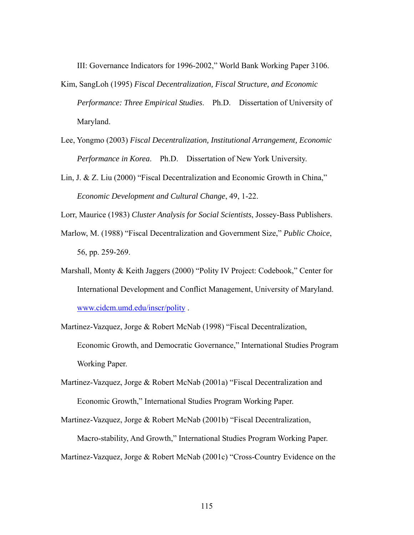III: Governance Indicators for 1996-2002," World Bank Working Paper 3106.

- Kim, SangLoh (1995) *Fiscal Decentralization, Fiscal Structure, and Economic Performance: Three Empirical Studies*. Ph.D. Dissertation of University of Maryland.
- Lee, Yongmo (2003) *Fiscal Decentralization, Institutional Arrangement, Economic Performance in Korea*. Ph.D. Dissertation of New York University.
- Lin, J. & Z. Liu (2000) "Fiscal Decentralization and Economic Growth in China,"  *Economic Development and Cultural Change*, 49, 1-22.

Lorr, Maurice (1983) *Cluster Analysis for Social Scientists*, Jossey-Bass Publishers.

- Marlow, M. (1988) "Fiscal Decentralization and Government Size," *Public Choice*, 56, pp. 259-269.
- Marshall, Monty & Keith Jaggers (2000) "Polity IV Project: Codebook," Center for International Development and Conflict Management, University of Maryland. [www.cidcm.umd.edu/inscr/polity](http://www.cidcm.umd.edu/inscr/polity) .
- Martinez-Vazquez, Jorge & Robert McNab (1998) "Fiscal Decentralization, Economic Growth, and Democratic Governance," International Studies Program Working Paper.
- Martinez-Vazquez, Jorge & Robert McNab (2001a) "Fiscal Decentralization and Economic Growth," International Studies Program Working Paper.
- Martinez-Vazquez, Jorge & Robert McNab (2001b) "Fiscal Decentralization, Macro-stability, And Growth," International Studies Program Working Paper. Martinez-Vazquez, Jorge & Robert McNab (2001c) "Cross-Country Evidence on the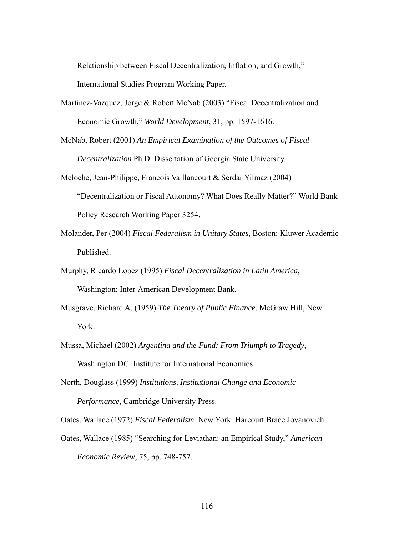Relationship between Fiscal Decentralization, Inflation, and Growth,"

International Studies Program Working Paper.

- Martinez-Vazquez, Jorge & Robert McNab (2003) "Fiscal Decentralization and Economic Growth," *World Development*, 31, pp. 1597-1616.
- McNab, Robert (2001) *An Empirical Examination of the Outcomes of Fiscal Decentralization* Ph.D. Dissertation of Georgia State University.
- Meloche, Jean-Philippe, Francois Vaillancourt & Serdar Yilmaz (2004) "Decentralization or Fiscal Autonomy? What Does Really Matter?" World Bank Policy Research Working Paper 3254.
- Molander, Per (2004) *Fiscal Federalism in Unitary States*, Boston: Kluwer Academic Published.
- Murphy, Ricardo Lopez (1995) *Fiscal Decentralization in Latin America*, Washington: Inter-American Development Bank.
- Musgrave, Richard A. (1959) *The Theory of Public Finance*, McGraw Hill, New York.
- Mussa, Michael (2002) *Argentina and the Fund: From Triumph to Tragedy*, Washington DC: Institute for International Economics
- North, Douglass (1999) *Institutions, Institutional Change and Economic Performance*, Cambridge University Press.

Oates, Wallace (1972) *Fiscal Federalism*. New York: Harcourt Brace Jovanovich.

Oates, Wallace (1985) "Searching for Leviathan: an Empirical Study," *American Economic Review*, 75, pp. 748-757.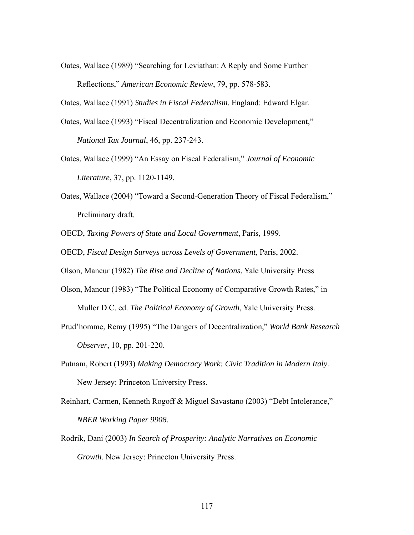Oates, Wallace (1989) "Searching for Leviathan: A Reply and Some Further Reflections," *American Economic Review*, 79, pp. 578-583.

Oates, Wallace (1991) *Studies in Fiscal Federalism*. England: Edward Elgar.

- Oates, Wallace (1993) "Fiscal Decentralization and Economic Development," *National Tax Journal*, 46, pp. 237-243.
- Oates, Wallace (1999) "An Essay on Fiscal Federalism," *Journal of Economic Literature*, 37, pp. 1120-1149.
- Oates, Wallace (2004) "Toward a Second-Generation Theory of Fiscal Federalism," Preliminary draft.

OECD, *Taxing Powers of State and Local Government*, Paris, 1999.

OECD, *Fiscal Design Surveys across Levels of Government*, Paris, 2002.

Olson, Mancur (1982) *The Rise and Decline of Nations*, Yale University Press

- Olson, Mancur (1983) "The Political Economy of Comparative Growth Rates," in Muller D.C. ed. *The Political Economy of Growth*, Yale University Press.
- Prud'homme, Remy (1995) "The Dangers of Decentralization," *World Bank Research Observer*, 10, pp. 201-220.
- Putnam, Robert (1993) *Making Democracy Work: Civic Tradition in Modern Italy*. New Jersey: Princeton University Press.
- Reinhart, Carmen, Kenneth Rogoff & Miguel Savastano (2003) "Debt Intolerance,"  *NBER Working Paper 9908.*
- Rodrik, Dani (2003) *In Search of Prosperity: Analytic Narratives on Economic Growth*. New Jersey: Princeton University Press.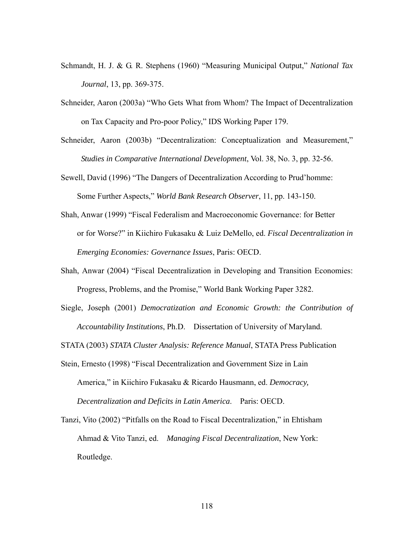- Schmandt, H. J. & G. R. Stephens (1960) "Measuring Municipal Output," *National Tax Journal*, 13, pp. 369-375.
- Schneider, Aaron (2003a) "Who Gets What from Whom? The Impact of Decentralization on Tax Capacity and Pro-poor Policy," IDS Working Paper 179.
- Schneider, Aaron (2003b) "Decentralization: Conceptualization and Measurement," *Studies in Comparative International Development*, Vol. 38, No. 3, pp. 32-56.

Sewell, David (1996) "The Dangers of Decentralization According to Prud'homme: Some Further Aspects," *World Bank Research Observer*, 11, pp. 143-150.

- Shah, Anwar (1999) "Fiscal Federalism and Macroeconomic Governance: for Better or for Worse?" in Kiichiro Fukasaku & Luiz DeMello, ed. *Fiscal Decentralization in Emerging Economies: Governance Issues*, Paris: OECD.
- Shah, Anwar (2004) "Fiscal Decentralization in Developing and Transition Economies: Progress, Problems, and the Promise," World Bank Working Paper 3282.
- Siegle, Joseph (2001) *Democratization and Economic Growth: the Contribution of Accountability Institutions*, Ph.D. Dissertation of University of Maryland.

STATA (2003) *STATA Cluster Analysis: Reference Manual*, STATA Press Publication

- Stein, Ernesto (1998) "Fiscal Decentralization and Government Size in Lain America," in Kiichiro Fukasaku & Ricardo Hausmann, ed. *Democracy, Decentralization and Deficits in Latin America*. Paris: OECD.
- Tanzi, Vito (2002) "Pitfalls on the Road to Fiscal Decentralization," in Ehtisham Ahmad & Vito Tanzi, ed. *Managing Fiscal Decentralization*, New York: Routledge.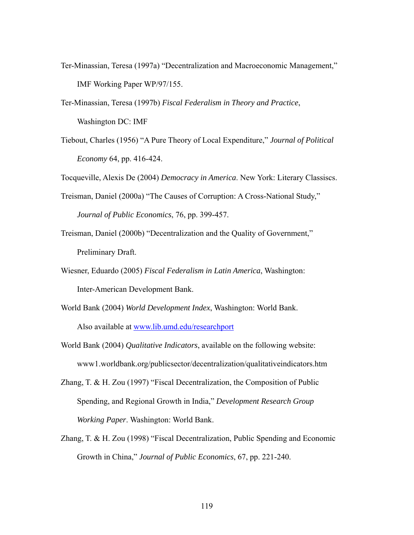- Ter-Minassian, Teresa (1997a) "Decentralization and Macroeconomic Management," IMF Working Paper WP/97/155.
- Ter-Minassian, Teresa (1997b) *Fiscal Federalism in Theory and Practice*, Washington DC: IMF
- Tiebout, Charles (1956) "A Pure Theory of Local Expenditure," *Journal of Political Economy* 64, pp. 416-424.

Tocqueville, Alexis De (2004) *Democracy in America*. New York: Literary Classiscs.

Treisman, Daniel (2000a) "The Causes of Corruption: A Cross-National Study,"

 *Journal of Public Economics*, 76, pp. 399-457.

- Treisman, Daniel (2000b) "Decentralization and the Quality of Government," Preliminary Draft.
- Wiesner, Eduardo (2005) *Fiscal Federalism in Latin America*, Washington: Inter-American Development Bank.
- World Bank (2004) *World Development Index*, Washington: World Bank.

Also available at [www.lib.umd.edu/researchport](http://www.lib.umd.edu/researchport) 

- World Bank (2004) *Qualitative Indicators*, available on the following website: www1.worldbank.org/publicsector/decentralization/qualitativeindicators.htm
- Zhang, T. & H. Zou (1997) "Fiscal Decentralization, the Composition of Public Spending, and Regional Growth in India," *Development Research Group Working Paper*. Washington: World Bank.
- Zhang, T. & H. Zou (1998) "Fiscal Decentralization, Public Spending and Economic Growth in China," *Journal of Public Economics*, 67, pp. 221-240.